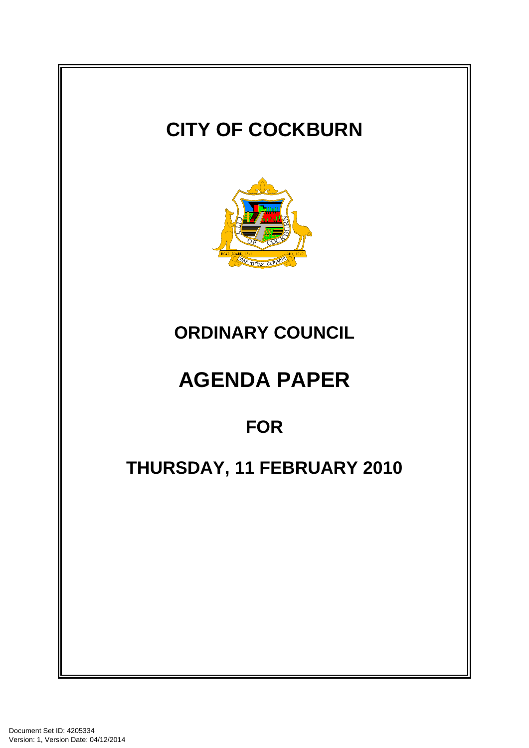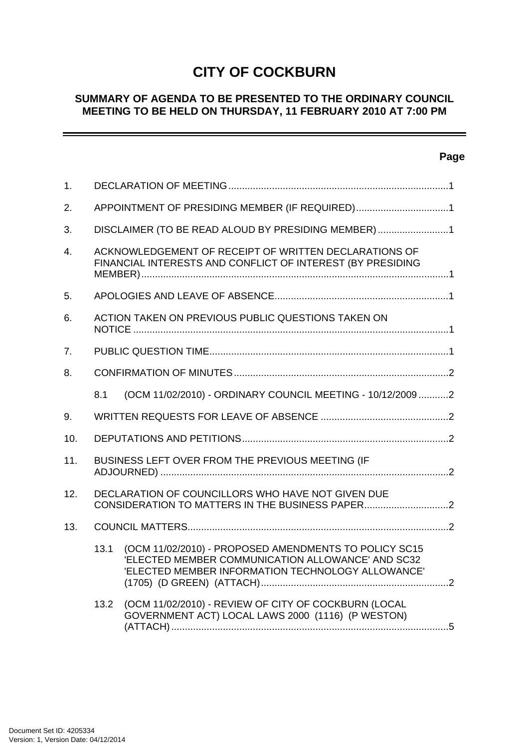# **CITY OF COCKBURN**

# **SUMMARY OF AGENDA TO BE PRESENTED TO THE ORDINARY COUNCIL MEETING TO BE HELD ON THURSDAY, 11 FEBRUARY 2010 AT 7:00 PM**

#### **Page**

-

| 1.             |                                                     |                                                                                                                                                                 |  |  |  |
|----------------|-----------------------------------------------------|-----------------------------------------------------------------------------------------------------------------------------------------------------------------|--|--|--|
| 2.             | APPOINTMENT OF PRESIDING MEMBER (IF REQUIRED)1      |                                                                                                                                                                 |  |  |  |
| 3.             | DISCLAIMER (TO BE READ ALOUD BY PRESIDING MEMBER) 1 |                                                                                                                                                                 |  |  |  |
| 4.             |                                                     | ACKNOWLEDGEMENT OF RECEIPT OF WRITTEN DECLARATIONS OF<br>FINANCIAL INTERESTS AND CONFLICT OF INTEREST (BY PRESIDING                                             |  |  |  |
| 5.             |                                                     |                                                                                                                                                                 |  |  |  |
| 6.             |                                                     | ACTION TAKEN ON PREVIOUS PUBLIC QUESTIONS TAKEN ON                                                                                                              |  |  |  |
| 7 <sub>1</sub> |                                                     |                                                                                                                                                                 |  |  |  |
| 8.             |                                                     |                                                                                                                                                                 |  |  |  |
|                | 8.1                                                 | (OCM 11/02/2010) - ORDINARY COUNCIL MEETING - 10/12/2009 2                                                                                                      |  |  |  |
| 9.             |                                                     |                                                                                                                                                                 |  |  |  |
| 10.            |                                                     |                                                                                                                                                                 |  |  |  |
| 11.            | BUSINESS LEFT OVER FROM THE PREVIOUS MEETING (IF    |                                                                                                                                                                 |  |  |  |
| 12.            | DECLARATION OF COUNCILLORS WHO HAVE NOT GIVEN DUE   |                                                                                                                                                                 |  |  |  |
| 13.            |                                                     |                                                                                                                                                                 |  |  |  |
|                | 13.1                                                | (OCM 11/02/2010) - PROPOSED AMENDMENTS TO POLICY SC15<br>'ELECTED MEMBER COMMUNICATION ALLOWANCE' AND SC32<br>'ELECTED MEMBER INFORMATION TECHNOLOGY ALLOWANCE' |  |  |  |
|                | 13.2                                                | (OCM 11/02/2010) - REVIEW OF CITY OF COCKBURN (LOCAL<br>GOVERNMENT ACT) LOCAL LAWS 2000 (1116) (P WESTON)                                                       |  |  |  |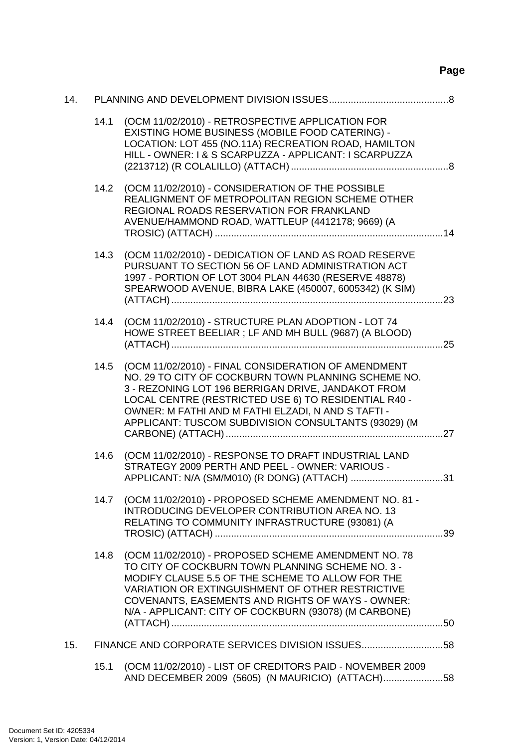# **Page**

| 14. |      |                                                                                                                                                                                                                                                                                                                                        |
|-----|------|----------------------------------------------------------------------------------------------------------------------------------------------------------------------------------------------------------------------------------------------------------------------------------------------------------------------------------------|
|     | 14.1 | (OCM 11/02/2010) - RETROSPECTIVE APPLICATION FOR<br>EXISTING HOME BUSINESS (MOBILE FOOD CATERING) -<br>LOCATION: LOT 455 (NO.11A) RECREATION ROAD, HAMILTON<br>HILL - OWNER: I & S SCARPUZZA - APPLICANT: I SCARPUZZA                                                                                                                  |
|     | 14.2 | (OCM 11/02/2010) - CONSIDERATION OF THE POSSIBLE<br>REALIGNMENT OF METROPOLITAN REGION SCHEME OTHER<br>REGIONAL ROADS RESERVATION FOR FRANKLAND<br>AVENUE/HAMMOND ROAD, WATTLEUP (4412178; 9669) (A                                                                                                                                    |
|     | 14.3 | (OCM 11/02/2010) - DEDICATION OF LAND AS ROAD RESERVE<br>PURSUANT TO SECTION 56 OF LAND ADMINISTRATION ACT<br>1997 - PORTION OF LOT 3004 PLAN 44630 (RESERVE 48878)<br>SPEARWOOD AVENUE, BIBRA LAKE (450007, 6005342) (K SIM)                                                                                                          |
|     | 14.4 | (OCM 11/02/2010) - STRUCTURE PLAN ADOPTION - LOT 74<br>HOWE STREET BEELIAR ; LF AND MH BULL (9687) (A BLOOD)                                                                                                                                                                                                                           |
|     | 14.5 | (OCM 11/02/2010) - FINAL CONSIDERATION OF AMENDMENT<br>NO. 29 TO CITY OF COCKBURN TOWN PLANNING SCHEME NO.<br>3 - REZONING LOT 196 BERRIGAN DRIVE, JANDAKOT FROM<br>LOCAL CENTRE (RESTRICTED USE 6) TO RESIDENTIAL R40 -<br>OWNER: M FATHI AND M FATHI ELZADI, N AND S TAFTI -<br>APPLICANT: TUSCOM SUBDIVISION CONSULTANTS (93029) (M |
|     | 14.6 | (OCM 11/02/2010) - RESPONSE TO DRAFT INDUSTRIAL LAND<br>STRATEGY 2009 PERTH AND PEEL - OWNER: VARIOUS -<br>APPLICANT: N/A (SM/M010) (R DONG) (ATTACH) 31                                                                                                                                                                               |
|     |      | 14.7 (OCM 11/02/2010) - PROPOSED SCHEME AMENDMENT NO. 81 -<br>INTRODUCING DEVELOPER CONTRIBUTION AREA NO. 13<br>RELATING TO COMMUNITY INFRASTRUCTURE (93081) (A                                                                                                                                                                        |
|     | 14.8 | (OCM 11/02/2010) - PROPOSED SCHEME AMENDMENT NO. 78<br>TO CITY OF COCKBURN TOWN PLANNING SCHEME NO. 3 -<br>MODIFY CLAUSE 5.5 OF THE SCHEME TO ALLOW FOR THE<br>VARIATION OR EXTINGUISHMENT OF OTHER RESTRICTIVE<br>COVENANTS, EASEMENTS AND RIGHTS OF WAYS - OWNER:<br>N/A - APPLICANT: CITY OF COCKBURN (93078) (M CARBONE)           |
| 15. |      | FINANCE AND CORPORATE SERVICES DIVISION ISSUES58                                                                                                                                                                                                                                                                                       |
|     | 15.1 | (OCM 11/02/2010) - LIST OF CREDITORS PAID - NOVEMBER 2009<br>AND DECEMBER 2009 (5605) (N MAURICIO) (ATTACH)58                                                                                                                                                                                                                          |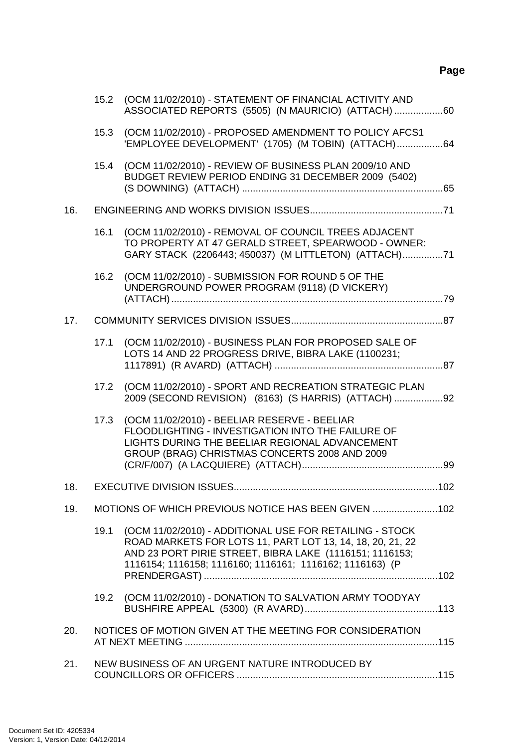# **Page**

|     | 15.2 | (OCM 11/02/2010) - STATEMENT OF FINANCIAL ACTIVITY AND                                                                                                                                                                                      |  |
|-----|------|---------------------------------------------------------------------------------------------------------------------------------------------------------------------------------------------------------------------------------------------|--|
|     | 15.3 | (OCM 11/02/2010) - PROPOSED AMENDMENT TO POLICY AFCS1<br>'EMPLOYEE DEVELOPMENT' (1705) (M TOBIN) (ATTACH)64                                                                                                                                 |  |
|     | 15.4 | (OCM 11/02/2010) - REVIEW OF BUSINESS PLAN 2009/10 AND<br>BUDGET REVIEW PERIOD ENDING 31 DECEMBER 2009 (5402)                                                                                                                               |  |
| 16. |      |                                                                                                                                                                                                                                             |  |
|     | 16.1 | (OCM 11/02/2010) - REMOVAL OF COUNCIL TREES ADJACENT<br>TO PROPERTY AT 47 GERALD STREET, SPEARWOOD - OWNER:<br>GARY STACK (2206443; 450037) (M LITTLETON) (ATTACH)71                                                                        |  |
|     |      | 16.2 (OCM 11/02/2010) - SUBMISSION FOR ROUND 5 OF THE<br>UNDERGROUND POWER PROGRAM (9118) (D VICKERY)                                                                                                                                       |  |
| 17. |      |                                                                                                                                                                                                                                             |  |
|     | 17.1 | (OCM 11/02/2010) - BUSINESS PLAN FOR PROPOSED SALE OF<br>LOTS 14 AND 22 PROGRESS DRIVE, BIBRA LAKE (1100231;                                                                                                                                |  |
|     | 17.2 | (OCM 11/02/2010) - SPORT AND RECREATION STRATEGIC PLAN<br>2009 (SECOND REVISION) (8163) (S HARRIS) (ATTACH) 92                                                                                                                              |  |
|     | 17.3 | (OCM 11/02/2010) - BEELIAR RESERVE - BEELIAR<br>FLOODLIGHTING - INVESTIGATION INTO THE FAILURE OF<br>LIGHTS DURING THE BEELIAR REGIONAL ADVANCEMENT<br>GROUP (BRAG) CHRISTMAS CONCERTS 2008 AND 2009                                        |  |
| 18. |      |                                                                                                                                                                                                                                             |  |
| 19. |      | MOTIONS OF WHICH PREVIOUS NOTICE HAS BEEN GIVEN 102                                                                                                                                                                                         |  |
|     | 19.1 | (OCM 11/02/2010) - ADDITIONAL USE FOR RETAILING - STOCK<br>ROAD MARKETS FOR LOTS 11, PART LOT 13, 14, 18, 20, 21, 22<br>AND 23 PORT PIRIE STREET, BIBRA LAKE (1116151; 1116153;<br>1116154; 1116158; 1116160; 1116161; 1116162; 1116163) (P |  |
|     | 19.2 | (OCM 11/02/2010) - DONATION TO SALVATION ARMY TOODYAY                                                                                                                                                                                       |  |
| 20. |      | NOTICES OF MOTION GIVEN AT THE MEETING FOR CONSIDERATION                                                                                                                                                                                    |  |
| 21. |      | NEW BUSINESS OF AN URGENT NATURE INTRODUCED BY                                                                                                                                                                                              |  |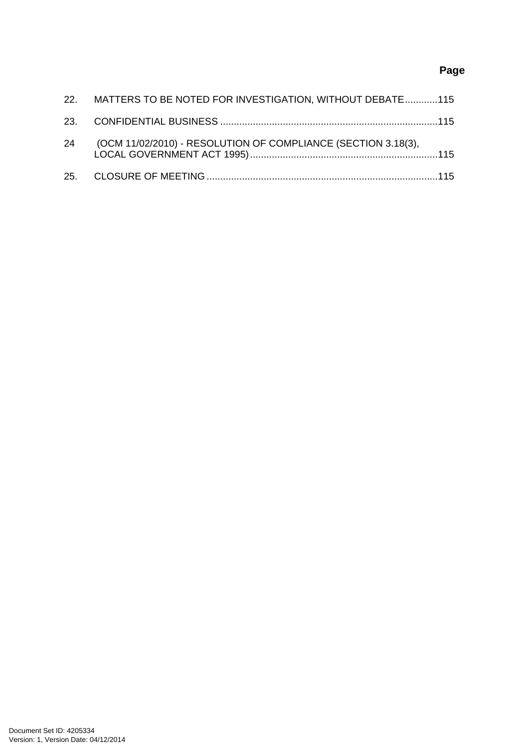# **Page**

|    | 22. MATTERS TO BE NOTED FOR INVESTIGATION, WITHOUT DEBATE115  |
|----|---------------------------------------------------------------|
|    |                                                               |
| 24 | (OCM 11/02/2010) - RESOLUTION OF COMPLIANCE (SECTION 3.18(3), |
|    |                                                               |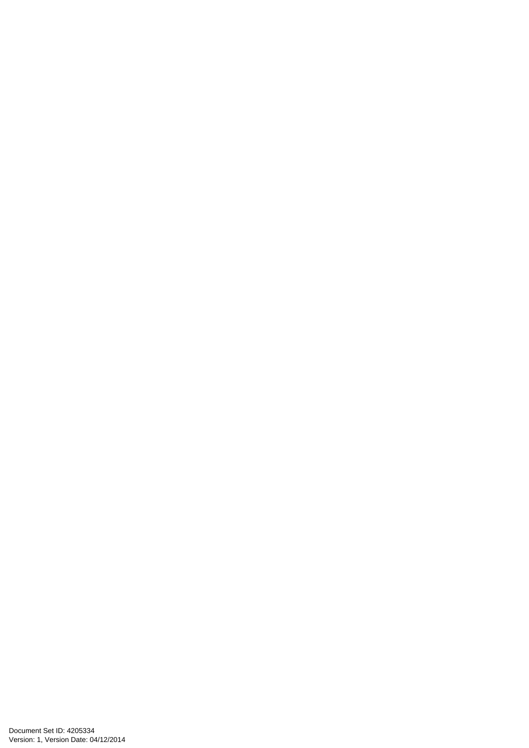Document Set ID: 4205334<br>Version: 1, Version Date: 04/12/2014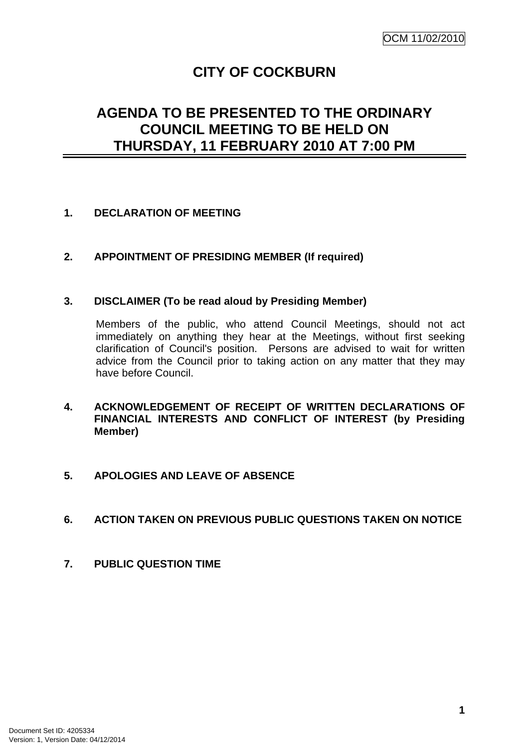# **CITY OF COCKBURN**

# <span id="page-6-0"></span>**AGENDA TO BE PRESENTED TO THE ORDINARY COUNCIL MEETING TO BE HELD ON THURSDAY, 11 FEBRUARY 2010 AT 7:00 PM**

# **1. DECLARATION OF MEETING**

## **2. APPOINTMENT OF PRESIDING MEMBER (If required)**

#### **3. DISCLAIMER (To be read aloud by Presiding Member)**

Members of the public, who attend Council Meetings, should not act immediately on anything they hear at the Meetings, without first seeking clarification of Council's position. Persons are advised to wait for written advice from the Council prior to taking action on any matter that they may have before Council.

#### **4. ACKNOWLEDGEMENT OF RECEIPT OF WRITTEN DECLARATIONS OF FINANCIAL INTERESTS AND CONFLICT OF INTEREST (by Presiding Member)**

# **5. APOLOGIES AND LEAVE OF ABSENCE**

# **6. ACTION TAKEN ON PREVIOUS PUBLIC QUESTIONS TAKEN ON NOTICE**

**7. PUBLIC QUESTION TIME**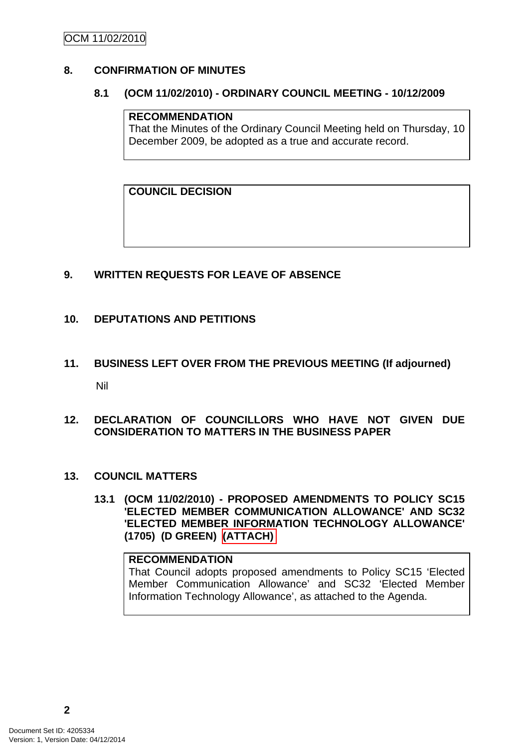# <span id="page-7-0"></span>OCM 11/02/2010

#### **8. CONFIRMATION OF MINUTES**

#### **8.1 (OCM 11/02/2010) - ORDINARY COUNCIL MEETING - 10/12/2009**

#### **RECOMMENDATION**

That the Minutes of the Ordinary Council Meeting held on Thursday, 10 December 2009, be adopted as a true and accurate record.

**COUNCIL DECISION** 

#### **9. WRITTEN REQUESTS FOR LEAVE OF ABSENCE**

#### **10. DEPUTATIONS AND PETITIONS**

# **11. BUSINESS LEFT OVER FROM THE PREVIOUS MEETING (If adjourned)**

Nil

#### **12. DECLARATION OF COUNCILLORS WHO HAVE NOT GIVEN DUE CONSIDERATION TO MATTERS IN THE BUSINESS PAPER**

#### **13. COUNCIL MATTERS**

#### **13.1 (OCM 11/02/2010) - PROPOSED AMENDMENTS TO POLICY SC15 'ELECTED MEMBER COMMUNICATION ALLOWANCE' AND SC32 'ELECTED MEMBER INFORMATION TECHNOLOGY ALLOWANCE' (1705) (D GREEN) (ATTACH)**

# **RECOMMENDATION**

That Council adopts proposed amendments to Policy SC15 'Elected Member Communication Allowance' and SC32 'Elected Member Information Technology Allowance', as attached to the Agenda.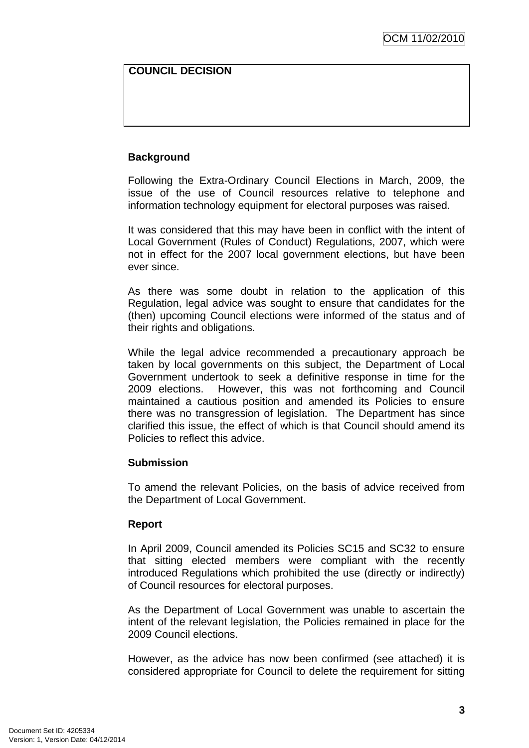#### **COUNCIL DECISION**

# **Background**

Following the Extra-Ordinary Council Elections in March, 2009, the issue of the use of Council resources relative to telephone and information technology equipment for electoral purposes was raised.

It was considered that this may have been in conflict with the intent of Local Government (Rules of Conduct) Regulations, 2007, which were not in effect for the 2007 local government elections, but have been ever since.

As there was some doubt in relation to the application of this Regulation, legal advice was sought to ensure that candidates for the (then) upcoming Council elections were informed of the status and of their rights and obligations.

While the legal advice recommended a precautionary approach be taken by local governments on this subject, the Department of Local Government undertook to seek a definitive response in time for the 2009 elections. However, this was not forthcoming and Council maintained a cautious position and amended its Policies to ensure there was no transgression of legislation. The Department has since clarified this issue, the effect of which is that Council should amend its Policies to reflect this advice.

#### **Submission**

To amend the relevant Policies, on the basis of advice received from the Department of Local Government.

#### **Report**

In April 2009, Council amended its Policies SC15 and SC32 to ensure that sitting elected members were compliant with the recently introduced Regulations which prohibited the use (directly or indirectly) of Council resources for electoral purposes.

As the Department of Local Government was unable to ascertain the intent of the relevant legislation, the Policies remained in place for the 2009 Council elections.

However, as the advice has now been confirmed (see attached) it is considered appropriate for Council to delete the requirement for sitting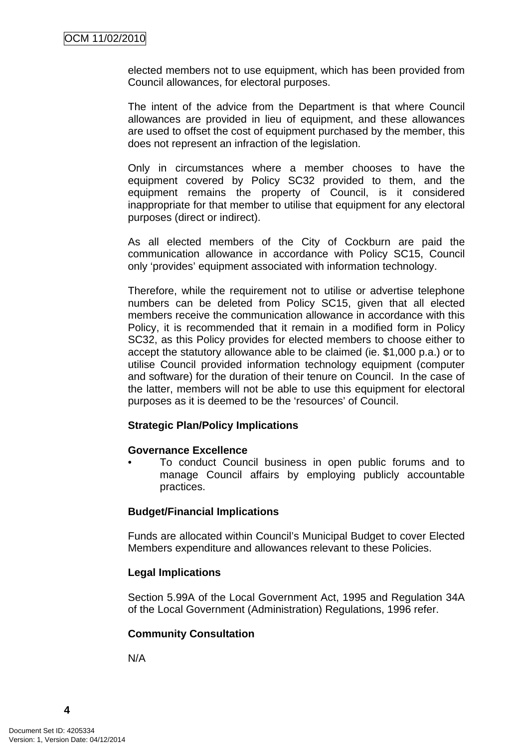elected members not to use equipment, which has been provided from Council allowances, for electoral purposes.

The intent of the advice from the Department is that where Council allowances are provided in lieu of equipment, and these allowances are used to offset the cost of equipment purchased by the member, this does not represent an infraction of the legislation.

Only in circumstances where a member chooses to have the equipment covered by Policy SC32 provided to them, and the equipment remains the property of Council, is it considered inappropriate for that member to utilise that equipment for any electoral purposes (direct or indirect).

As all elected members of the City of Cockburn are paid the communication allowance in accordance with Policy SC15, Council only 'provides' equipment associated with information technology.

Therefore, while the requirement not to utilise or advertise telephone numbers can be deleted from Policy SC15, given that all elected members receive the communication allowance in accordance with this Policy, it is recommended that it remain in a modified form in Policy SC32, as this Policy provides for elected members to choose either to accept the statutory allowance able to be claimed (ie. \$1,000 p.a.) or to utilise Council provided information technology equipment (computer and software) for the duration of their tenure on Council. In the case of the latter, members will not be able to use this equipment for electoral purposes as it is deemed to be the 'resources' of Council.

#### **Strategic Plan/Policy Implications**

#### **Governance Excellence**

• To conduct Council business in open public forums and to manage Council affairs by employing publicly accountable practices.

#### **Budget/Financial Implications**

Funds are allocated within Council's Municipal Budget to cover Elected Members expenditure and allowances relevant to these Policies.

#### **Legal Implications**

Section 5.99A of the Local Government Act, 1995 and Regulation 34A of the Local Government (Administration) Regulations, 1996 refer.

# **Community Consultation**

N/A

**4**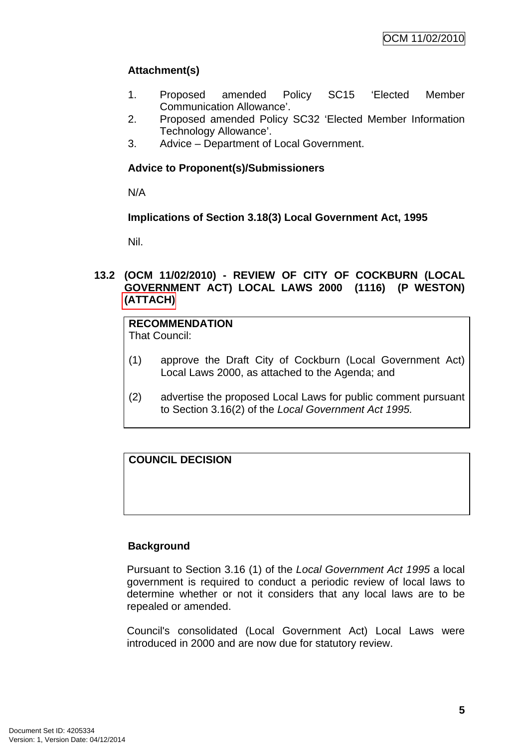# <span id="page-10-0"></span>**Attachment(s)**

- 1. Proposed amended Policy SC15 'Elected Member Communication Allowance'.
- 2. Proposed amended Policy SC32 'Elected Member Information Technology Allowance'.
- 3. Advice Department of Local Government.

# **Advice to Proponent(s)/Submissioners**

N/A

# **Implications of Section 3.18(3) Local Government Act, 1995**

Nil.

## **13.2 (OCM 11/02/2010) - REVIEW OF CITY OF COCKBURN (LOCAL GOVERNMENT ACT) LOCAL LAWS 2000 (1116) (P WESTON) (ATTACH)**

# **RECOMMENDATION**

That Council:

- (1) approve the Draft City of Cockburn (Local Government Act) Local Laws 2000, as attached to the Agenda; and
- (2) advertise the proposed Local Laws for public comment pursuant to Section 3.16(2) of the *Local Government Act 1995.*

**COUNCIL DECISION** 

# **Background**

Pursuant to Section 3.16 (1) of the *Local Government Act 1995* a local government is required to conduct a periodic review of local laws to determine whether or not it considers that any local laws are to be repealed or amended.

Council's consolidated (Local Government Act) Local Laws were introduced in 2000 and are now due for statutory review.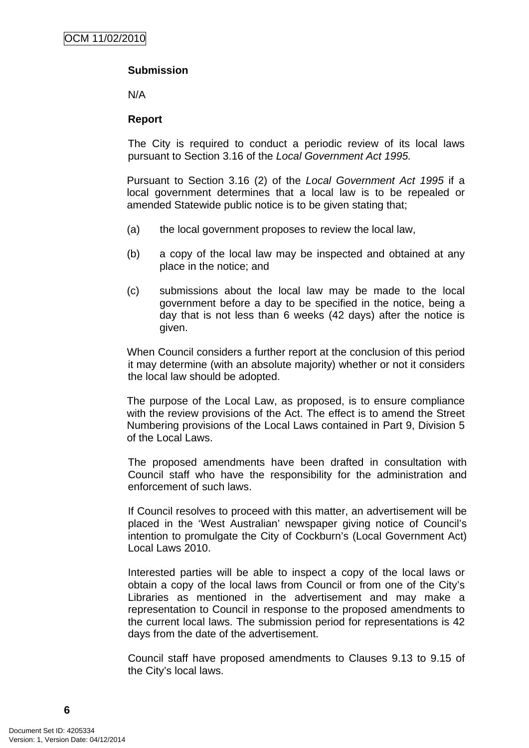# **Submission**

N/A

#### **Report**

The City is required to conduct a periodic review of its local laws pursuant to Section 3.16 of the *Local Government Act 1995.*

Pursuant to Section 3.16 (2) of the *Local Government Act 1995* if a local government determines that a local law is to be repealed or amended Statewide public notice is to be given stating that;

- (a) the local government proposes to review the local law,
- (b) a copy of the local law may be inspected and obtained at any place in the notice; and
- (c) submissions about the local law may be made to the local government before a day to be specified in the notice, being a day that is not less than 6 weeks (42 days) after the notice is given.

When Council considers a further report at the conclusion of this period it may determine (with an absolute majority) whether or not it considers the local law should be adopted.

The purpose of the Local Law, as proposed, is to ensure compliance with the review provisions of the Act. The effect is to amend the Street Numbering provisions of the Local Laws contained in Part 9, Division 5 of the Local Laws.

The proposed amendments have been drafted in consultation with Council staff who have the responsibility for the administration and enforcement of such laws.

If Council resolves to proceed with this matter, an advertisement will be placed in the 'West Australian' newspaper giving notice of Council's intention to promulgate the City of Cockburn's (Local Government Act) Local Laws 2010.

Interested parties will be able to inspect a copy of the local laws or obtain a copy of the local laws from Council or from one of the City's Libraries as mentioned in the advertisement and may make a representation to Council in response to the proposed amendments to the current local laws. The submission period for representations is 42 days from the date of the advertisement.

Council staff have proposed amendments to Clauses 9.13 to 9.15 of the City's local laws.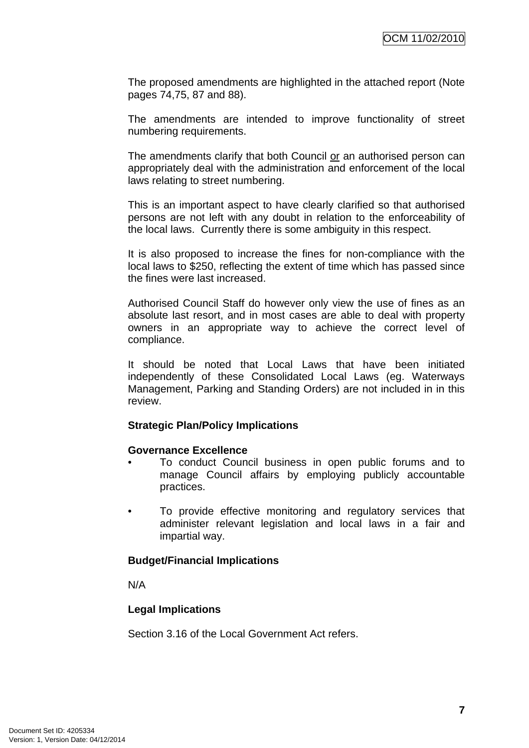The proposed amendments are highlighted in the attached report (Note pages 74,75, 87 and 88).

The amendments are intended to improve functionality of street numbering requirements.

The amendments clarify that both Council or an authorised person can appropriately deal with the administration and enforcement of the local laws relating to street numbering.

This is an important aspect to have clearly clarified so that authorised persons are not left with any doubt in relation to the enforceability of the local laws. Currently there is some ambiguity in this respect.

It is also proposed to increase the fines for non-compliance with the local laws to \$250, reflecting the extent of time which has passed since the fines were last increased.

Authorised Council Staff do however only view the use of fines as an absolute last resort, and in most cases are able to deal with property owners in an appropriate way to achieve the correct level of compliance.

It should be noted that Local Laws that have been initiated independently of these Consolidated Local Laws (eg. Waterways Management, Parking and Standing Orders) are not included in in this review.

#### **Strategic Plan/Policy Implications**

#### **Governance Excellence**

- To conduct Council business in open public forums and to manage Council affairs by employing publicly accountable practices.
- To provide effective monitoring and regulatory services that administer relevant legislation and local laws in a fair and impartial way.

#### **Budget/Financial Implications**

N/A

#### **Legal Implications**

Section 3.16 of the Local Government Act refers.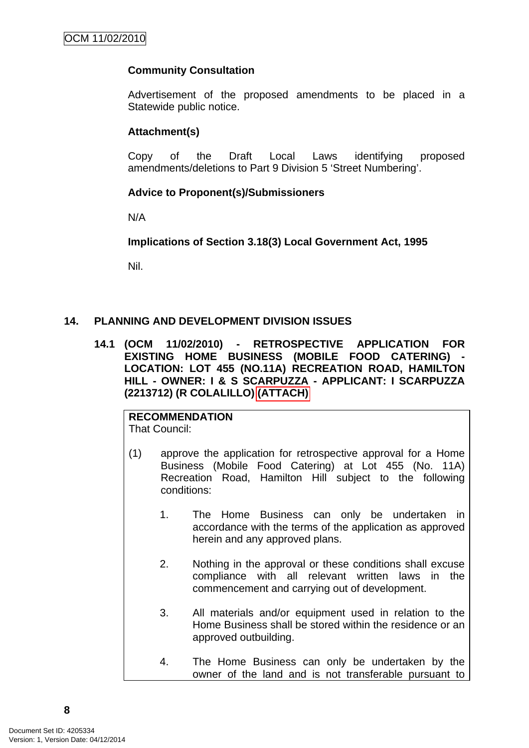# <span id="page-13-0"></span>**Community Consultation**

Advertisement of the proposed amendments to be placed in a Statewide public notice.

#### **Attachment(s)**

Copy of the Draft Local Laws identifying proposed amendments/deletions to Part 9 Division 5 'Street Numbering'.

## **Advice to Proponent(s)/Submissioners**

N/A

**Implications of Section 3.18(3) Local Government Act, 1995**

Nil.

## **14. PLANNING AND DEVELOPMENT DIVISION ISSUES**

**14.1 (OCM 11/02/2010) - RETROSPECTIVE APPLICATION FOR EXISTING HOME BUSINESS (MOBILE FOOD CATERING) - LOCATION: LOT 455 (NO.11A) RECREATION ROAD, HAMILTON HILL - OWNER: I & S SCARPUZZA - APPLICANT: I SCARPUZZA (2213712) (R COLALILLO) (ATTACH)** 

# **RECOMMENDATION**

That Council:

- (1) approve the application for retrospective approval for a Home Business (Mobile Food Catering) at Lot 455 (No. 11A) Recreation Road, Hamilton Hill subject to the following conditions:
	- 1. The Home Business can only be undertaken in accordance with the terms of the application as approved herein and any approved plans.
	- 2. Nothing in the approval or these conditions shall excuse compliance with all relevant written laws in the commencement and carrying out of development.
	- 3. All materials and/or equipment used in relation to the Home Business shall be stored within the residence or an approved outbuilding.
	- 4. The Home Business can only be undertaken by the owner of the land and is not transferable pursuant to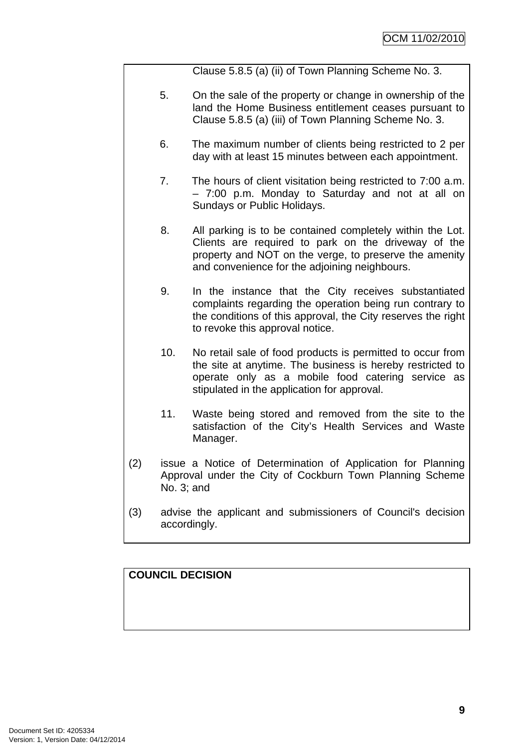Clause 5.8.5 (a) (ii) of Town Planning Scheme No. 3.

- 5. On the sale of the property or change in ownership of the land the Home Business entitlement ceases pursuant to Clause 5.8.5 (a) (iii) of Town Planning Scheme No. 3.
- 6. The maximum number of clients being restricted to 2 per day with at least 15 minutes between each appointment.
- 7. The hours of client visitation being restricted to 7:00 a.m. – 7:00 p.m. Monday to Saturday and not at all on Sundays or Public Holidays.
- 8. All parking is to be contained completely within the Lot. Clients are required to park on the driveway of the property and NOT on the verge, to preserve the amenity and convenience for the adjoining neighbours.
- 9. In the instance that the City receives substantiated complaints regarding the operation being run contrary to the conditions of this approval, the City reserves the right to revoke this approval notice.
- 10. No retail sale of food products is permitted to occur from the site at anytime. The business is hereby restricted to operate only as a mobile food catering service as stipulated in the application for approval.
- 11. Waste being stored and removed from the site to the satisfaction of the City's Health Services and Waste Manager.
- (2) issue a Notice of Determination of Application for Planning Approval under the City of Cockburn Town Planning Scheme No. 3; and
- (3) advise the applicant and submissioners of Council's decision accordingly.

# **COUNCIL DECISION**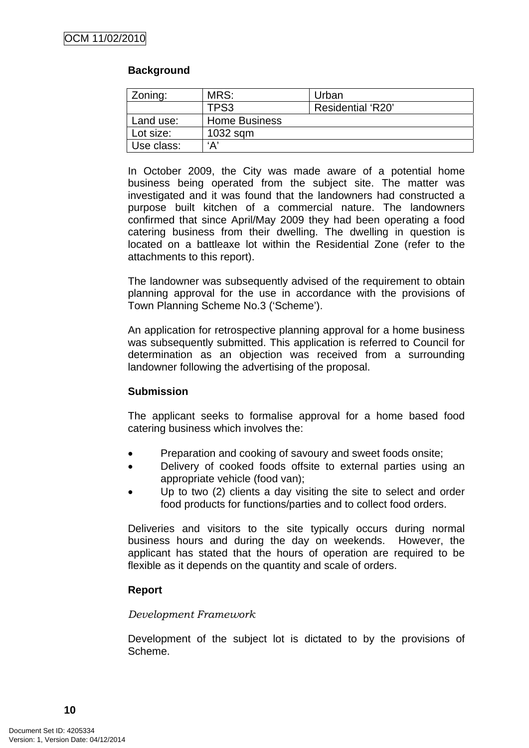# **Background**

| Zoning:    | MRS:                 | Urban             |
|------------|----------------------|-------------------|
|            | TPS3                 | Residential 'R20' |
| Land use:  | <b>Home Business</b> |                   |
| Lot size:  | 1032 sqm             |                   |
| Use class: | 'А'                  |                   |

In October 2009, the City was made aware of a potential home business being operated from the subject site. The matter was investigated and it was found that the landowners had constructed a purpose built kitchen of a commercial nature. The landowners confirmed that since April/May 2009 they had been operating a food catering business from their dwelling. The dwelling in question is located on a battleaxe lot within the Residential Zone (refer to the attachments to this report).

The landowner was subsequently advised of the requirement to obtain planning approval for the use in accordance with the provisions of Town Planning Scheme No.3 ('Scheme').

An application for retrospective planning approval for a home business was subsequently submitted. This application is referred to Council for determination as an objection was received from a surrounding landowner following the advertising of the proposal.

#### **Submission**

The applicant seeks to formalise approval for a home based food catering business which involves the:

- Preparation and cooking of savoury and sweet foods onsite;
- Delivery of cooked foods offsite to external parties using an appropriate vehicle (food van);
- Up to two (2) clients a day visiting the site to select and order food products for functions/parties and to collect food orders.

Deliveries and visitors to the site typically occurs during normal business hours and during the day on weekends. However, the applicant has stated that the hours of operation are required to be flexible as it depends on the quantity and scale of orders.

#### **Report**

#### *Development Framework*

Development of the subject lot is dictated to by the provisions of Scheme.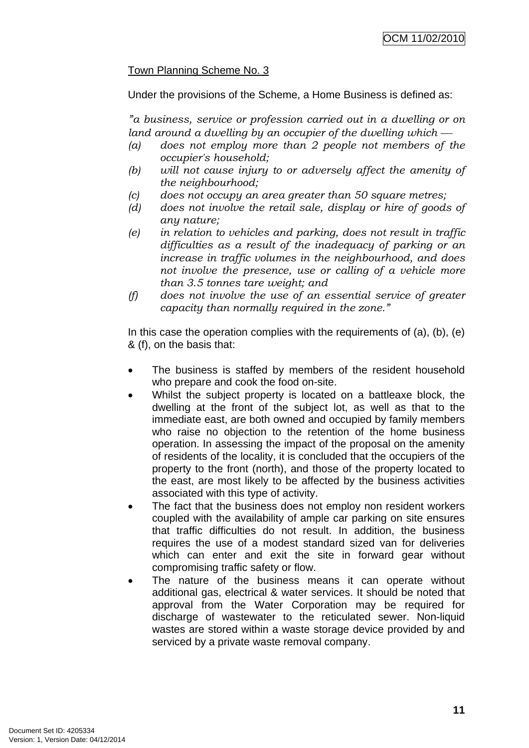# Town Planning Scheme No. 3

Under the provisions of the Scheme, a Home Business is defined as:

*"a business, service or profession carried out in a dwelling or on land around a dwelling by an occupier of the dwelling which —* 

- *(a) does not employ more than 2 people not members of the occupier's household;*
- *(b) will not cause injury to or adversely affect the amenity of the neighbourhood;*
- *(c) does not occupy an area greater than 50 square metres;*
- *(d) does not involve the retail sale, display or hire of goods of any nature;*
- *(e) in relation to vehicles and parking, does not result in traffic difficulties as a result of the inadequacy of parking or an increase in traffic volumes in the neighbourhood, and does not involve the presence, use or calling of a vehicle more than 3.5 tonnes tare weight; and*
- *(f) does not involve the use of an essential service of greater capacity than normally required in the zone."*

In this case the operation complies with the requirements of  $(a)$ ,  $(b)$ ,  $(e)$ & (f), on the basis that:

- The business is staffed by members of the resident household who prepare and cook the food on-site.
- Whilst the subject property is located on a battleaxe block, the dwelling at the front of the subject lot, as well as that to the immediate east, are both owned and occupied by family members who raise no objection to the retention of the home business operation. In assessing the impact of the proposal on the amenity of residents of the locality, it is concluded that the occupiers of the property to the front (north), and those of the property located to the east, are most likely to be affected by the business activities associated with this type of activity.
- The fact that the business does not employ non resident workers coupled with the availability of ample car parking on site ensures that traffic difficulties do not result. In addition, the business requires the use of a modest standard sized van for deliveries which can enter and exit the site in forward gear without compromising traffic safety or flow.
- The nature of the business means it can operate without additional gas, electrical & water services. It should be noted that approval from the Water Corporation may be required for discharge of wastewater to the reticulated sewer. Non-liquid wastes are stored within a waste storage device provided by and serviced by a private waste removal company.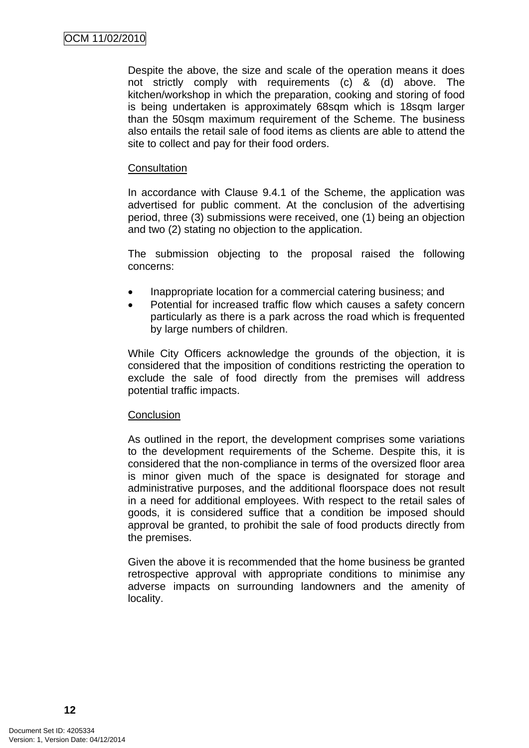Despite the above, the size and scale of the operation means it does not strictly comply with requirements (c) & (d) above. The kitchen/workshop in which the preparation, cooking and storing of food is being undertaken is approximately 68sqm which is 18sqm larger than the 50sqm maximum requirement of the Scheme. The business also entails the retail sale of food items as clients are able to attend the site to collect and pay for their food orders.

#### **Consultation**

In accordance with Clause 9.4.1 of the Scheme, the application was advertised for public comment. At the conclusion of the advertising period, three (3) submissions were received, one (1) being an objection and two (2) stating no objection to the application.

The submission objecting to the proposal raised the following concerns:

- Inappropriate location for a commercial catering business; and
- Potential for increased traffic flow which causes a safety concern particularly as there is a park across the road which is frequented by large numbers of children.

While City Officers acknowledge the grounds of the objection, it is considered that the imposition of conditions restricting the operation to exclude the sale of food directly from the premises will address potential traffic impacts.

#### **Conclusion**

As outlined in the report, the development comprises some variations to the development requirements of the Scheme. Despite this, it is considered that the non-compliance in terms of the oversized floor area is minor given much of the space is designated for storage and administrative purposes, and the additional floorspace does not result in a need for additional employees. With respect to the retail sales of goods, it is considered suffice that a condition be imposed should approval be granted, to prohibit the sale of food products directly from the premises.

Given the above it is recommended that the home business be granted retrospective approval with appropriate conditions to minimise any adverse impacts on surrounding landowners and the amenity of locality.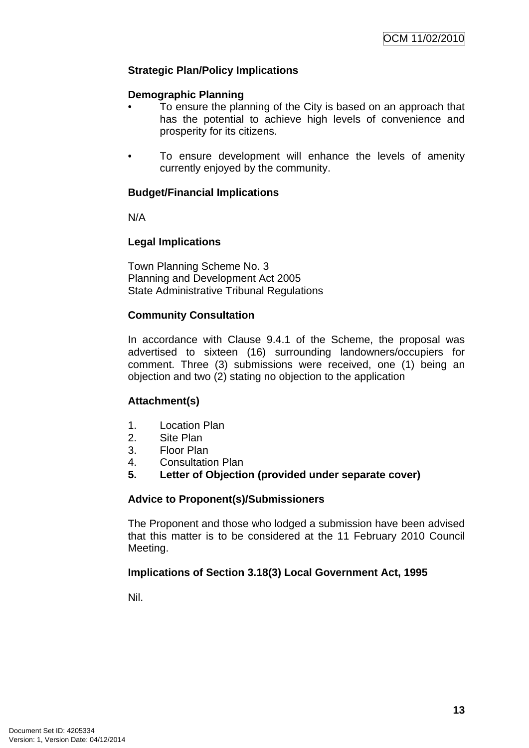# **Strategic Plan/Policy Implications**

#### **Demographic Planning**

- To ensure the planning of the City is based on an approach that has the potential to achieve high levels of convenience and prosperity for its citizens.
- To ensure development will enhance the levels of amenity currently enjoyed by the community.

#### **Budget/Financial Implications**

N/A

#### **Legal Implications**

Town Planning Scheme No. 3 Planning and Development Act 2005 State Administrative Tribunal Regulations

#### **Community Consultation**

In accordance with Clause 9.4.1 of the Scheme, the proposal was advertised to sixteen (16) surrounding landowners/occupiers for comment. Three (3) submissions were received, one (1) being an objection and two (2) stating no objection to the application

#### **Attachment(s)**

- 1. Location Plan
- 2. Site Plan
- 3. Floor Plan
- 4. Consultation Plan
- **5. Letter of Objection (provided under separate cover)**

#### **Advice to Proponent(s)/Submissioners**

The Proponent and those who lodged a submission have been advised that this matter is to be considered at the 11 February 2010 Council Meeting.

#### **Implications of Section 3.18(3) Local Government Act, 1995**

Nil.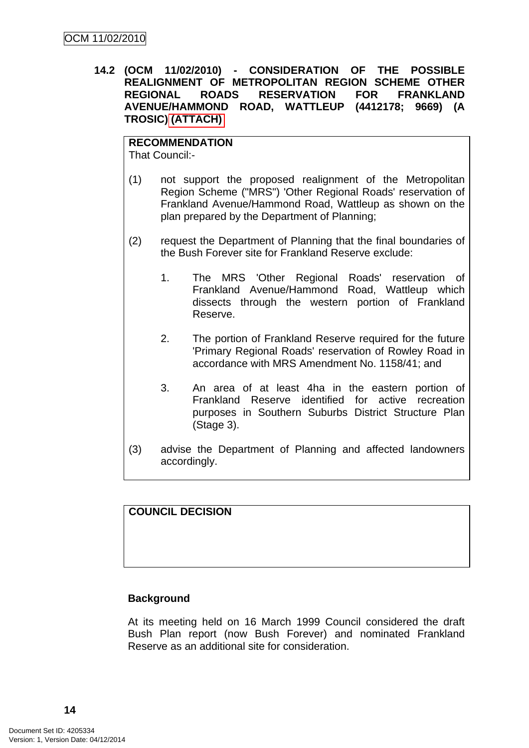#### <span id="page-19-0"></span>**14.2 (OCM 11/02/2010) - CONSIDERATION OF THE POSSIBLE REALIGNMENT OF METROPOLITAN REGION SCHEME OTHER REGIONAL ROADS RESERVATION FOR FRANKLAND AVENUE/HAMMOND ROAD, WATTLEUP (4412178; 9669) (A TROSIC) (ATTACH)**

**RECOMMENDATION** That Council:-

- (1) not support the proposed realignment of the Metropolitan Region Scheme ("MRS") 'Other Regional Roads' reservation of Frankland Avenue/Hammond Road, Wattleup as shown on the plan prepared by the Department of Planning;
- (2) request the Department of Planning that the final boundaries of the Bush Forever site for Frankland Reserve exclude:
	- 1. The MRS 'Other Regional Roads' reservation of Frankland Avenue/Hammond Road, Wattleup which dissects through the western portion of Frankland Reserve.
	- 2. The portion of Frankland Reserve required for the future 'Primary Regional Roads' reservation of Rowley Road in accordance with MRS Amendment No. 1158/41; and
	- 3. An area of at least 4ha in the eastern portion of Frankland Reserve identified for active recreation purposes in Southern Suburbs District Structure Plan (Stage 3).
- (3) advise the Department of Planning and affected landowners accordingly.

**COUNCIL DECISION** 

#### **Background**

At its meeting held on 16 March 1999 Council considered the draft Bush Plan report (now Bush Forever) and nominated Frankland Reserve as an additional site for consideration.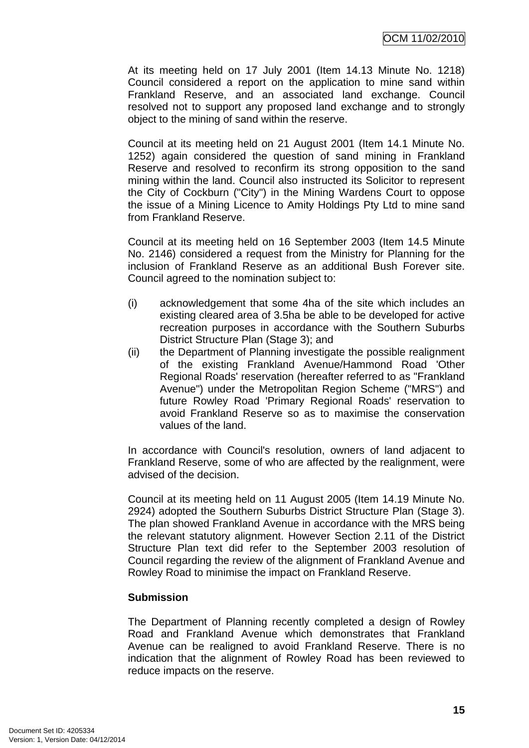At its meeting held on 17 July 2001 (Item 14.13 Minute No. 1218) Council considered a report on the application to mine sand within Frankland Reserve, and an associated land exchange. Council resolved not to support any proposed land exchange and to strongly object to the mining of sand within the reserve.

Council at its meeting held on 21 August 2001 (Item 14.1 Minute No. 1252) again considered the question of sand mining in Frankland Reserve and resolved to reconfirm its strong opposition to the sand mining within the land. Council also instructed its Solicitor to represent the City of Cockburn ("City") in the Mining Wardens Court to oppose the issue of a Mining Licence to Amity Holdings Pty Ltd to mine sand from Frankland Reserve.

Council at its meeting held on 16 September 2003 (Item 14.5 Minute No. 2146) considered a request from the Ministry for Planning for the inclusion of Frankland Reserve as an additional Bush Forever site. Council agreed to the nomination subject to:

- (i) acknowledgement that some 4ha of the site which includes an existing cleared area of 3.5ha be able to be developed for active recreation purposes in accordance with the Southern Suburbs District Structure Plan (Stage 3); and
- (ii) the Department of Planning investigate the possible realignment of the existing Frankland Avenue/Hammond Road 'Other Regional Roads' reservation (hereafter referred to as "Frankland Avenue") under the Metropolitan Region Scheme ("MRS") and future Rowley Road 'Primary Regional Roads' reservation to avoid Frankland Reserve so as to maximise the conservation values of the land.

In accordance with Council's resolution, owners of land adjacent to Frankland Reserve, some of who are affected by the realignment, were advised of the decision.

Council at its meeting held on 11 August 2005 (Item 14.19 Minute No. 2924) adopted the Southern Suburbs District Structure Plan (Stage 3). The plan showed Frankland Avenue in accordance with the MRS being the relevant statutory alignment. However Section 2.11 of the District Structure Plan text did refer to the September 2003 resolution of Council regarding the review of the alignment of Frankland Avenue and Rowley Road to minimise the impact on Frankland Reserve.

#### **Submission**

The Department of Planning recently completed a design of Rowley Road and Frankland Avenue which demonstrates that Frankland Avenue can be realigned to avoid Frankland Reserve. There is no indication that the alignment of Rowley Road has been reviewed to reduce impacts on the reserve.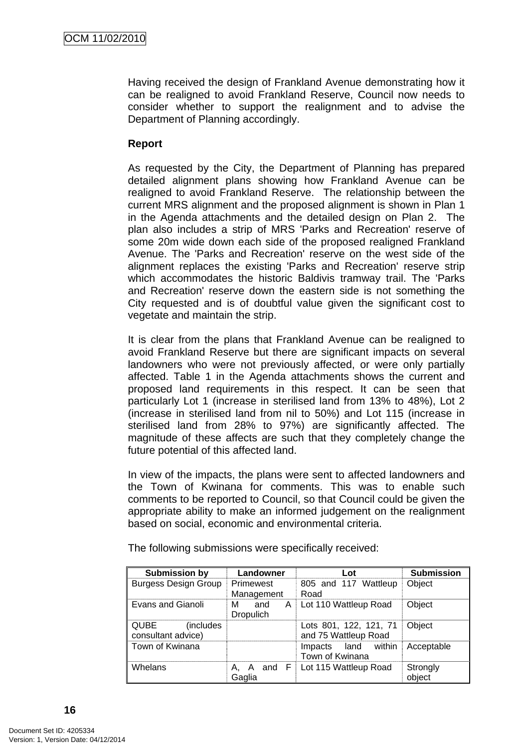Having received the design of Frankland Avenue demonstrating how it can be realigned to avoid Frankland Reserve, Council now needs to consider whether to support the realignment and to advise the Department of Planning accordingly.

#### **Report**

As requested by the City, the Department of Planning has prepared detailed alignment plans showing how Frankland Avenue can be realigned to avoid Frankland Reserve. The relationship between the current MRS alignment and the proposed alignment is shown in Plan 1 in the Agenda attachments and the detailed design on Plan 2. The plan also includes a strip of MRS 'Parks and Recreation' reserve of some 20m wide down each side of the proposed realigned Frankland Avenue. The 'Parks and Recreation' reserve on the west side of the alignment replaces the existing 'Parks and Recreation' reserve strip which accommodates the historic Baldivis tramway trail. The 'Parks and Recreation' reserve down the eastern side is not something the City requested and is of doubtful value given the significant cost to vegetate and maintain the strip.

It is clear from the plans that Frankland Avenue can be realigned to avoid Frankland Reserve but there are significant impacts on several landowners who were not previously affected, or were only partially affected. Table 1 in the Agenda attachments shows the current and proposed land requirements in this respect. It can be seen that particularly Lot 1 (increase in sterilised land from 13% to 48%), Lot 2 (increase in sterilised land from nil to 50%) and Lot 115 (increase in sterilised land from 28% to 97%) are significantly affected. The magnitude of these affects are such that they completely change the future potential of this affected land.

In view of the impacts, the plans were sent to affected landowners and the Town of Kwinana for comments. This was to enable such comments to be reported to Council, so that Council could be given the appropriate ability to make an informed judgement on the realignment based on social, economic and environmental criteria.

| <b>Submission by</b>                     | Landowner                    | Lot                                            | <b>Submission</b>  |
|------------------------------------------|------------------------------|------------------------------------------------|--------------------|
| <b>Burgess Design Group</b>              | Primewest<br>Management      | 805 and 117 Wattleup<br>Road                   | Object             |
| Evans and Gianoli                        | м<br>and<br><b>Dropulich</b> | A   Lot 110 Wattleup Road                      | Object             |
| QUBE<br>(includes)<br>consultant advice) |                              | Lots 801, 122, 121, 71<br>and 75 Wattleup Road | Object             |
| Town of Kwinana                          |                              | Impacts land within<br>Town of Kwinana         | Acceptable         |
| Whelans                                  | Gaglia                       | A, A and F Lot 115 Wattleup Road               | Strongly<br>object |

The following submissions were specifically received: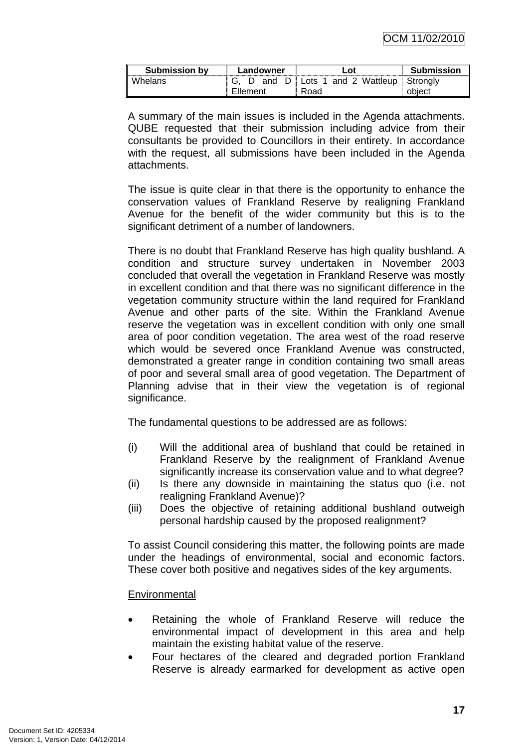| <b>Submission by</b> |          | Landowner |     |  | _ot                       | <b>Submission</b> |
|----------------------|----------|-----------|-----|--|---------------------------|-------------------|
| <b>Whelans</b>       |          |           | and |  | D   Lots 1 and 2 Wattleup | Strongly          |
|                      | Ellement |           |     |  | Road                      | obiect            |

A summary of the main issues is included in the Agenda attachments. QUBE requested that their submission including advice from their consultants be provided to Councillors in their entirety. In accordance with the request, all submissions have been included in the Agenda attachments.

The issue is quite clear in that there is the opportunity to enhance the conservation values of Frankland Reserve by realigning Frankland Avenue for the benefit of the wider community but this is to the significant detriment of a number of landowners.

There is no doubt that Frankland Reserve has high quality bushland. A condition and structure survey undertaken in November 2003 concluded that overall the vegetation in Frankland Reserve was mostly in excellent condition and that there was no significant difference in the vegetation community structure within the land required for Frankland Avenue and other parts of the site. Within the Frankland Avenue reserve the vegetation was in excellent condition with only one small area of poor condition vegetation. The area west of the road reserve which would be severed once Frankland Avenue was constructed, demonstrated a greater range in condition containing two small areas of poor and several small area of good vegetation. The Department of Planning advise that in their view the vegetation is of regional significance.

The fundamental questions to be addressed are as follows:

- (i) Will the additional area of bushland that could be retained in Frankland Reserve by the realignment of Frankland Avenue significantly increase its conservation value and to what degree?
- (ii) Is there any downside in maintaining the status quo (i.e. not realigning Frankland Avenue)?
- (iii) Does the objective of retaining additional bushland outweigh personal hardship caused by the proposed realignment?

To assist Council considering this matter, the following points are made under the headings of environmental, social and economic factors. These cover both positive and negatives sides of the key arguments.

#### **Environmental**

- Retaining the whole of Frankland Reserve will reduce the environmental impact of development in this area and help maintain the existing habitat value of the reserve.
- Four hectares of the cleared and degraded portion Frankland Reserve is already earmarked for development as active open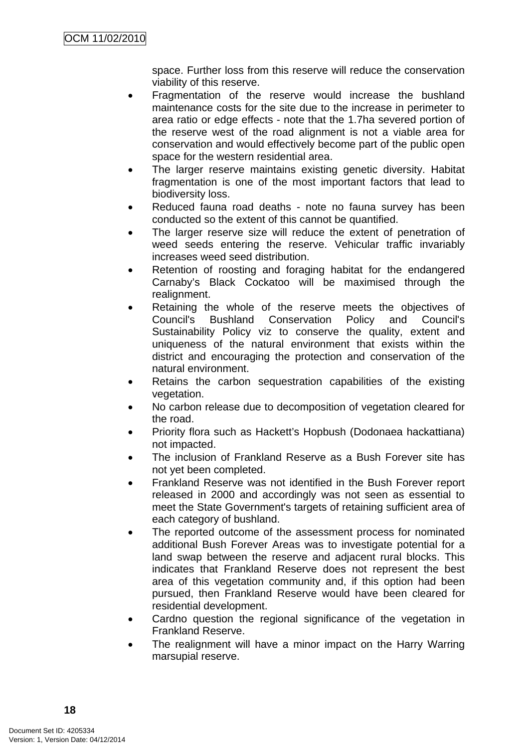space. Further loss from this reserve will reduce the conservation viability of this reserve.

- Fragmentation of the reserve would increase the bushland maintenance costs for the site due to the increase in perimeter to area ratio or edge effects - note that the 1.7ha severed portion of the reserve west of the road alignment is not a viable area for conservation and would effectively become part of the public open space for the western residential area.
- The larger reserve maintains existing genetic diversity. Habitat fragmentation is one of the most important factors that lead to biodiversity loss.
- Reduced fauna road deaths note no fauna survey has been conducted so the extent of this cannot be quantified.
- The larger reserve size will reduce the extent of penetration of weed seeds entering the reserve. Vehicular traffic invariably increases weed seed distribution.
- Retention of roosting and foraging habitat for the endangered Carnaby's Black Cockatoo will be maximised through the realignment.
- Retaining the whole of the reserve meets the objectives of Council's Bushland Conservation Policy and Council's Sustainability Policy viz to conserve the quality, extent and uniqueness of the natural environment that exists within the district and encouraging the protection and conservation of the natural environment.
- Retains the carbon sequestration capabilities of the existing vegetation.
- No carbon release due to decomposition of vegetation cleared for the road.
- Priority flora such as Hackett's Hopbush (Dodonaea hackattiana) not impacted.
- The inclusion of Frankland Reserve as a Bush Forever site has not yet been completed.
- Frankland Reserve was not identified in the Bush Forever report released in 2000 and accordingly was not seen as essential to meet the State Government's targets of retaining sufficient area of each category of bushland.
- The reported outcome of the assessment process for nominated additional Bush Forever Areas was to investigate potential for a land swap between the reserve and adjacent rural blocks. This indicates that Frankland Reserve does not represent the best area of this vegetation community and, if this option had been pursued, then Frankland Reserve would have been cleared for residential development.
- Cardno question the regional significance of the vegetation in Frankland Reserve.
- The realignment will have a minor impact on the Harry Warring marsupial reserve.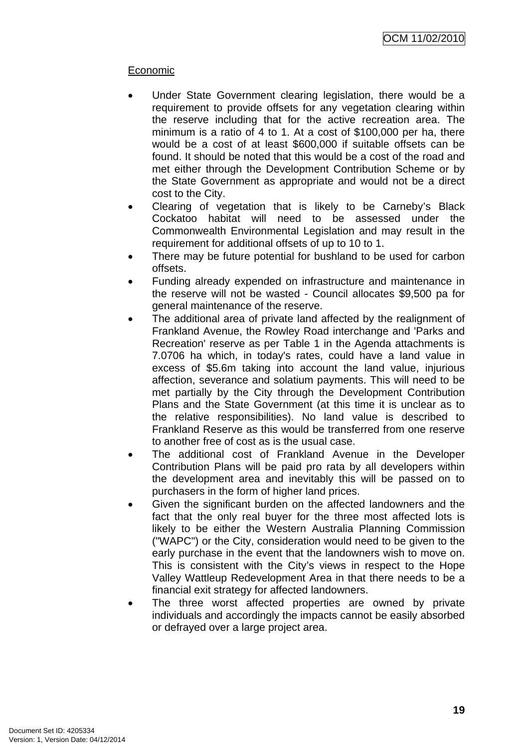# Economic

- Under State Government clearing legislation, there would be a requirement to provide offsets for any vegetation clearing within the reserve including that for the active recreation area. The minimum is a ratio of 4 to 1. At a cost of \$100,000 per ha, there would be a cost of at least \$600,000 if suitable offsets can be found. It should be noted that this would be a cost of the road and met either through the Development Contribution Scheme or by the State Government as appropriate and would not be a direct cost to the City.
- Clearing of vegetation that is likely to be Carneby's Black Cockatoo habitat will need to be assessed under the Commonwealth Environmental Legislation and may result in the requirement for additional offsets of up to 10 to 1.
- There may be future potential for bushland to be used for carbon offsets.
- Funding already expended on infrastructure and maintenance in the reserve will not be wasted - Council allocates \$9,500 pa for general maintenance of the reserve.
- The additional area of private land affected by the realignment of Frankland Avenue, the Rowley Road interchange and 'Parks and Recreation' reserve as per Table 1 in the Agenda attachments is 7.0706 ha which, in today's rates, could have a land value in excess of \$5.6m taking into account the land value, injurious affection, severance and solatium payments. This will need to be met partially by the City through the Development Contribution Plans and the State Government (at this time it is unclear as to the relative responsibilities). No land value is described to Frankland Reserve as this would be transferred from one reserve to another free of cost as is the usual case.
- The additional cost of Frankland Avenue in the Developer Contribution Plans will be paid pro rata by all developers within the development area and inevitably this will be passed on to purchasers in the form of higher land prices.
- Given the significant burden on the affected landowners and the fact that the only real buyer for the three most affected lots is likely to be either the Western Australia Planning Commission ("WAPC") or the City, consideration would need to be given to the early purchase in the event that the landowners wish to move on. This is consistent with the City's views in respect to the Hope Valley Wattleup Redevelopment Area in that there needs to be a financial exit strategy for affected landowners.
- The three worst affected properties are owned by private individuals and accordingly the impacts cannot be easily absorbed or defrayed over a large project area.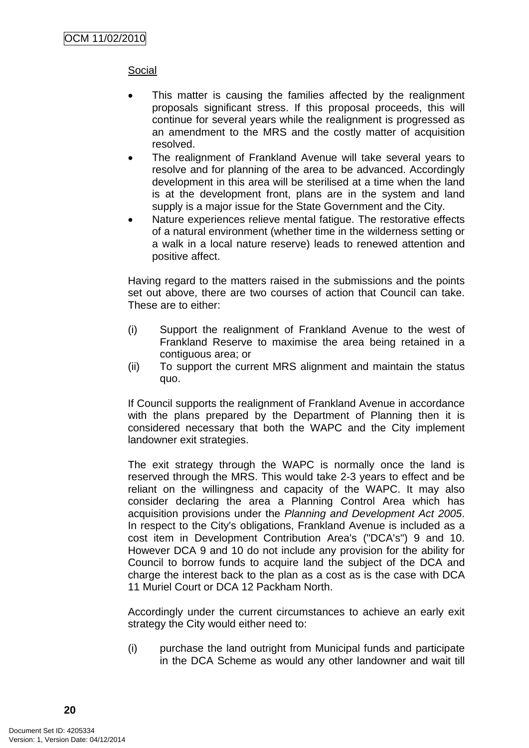# Social

- This matter is causing the families affected by the realignment proposals significant stress. If this proposal proceeds, this will continue for several years while the realignment is progressed as an amendment to the MRS and the costly matter of acquisition resolved.
- The realignment of Frankland Avenue will take several years to resolve and for planning of the area to be advanced. Accordingly development in this area will be sterilised at a time when the land is at the development front, plans are in the system and land supply is a major issue for the State Government and the City.
- Nature experiences relieve mental fatique. The restorative effects of a natural environment (whether time in the wilderness setting or a walk in a local nature reserve) leads to renewed attention and positive affect.

Having regard to the matters raised in the submissions and the points set out above, there are two courses of action that Council can take. These are to either:

- (i) Support the realignment of Frankland Avenue to the west of Frankland Reserve to maximise the area being retained in a contiguous area; or
- (ii) To support the current MRS alignment and maintain the status quo.

If Council supports the realignment of Frankland Avenue in accordance with the plans prepared by the Department of Planning then it is considered necessary that both the WAPC and the City implement landowner exit strategies.

The exit strategy through the WAPC is normally once the land is reserved through the MRS. This would take 2-3 years to effect and be reliant on the willingness and capacity of the WAPC. It may also consider declaring the area a Planning Control Area which has acquisition provisions under the *Planning and Development Act 2005*. In respect to the City's obligations, Frankland Avenue is included as a cost item in Development Contribution Area's ("DCA's") 9 and 10. However DCA 9 and 10 do not include any provision for the ability for Council to borrow funds to acquire land the subject of the DCA and charge the interest back to the plan as a cost as is the case with DCA 11 Muriel Court or DCA 12 Packham North.

Accordingly under the current circumstances to achieve an early exit strategy the City would either need to:

(i) purchase the land outright from Municipal funds and participate in the DCA Scheme as would any other landowner and wait till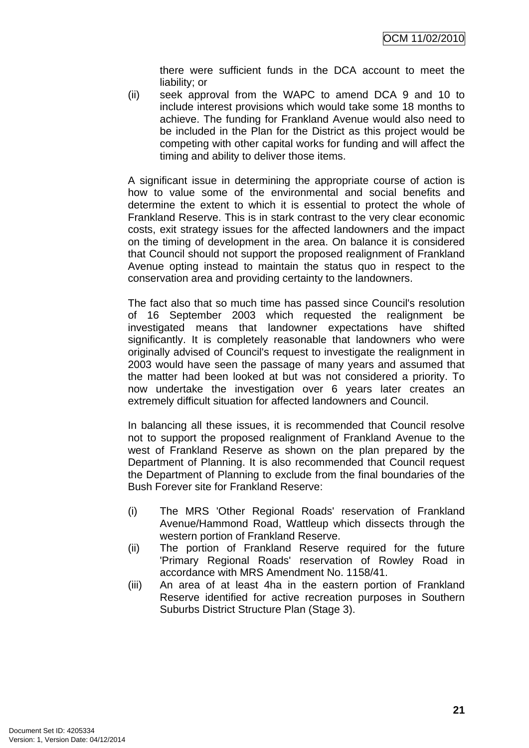there were sufficient funds in the DCA account to meet the liability; or

(ii) seek approval from the WAPC to amend DCA 9 and 10 to include interest provisions which would take some 18 months to achieve. The funding for Frankland Avenue would also need to be included in the Plan for the District as this project would be competing with other capital works for funding and will affect the timing and ability to deliver those items.

A significant issue in determining the appropriate course of action is how to value some of the environmental and social benefits and determine the extent to which it is essential to protect the whole of Frankland Reserve. This is in stark contrast to the very clear economic costs, exit strategy issues for the affected landowners and the impact on the timing of development in the area. On balance it is considered that Council should not support the proposed realignment of Frankland Avenue opting instead to maintain the status quo in respect to the conservation area and providing certainty to the landowners.

The fact also that so much time has passed since Council's resolution of 16 September 2003 which requested the realignment be investigated means that landowner expectations have shifted significantly. It is completely reasonable that landowners who were originally advised of Council's request to investigate the realignment in 2003 would have seen the passage of many years and assumed that the matter had been looked at but was not considered a priority. To now undertake the investigation over 6 years later creates an extremely difficult situation for affected landowners and Council.

In balancing all these issues, it is recommended that Council resolve not to support the proposed realignment of Frankland Avenue to the west of Frankland Reserve as shown on the plan prepared by the Department of Planning. It is also recommended that Council request the Department of Planning to exclude from the final boundaries of the Bush Forever site for Frankland Reserve:

- (i) The MRS 'Other Regional Roads' reservation of Frankland Avenue/Hammond Road, Wattleup which dissects through the western portion of Frankland Reserve.
- (ii) The portion of Frankland Reserve required for the future 'Primary Regional Roads' reservation of Rowley Road in accordance with MRS Amendment No. 1158/41.
- (iii) An area of at least 4ha in the eastern portion of Frankland Reserve identified for active recreation purposes in Southern Suburbs District Structure Plan (Stage 3).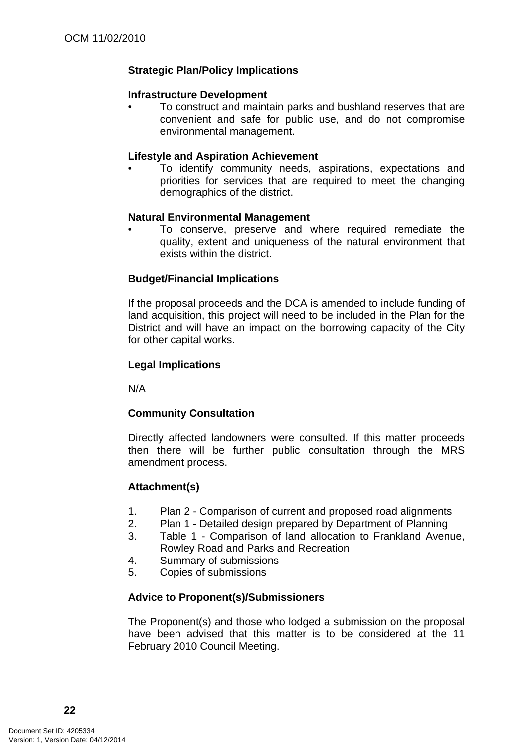# **Strategic Plan/Policy Implications**

#### **Infrastructure Development**

• To construct and maintain parks and bushland reserves that are convenient and safe for public use, and do not compromise environmental management.

#### **Lifestyle and Aspiration Achievement**

• To identify community needs, aspirations, expectations and priorities for services that are required to meet the changing demographics of the district.

#### **Natural Environmental Management**

• To conserve, preserve and where required remediate the quality, extent and uniqueness of the natural environment that exists within the district.

#### **Budget/Financial Implications**

If the proposal proceeds and the DCA is amended to include funding of land acquisition, this project will need to be included in the Plan for the District and will have an impact on the borrowing capacity of the City for other capital works.

#### **Legal Implications**

N/A

#### **Community Consultation**

Directly affected landowners were consulted. If this matter proceeds then there will be further public consultation through the MRS amendment process.

#### **Attachment(s)**

- 1. Plan 2 Comparison of current and proposed road alignments
- 2. Plan 1 Detailed design prepared by Department of Planning
- 3. Table 1 Comparison of land allocation to Frankland Avenue, Rowley Road and Parks and Recreation
- 4. Summary of submissions
- 5. Copies of submissions

#### **Advice to Proponent(s)/Submissioners**

The Proponent(s) and those who lodged a submission on the proposal have been advised that this matter is to be considered at the 11 February 2010 Council Meeting.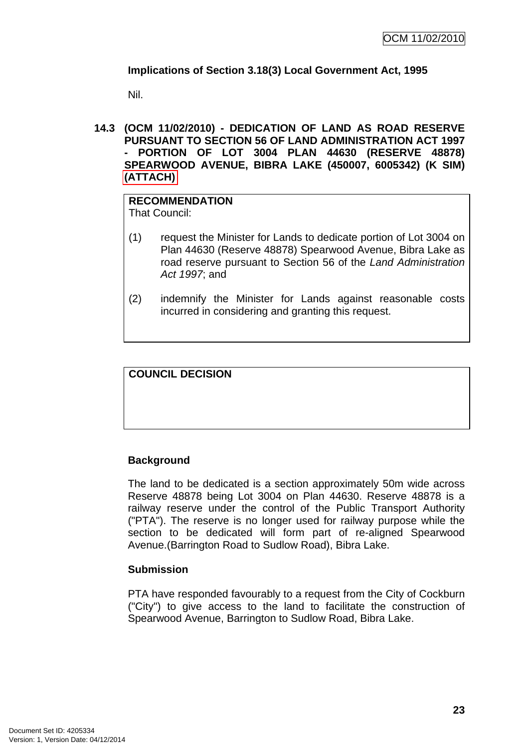# <span id="page-28-0"></span>**Implications of Section 3.18(3) Local Government Act, 1995**

Nil.

**14.3 (OCM 11/02/2010) - DEDICATION OF LAND AS ROAD RESERVE PURSUANT TO SECTION 56 OF LAND ADMINISTRATION ACT 1997 - PORTION OF LOT 3004 PLAN 44630 (RESERVE 48878) SPEARWOOD AVENUE, BIBRA LAKE (450007, 6005342) (K SIM) (ATTACH)** 

# **RECOMMENDATION**

That Council:

- (1) request the Minister for Lands to dedicate portion of Lot 3004 on Plan 44630 (Reserve 48878) Spearwood Avenue, Bibra Lake as road reserve pursuant to Section 56 of the *Land Administration Act 1997*; and
- (2) indemnify the Minister for Lands against reasonable costs incurred in considering and granting this request.

# **COUNCIL DECISION**

# **Background**

The land to be dedicated is a section approximately 50m wide across Reserve 48878 being Lot 3004 on Plan 44630. Reserve 48878 is a railway reserve under the control of the Public Transport Authority ("PTA"). The reserve is no longer used for railway purpose while the section to be dedicated will form part of re-aligned Spearwood Avenue.(Barrington Road to Sudlow Road), Bibra Lake.

#### **Submission**

PTA have responded favourably to a request from the City of Cockburn ("City") to give access to the land to facilitate the construction of Spearwood Avenue, Barrington to Sudlow Road, Bibra Lake.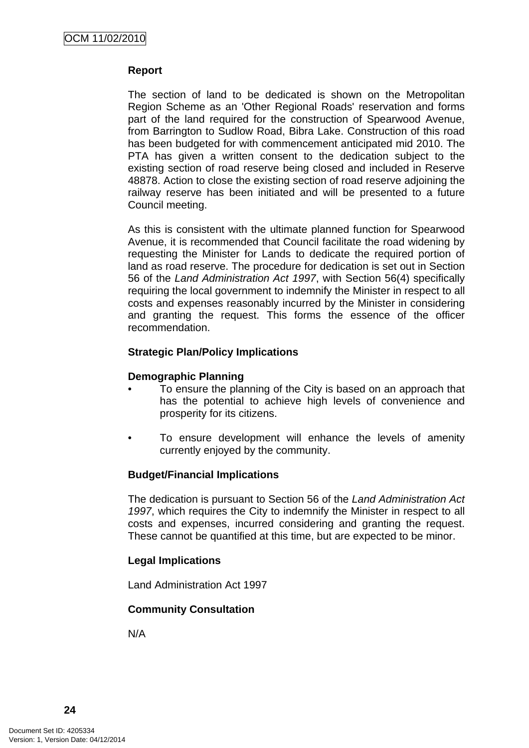#### **Report**

The section of land to be dedicated is shown on the Metropolitan Region Scheme as an 'Other Regional Roads' reservation and forms part of the land required for the construction of Spearwood Avenue, from Barrington to Sudlow Road, Bibra Lake. Construction of this road has been budgeted for with commencement anticipated mid 2010. The PTA has given a written consent to the dedication subject to the existing section of road reserve being closed and included in Reserve 48878. Action to close the existing section of road reserve adjoining the railway reserve has been initiated and will be presented to a future Council meeting.

As this is consistent with the ultimate planned function for Spearwood Avenue, it is recommended that Council facilitate the road widening by requesting the Minister for Lands to dedicate the required portion of land as road reserve. The procedure for dedication is set out in Section 56 of the *Land Administration Act 1997*, with Section 56(4) specifically requiring the local government to indemnify the Minister in respect to all costs and expenses reasonably incurred by the Minister in considering and granting the request. This forms the essence of the officer recommendation.

#### **Strategic Plan/Policy Implications**

#### **Demographic Planning**

- To ensure the planning of the City is based on an approach that has the potential to achieve high levels of convenience and prosperity for its citizens.
- To ensure development will enhance the levels of amenity currently enjoyed by the community.

#### **Budget/Financial Implications**

The dedication is pursuant to Section 56 of the *Land Administration Act 1997*, which requires the City to indemnify the Minister in respect to all costs and expenses, incurred considering and granting the request. These cannot be quantified at this time, but are expected to be minor.

#### **Legal Implications**

Land Administration Act 1997

#### **Community Consultation**

N/A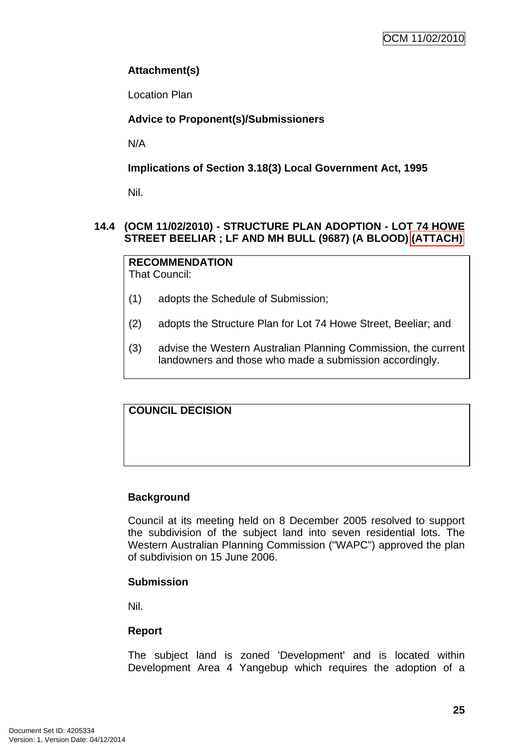# <span id="page-30-0"></span>**Attachment(s)**

Location Plan

# **Advice to Proponent(s)/Submissioners**

N/A

# **Implications of Section 3.18(3) Local Government Act, 1995**

Nil.

# **14.4 (OCM 11/02/2010) - STRUCTURE PLAN ADOPTION - LOT 74 HOWE STREET BEELIAR ; LF AND MH BULL (9687) (A BLOOD) (ATTACH)**

# **RECOMMENDATION**

That Council:

- (1) adopts the Schedule of Submission;
- (2) adopts the Structure Plan for Lot 74 Howe Street, Beeliar; and
- (3) advise the Western Australian Planning Commission, the current landowners and those who made a submission accordingly.

# **COUNCIL DECISION**

# **Background**

Council at its meeting held on 8 December 2005 resolved to support the subdivision of the subject land into seven residential lots. The Western Australian Planning Commission ("WAPC") approved the plan of subdivision on 15 June 2006.

# **Submission**

Nil.

# **Report**

The subject land is zoned 'Development' and is located within Development Area 4 Yangebup which requires the adoption of a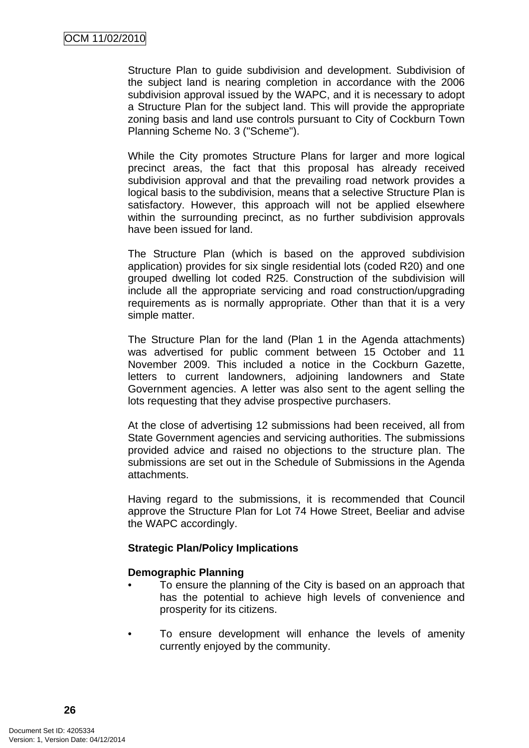Structure Plan to guide subdivision and development. Subdivision of the subject land is nearing completion in accordance with the 2006 subdivision approval issued by the WAPC, and it is necessary to adopt a Structure Plan for the subject land. This will provide the appropriate zoning basis and land use controls pursuant to City of Cockburn Town Planning Scheme No. 3 ("Scheme").

While the City promotes Structure Plans for larger and more logical precinct areas, the fact that this proposal has already received subdivision approval and that the prevailing road network provides a logical basis to the subdivision, means that a selective Structure Plan is satisfactory. However, this approach will not be applied elsewhere within the surrounding precinct, as no further subdivision approvals have been issued for land.

The Structure Plan (which is based on the approved subdivision application) provides for six single residential lots (coded R20) and one grouped dwelling lot coded R25. Construction of the subdivision will include all the appropriate servicing and road construction/upgrading requirements as is normally appropriate. Other than that it is a very simple matter.

The Structure Plan for the land (Plan 1 in the Agenda attachments) was advertised for public comment between 15 October and 11 November 2009. This included a notice in the Cockburn Gazette, letters to current landowners, adjoining landowners and State Government agencies. A letter was also sent to the agent selling the lots requesting that they advise prospective purchasers.

At the close of advertising 12 submissions had been received, all from State Government agencies and servicing authorities. The submissions provided advice and raised no objections to the structure plan. The submissions are set out in the Schedule of Submissions in the Agenda attachments.

Having regard to the submissions, it is recommended that Council approve the Structure Plan for Lot 74 Howe Street, Beeliar and advise the WAPC accordingly.

#### **Strategic Plan/Policy Implications**

#### **Demographic Planning**

- To ensure the planning of the City is based on an approach that has the potential to achieve high levels of convenience and prosperity for its citizens.
- To ensure development will enhance the levels of amenity currently enjoyed by the community.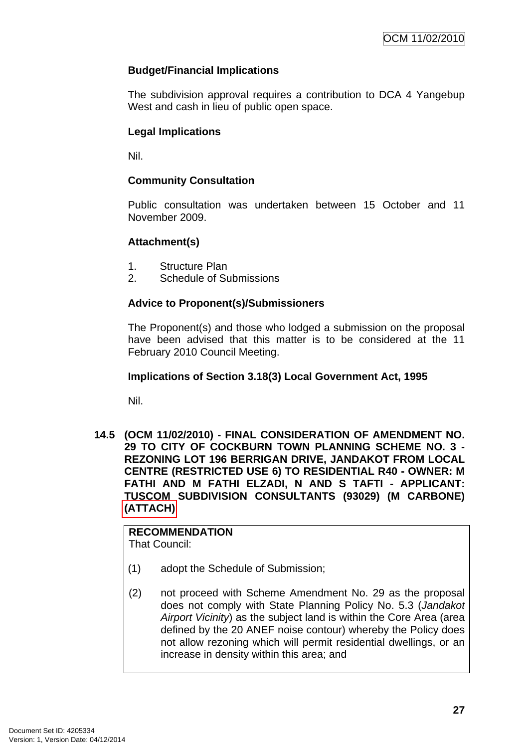# <span id="page-32-0"></span>**Budget/Financial Implications**

The subdivision approval requires a contribution to DCA 4 Yangebup West and cash in lieu of public open space.

# **Legal Implications**

Nil.

# **Community Consultation**

Public consultation was undertaken between 15 October and 11 November 2009.

# **Attachment(s)**

- 1. Structure Plan
- 2. Schedule of Submissions

# **Advice to Proponent(s)/Submissioners**

The Proponent(s) and those who lodged a submission on the proposal have been advised that this matter is to be considered at the 11 February 2010 Council Meeting.

#### **Implications of Section 3.18(3) Local Government Act, 1995**

Nil.

**14.5 (OCM 11/02/2010) - FINAL CONSIDERATION OF AMENDMENT NO. 29 TO CITY OF COCKBURN TOWN PLANNING SCHEME NO. 3 - REZONING LOT 196 BERRIGAN DRIVE, JANDAKOT FROM LOCAL CENTRE (RESTRICTED USE 6) TO RESIDENTIAL R40 - OWNER: M FATHI AND M FATHI ELZADI, N AND S TAFTI - APPLICANT: TUSCOM SUBDIVISION CONSULTANTS (93029) (M CARBONE) (ATTACH)** 

**RECOMMENDATION** That Council:

- (1) adopt the Schedule of Submission;
- (2) not proceed with Scheme Amendment No. 29 as the proposal does not comply with State Planning Policy No. 5.3 (*Jandakot Airport Vicinity*) as the subject land is within the Core Area (area defined by the 20 ANEF noise contour) whereby the Policy does not allow rezoning which will permit residential dwellings, or an increase in density within this area; and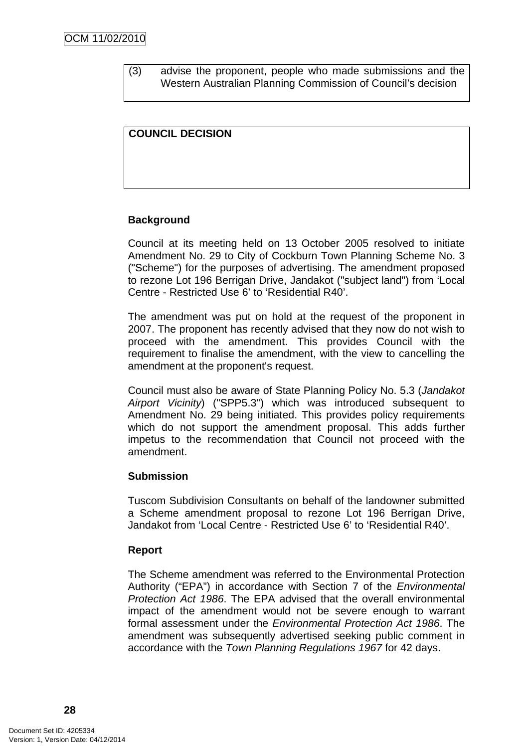(3) advise the proponent, people who made submissions and the Western Australian Planning Commission of Council's decision

#### **COUNCIL DECISION**

#### **Background**

Council at its meeting held on 13 October 2005 resolved to initiate Amendment No. 29 to City of Cockburn Town Planning Scheme No. 3 ("Scheme") for the purposes of advertising. The amendment proposed to rezone Lot 196 Berrigan Drive, Jandakot ("subject land") from 'Local Centre - Restricted Use 6' to 'Residential R40'.

The amendment was put on hold at the request of the proponent in 2007. The proponent has recently advised that they now do not wish to proceed with the amendment. This provides Council with the requirement to finalise the amendment, with the view to cancelling the amendment at the proponent's request.

Council must also be aware of State Planning Policy No. 5.3 (*Jandakot Airport Vicinity*) ("SPP5.3") which was introduced subsequent to Amendment No. 29 being initiated. This provides policy requirements which do not support the amendment proposal. This adds further impetus to the recommendation that Council not proceed with the amendment.

#### **Submission**

Tuscom Subdivision Consultants on behalf of the landowner submitted a Scheme amendment proposal to rezone Lot 196 Berrigan Drive, Jandakot from 'Local Centre - Restricted Use 6' to 'Residential R40'.

#### **Report**

The Scheme amendment was referred to the Environmental Protection Authority ("EPA") in accordance with Section 7 of the *Environmental Protection Act 1986*. The EPA advised that the overall environmental impact of the amendment would not be severe enough to warrant formal assessment under the *Environmental Protection Act 1986*. The amendment was subsequently advertised seeking public comment in accordance with the *Town Planning Regulations 1967* for 42 days.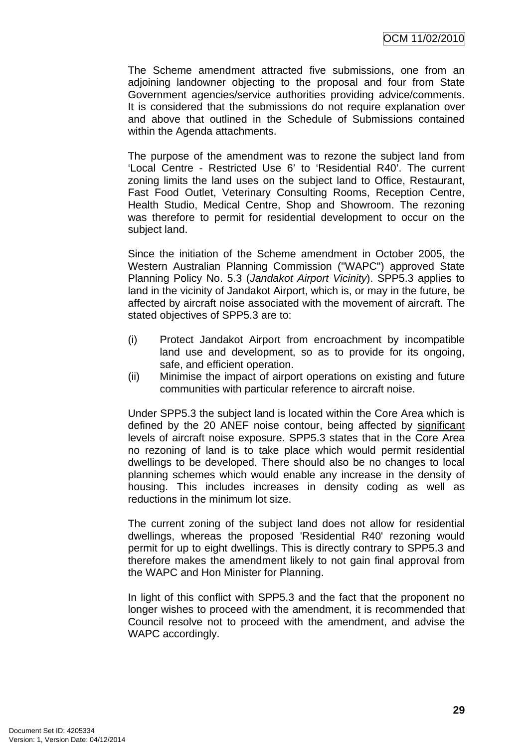The Scheme amendment attracted five submissions, one from an adjoining landowner objecting to the proposal and four from State Government agencies/service authorities providing advice/comments. It is considered that the submissions do not require explanation over and above that outlined in the Schedule of Submissions contained within the Agenda attachments.

The purpose of the amendment was to rezone the subject land from 'Local Centre - Restricted Use 6' to 'Residential R40'. The current zoning limits the land uses on the subject land to Office, Restaurant, Fast Food Outlet, Veterinary Consulting Rooms, Reception Centre, Health Studio, Medical Centre, Shop and Showroom. The rezoning was therefore to permit for residential development to occur on the subject land.

Since the initiation of the Scheme amendment in October 2005, the Western Australian Planning Commission ("WAPC") approved State Planning Policy No. 5.3 (*Jandakot Airport Vicinity*). SPP5.3 applies to land in the vicinity of Jandakot Airport, which is, or may in the future, be affected by aircraft noise associated with the movement of aircraft. The stated objectives of SPP5.3 are to:

- (i) Protect Jandakot Airport from encroachment by incompatible land use and development, so as to provide for its ongoing, safe, and efficient operation.
- (ii) Minimise the impact of airport operations on existing and future communities with particular reference to aircraft noise.

Under SPP5.3 the subject land is located within the Core Area which is defined by the 20 ANEF noise contour, being affected by significant levels of aircraft noise exposure. SPP5.3 states that in the Core Area no rezoning of land is to take place which would permit residential dwellings to be developed. There should also be no changes to local planning schemes which would enable any increase in the density of housing. This includes increases in density coding as well as reductions in the minimum lot size.

The current zoning of the subject land does not allow for residential dwellings, whereas the proposed 'Residential R40' rezoning would permit for up to eight dwellings. This is directly contrary to SPP5.3 and therefore makes the amendment likely to not gain final approval from the WAPC and Hon Minister for Planning.

In light of this conflict with SPP5.3 and the fact that the proponent no longer wishes to proceed with the amendment, it is recommended that Council resolve not to proceed with the amendment, and advise the WAPC accordingly.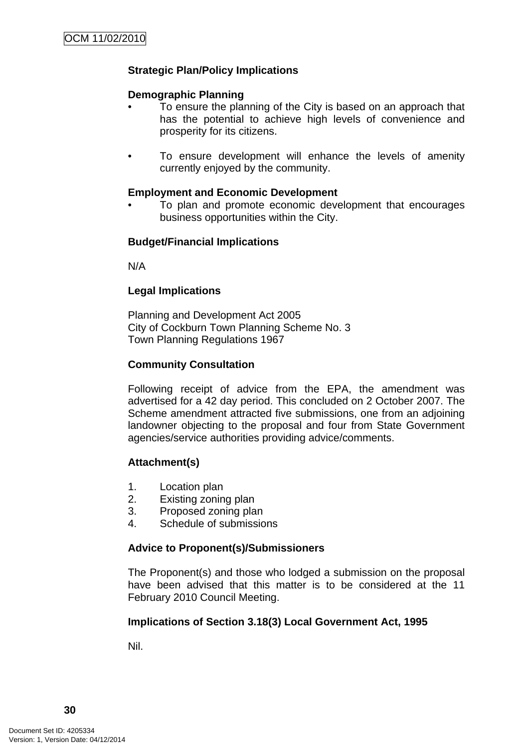# **Strategic Plan/Policy Implications**

#### **Demographic Planning**

- To ensure the planning of the City is based on an approach that has the potential to achieve high levels of convenience and prosperity for its citizens.
- To ensure development will enhance the levels of amenity currently enjoyed by the community.

#### **Employment and Economic Development**

• To plan and promote economic development that encourages business opportunities within the City.

## **Budget/Financial Implications**

N/A

## **Legal Implications**

Planning and Development Act 2005 City of Cockburn Town Planning Scheme No. 3 Town Planning Regulations 1967

## **Community Consultation**

Following receipt of advice from the EPA, the amendment was advertised for a 42 day period. This concluded on 2 October 2007. The Scheme amendment attracted five submissions, one from an adjoining landowner objecting to the proposal and four from State Government agencies/service authorities providing advice/comments.

# **Attachment(s)**

- 1. Location plan
- 2. Existing zoning plan
- 3. Proposed zoning plan
- 4. Schedule of submissions

# **Advice to Proponent(s)/Submissioners**

The Proponent(s) and those who lodged a submission on the proposal have been advised that this matter is to be considered at the 11 February 2010 Council Meeting.

# **Implications of Section 3.18(3) Local Government Act, 1995**

Nil.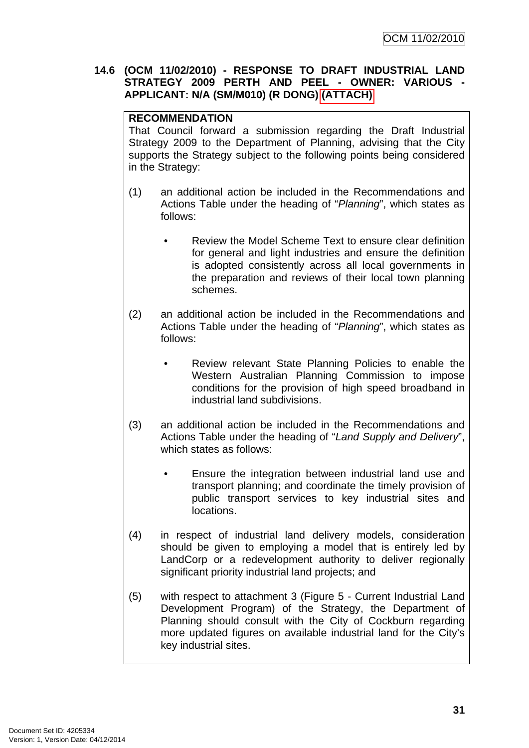### **14.6 (OCM 11/02/2010) - RESPONSE TO DRAFT INDUSTRIAL LAND STRATEGY 2009 PERTH AND PEEL - OWNER: VARIOUS - APPLICANT: N/A (SM/M010) (R DONG) (ATTACH)**

### **RECOMMENDATION**

That Council forward a submission regarding the Draft Industrial Strategy 2009 to the Department of Planning, advising that the City supports the Strategy subject to the following points being considered in the Strategy:

- (1) an additional action be included in the Recommendations and Actions Table under the heading of "*Planning*", which states as follows:
	- Review the Model Scheme Text to ensure clear definition for general and light industries and ensure the definition is adopted consistently across all local governments in the preparation and reviews of their local town planning schemes.
- (2) an additional action be included in the Recommendations and Actions Table under the heading of "*Planning*", which states as follows:
	- Review relevant State Planning Policies to enable the Western Australian Planning Commission to impose conditions for the provision of high speed broadband in industrial land subdivisions.
- (3) an additional action be included in the Recommendations and Actions Table under the heading of "*Land Supply and Delivery*", which states as follows:
	- Ensure the integration between industrial land use and transport planning; and coordinate the timely provision of public transport services to key industrial sites and locations.
- (4) in respect of industrial land delivery models, consideration should be given to employing a model that is entirely led by LandCorp or a redevelopment authority to deliver regionally significant priority industrial land projects; and
- (5) with respect to attachment 3 (Figure 5 Current Industrial Land Development Program) of the Strategy, the Department of Planning should consult with the City of Cockburn regarding more updated figures on available industrial land for the City's key industrial sites.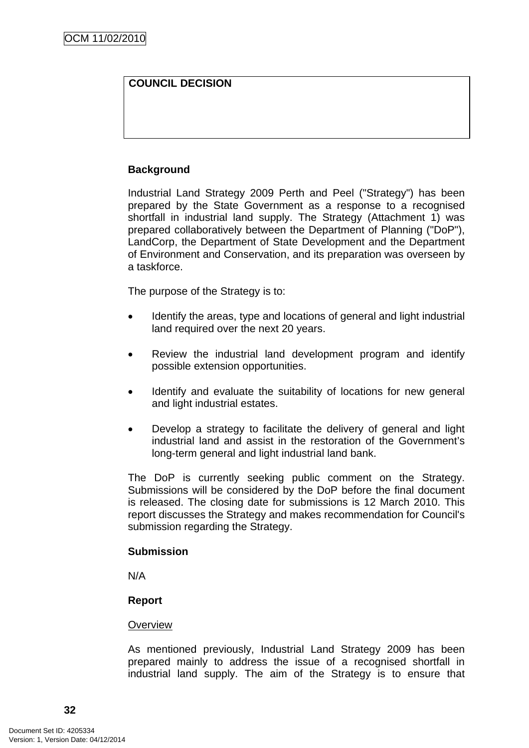### **COUNCIL DECISION**

### **Background**

Industrial Land Strategy 2009 Perth and Peel ("Strategy") has been prepared by the State Government as a response to a recognised shortfall in industrial land supply. The Strategy (Attachment 1) was prepared collaboratively between the Department of Planning ("DoP"), LandCorp, the Department of State Development and the Department of Environment and Conservation, and its preparation was overseen by a taskforce.

The purpose of the Strategy is to:

- Identify the areas, type and locations of general and light industrial land required over the next 20 years.
- Review the industrial land development program and identify possible extension opportunities.
- Identify and evaluate the suitability of locations for new general and light industrial estates.
- Develop a strategy to facilitate the delivery of general and light industrial land and assist in the restoration of the Government's long-term general and light industrial land bank.

The DoP is currently seeking public comment on the Strategy. Submissions will be considered by the DoP before the final document is released. The closing date for submissions is 12 March 2010. This report discusses the Strategy and makes recommendation for Council's submission regarding the Strategy.

### **Submission**

N/A

### **Report**

#### **Overview**

As mentioned previously, Industrial Land Strategy 2009 has been prepared mainly to address the issue of a recognised shortfall in industrial land supply. The aim of the Strategy is to ensure that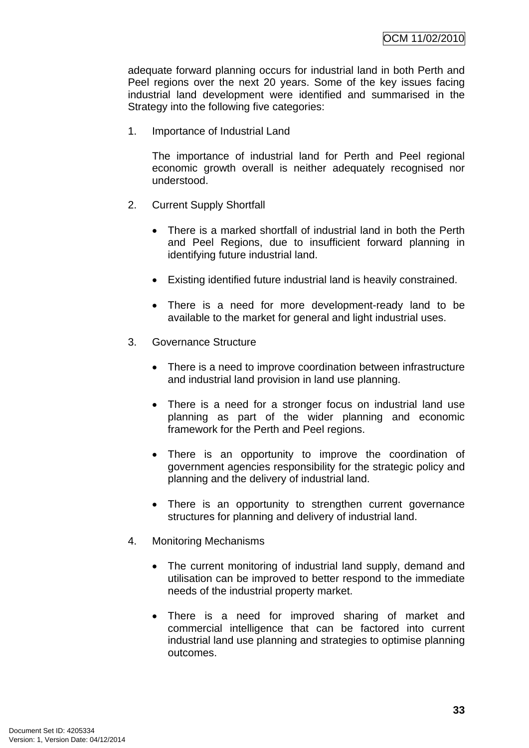adequate forward planning occurs for industrial land in both Perth and Peel regions over the next 20 years. Some of the key issues facing industrial land development were identified and summarised in the Strategy into the following five categories:

1. Importance of Industrial Land

The importance of industrial land for Perth and Peel regional economic growth overall is neither adequately recognised nor understood.

- 2. Current Supply Shortfall
	- There is a marked shortfall of industrial land in both the Perth and Peel Regions, due to insufficient forward planning in identifying future industrial land.
	- Existing identified future industrial land is heavily constrained.
	- There is a need for more development-ready land to be available to the market for general and light industrial uses.
- 3. Governance Structure
	- There is a need to improve coordination between infrastructure and industrial land provision in land use planning.
	- There is a need for a stronger focus on industrial land use planning as part of the wider planning and economic framework for the Perth and Peel regions.
	- There is an opportunity to improve the coordination of government agencies responsibility for the strategic policy and planning and the delivery of industrial land.
	- There is an opportunity to strengthen current governance structures for planning and delivery of industrial land.
- 4. Monitoring Mechanisms
	- The current monitoring of industrial land supply, demand and utilisation can be improved to better respond to the immediate needs of the industrial property market.
	- There is a need for improved sharing of market and commercial intelligence that can be factored into current industrial land use planning and strategies to optimise planning outcomes.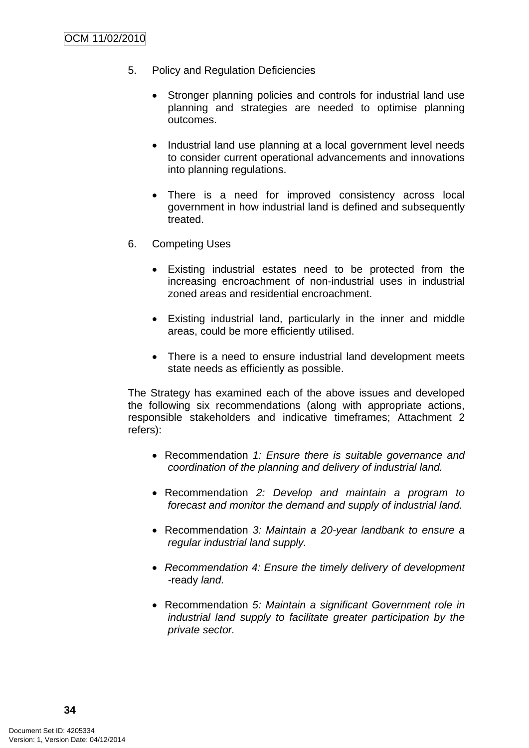- 5. Policy and Regulation Deficiencies
	- Stronger planning policies and controls for industrial land use planning and strategies are needed to optimise planning outcomes.
	- Industrial land use planning at a local government level needs to consider current operational advancements and innovations into planning regulations.
	- There is a need for improved consistency across local government in how industrial land is defined and subsequently treated.
- 6. Competing Uses
	- Existing industrial estates need to be protected from the increasing encroachment of non-industrial uses in industrial zoned areas and residential encroachment.
	- Existing industrial land, particularly in the inner and middle areas, could be more efficiently utilised.
	- There is a need to ensure industrial land development meets state needs as efficiently as possible.

The Strategy has examined each of the above issues and developed the following six recommendations (along with appropriate actions, responsible stakeholders and indicative timeframes; Attachment 2 refers):

- Recommendation *1: Ensure there is suitable governance and coordination of the planning and delivery of industrial land.*
- Recommendation *2: Develop and maintain a program to forecast and monitor the demand and supply of industrial land.*
- Recommendation *3: Maintain a 20-year landbank to ensure a regular industrial land supply.*
- *Recommendation 4: Ensure the timely delivery of development -*ready *land.*
- Recommendation *5: Maintain a significant Government role in industrial land supply to facilitate greater participation by the private sector.*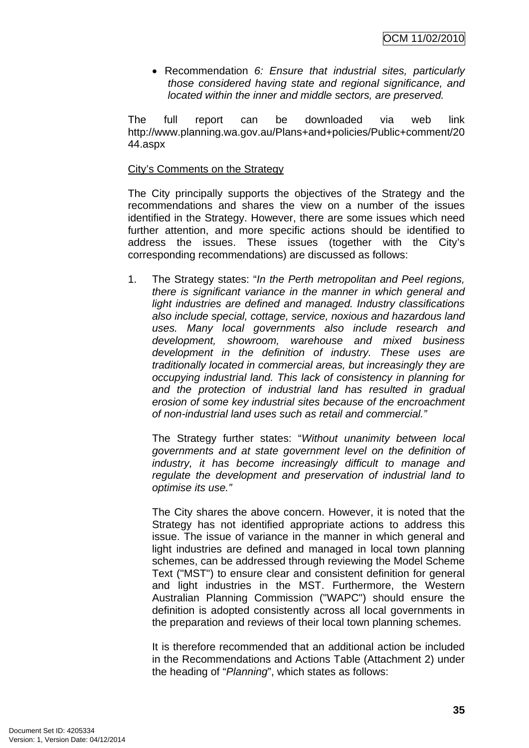• Recommendation *6: Ensure that industrial sites, particularly those considered having state and regional significance, and located within the inner and middle sectors, are preserved.* 

The full report can be downloaded via web link http://www.planning.wa.gov.au/Plans+and+policies/Public+comment/20 44.aspx

### City's Comments on the Strategy

The City principally supports the objectives of the Strategy and the recommendations and shares the view on a number of the issues identified in the Strategy. However, there are some issues which need further attention, and more specific actions should be identified to address the issues. These issues (together with the City's corresponding recommendations) are discussed as follows:

1. The Strategy states: "*In the Perth metropolitan and Peel regions, there is significant variance in the manner in which general and light industries are defined and managed. Industry classifications also include special, cottage, service, noxious and hazardous land uses. Many local governments also include research and development, showroom, warehouse and mixed business development in the definition of industry. These uses are traditionally located in commercial areas, but increasingly they are occupying industrial land. This lack of consistency in planning for and the protection of industrial land has resulted in gradual erosion of some key industrial sites because of the encroachment of non-industrial land uses such as retail and commercial."* 

The Strategy further states: "*Without unanimity between local governments and at state government level on the definition of industry, it has become increasingly difficult to manage and regulate the development and preservation of industrial land to optimise its use."* 

The City shares the above concern. However, it is noted that the Strategy has not identified appropriate actions to address this issue. The issue of variance in the manner in which general and light industries are defined and managed in local town planning schemes, can be addressed through reviewing the Model Scheme Text ("MST") to ensure clear and consistent definition for general and light industries in the MST. Furthermore, the Western Australian Planning Commission ("WAPC") should ensure the definition is adopted consistently across all local governments in the preparation and reviews of their local town planning schemes.

It is therefore recommended that an additional action be included in the Recommendations and Actions Table (Attachment 2) under the heading of "*Planning*", which states as follows: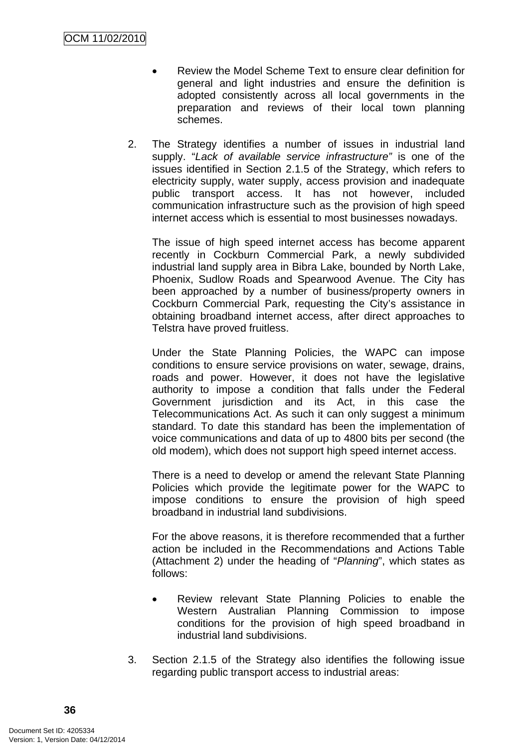- Review the Model Scheme Text to ensure clear definition for general and light industries and ensure the definition is adopted consistently across all local governments in the preparation and reviews of their local town planning schemes.
- 2. The Strategy identifies a number of issues in industrial land supply. "*Lack of available service infrastructure"* is one of the issues identified in Section 2.1.5 of the Strategy, which refers to electricity supply, water supply, access provision and inadequate public transport access. It has not however, included communication infrastructure such as the provision of high speed internet access which is essential to most businesses nowadays.

The issue of high speed internet access has become apparent recently in Cockburn Commercial Park, a newly subdivided industrial land supply area in Bibra Lake, bounded by North Lake, Phoenix, Sudlow Roads and Spearwood Avenue. The City has been approached by a number of business/property owners in Cockburn Commercial Park, requesting the City's assistance in obtaining broadband internet access, after direct approaches to Telstra have proved fruitless.

Under the State Planning Policies, the WAPC can impose conditions to ensure service provisions on water, sewage, drains, roads and power. However, it does not have the legislative authority to impose a condition that falls under the Federal Government jurisdiction and its Act, in this case the Telecommunications Act. As such it can only suggest a minimum standard. To date this standard has been the implementation of voice communications and data of up to 4800 bits per second (the old modem), which does not support high speed internet access.

There is a need to develop or amend the relevant State Planning Policies which provide the legitimate power for the WAPC to impose conditions to ensure the provision of high speed broadband in industrial land subdivisions.

For the above reasons, it is therefore recommended that a further action be included in the Recommendations and Actions Table (Attachment 2) under the heading of "*Planning*", which states as follows:

- Review relevant State Planning Policies to enable the Western Australian Planning Commission to impose conditions for the provision of high speed broadband in industrial land subdivisions.
- 3. Section 2.1.5 of the Strategy also identifies the following issue regarding public transport access to industrial areas: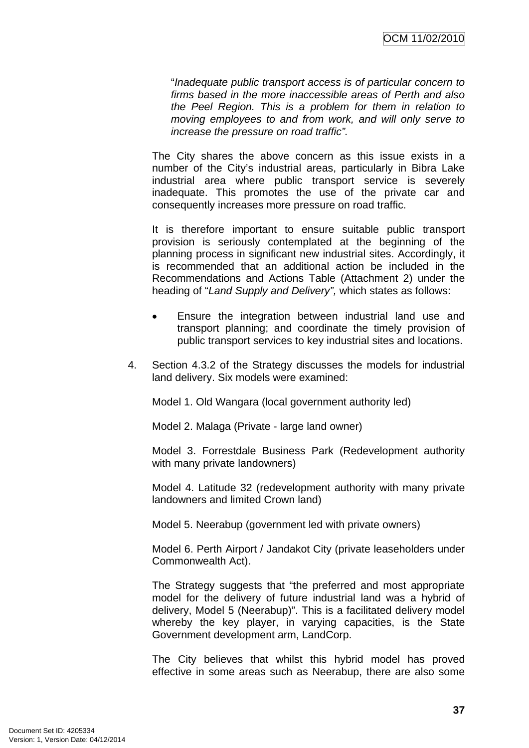"*Inadequate public transport access is of particular concern to firms based in the more inaccessible areas of Perth and also the Peel Region. This is a problem for them in relation to moving employees to and from work, and will only serve to increase the pressure on road traffic".* 

The City shares the above concern as this issue exists in a number of the City's industrial areas, particularly in Bibra Lake industrial area where public transport service is severely inadequate. This promotes the use of the private car and consequently increases more pressure on road traffic.

It is therefore important to ensure suitable public transport provision is seriously contemplated at the beginning of the planning process in significant new industrial sites. Accordingly, it is recommended that an additional action be included in the Recommendations and Actions Table (Attachment 2) under the heading of "*Land Supply and Delivery",* which states as follows:

- Ensure the integration between industrial land use and transport planning; and coordinate the timely provision of public transport services to key industrial sites and locations.
- 4. Section 4.3.2 of the Strategy discusses the models for industrial land delivery. Six models were examined:

Model 1. Old Wangara (local government authority led)

Model 2. Malaga (Private - large land owner)

Model 3. Forrestdale Business Park (Redevelopment authority with many private landowners)

Model 4. Latitude 32 (redevelopment authority with many private landowners and limited Crown land)

Model 5. Neerabup (government led with private owners)

Model 6. Perth Airport / Jandakot City (private leaseholders under Commonwealth Act).

The Strategy suggests that "the preferred and most appropriate model for the delivery of future industrial land was a hybrid of delivery, Model 5 (Neerabup)". This is a facilitated delivery model whereby the key player, in varying capacities, is the State Government development arm, LandCorp.

The City believes that whilst this hybrid model has proved effective in some areas such as Neerabup, there are also some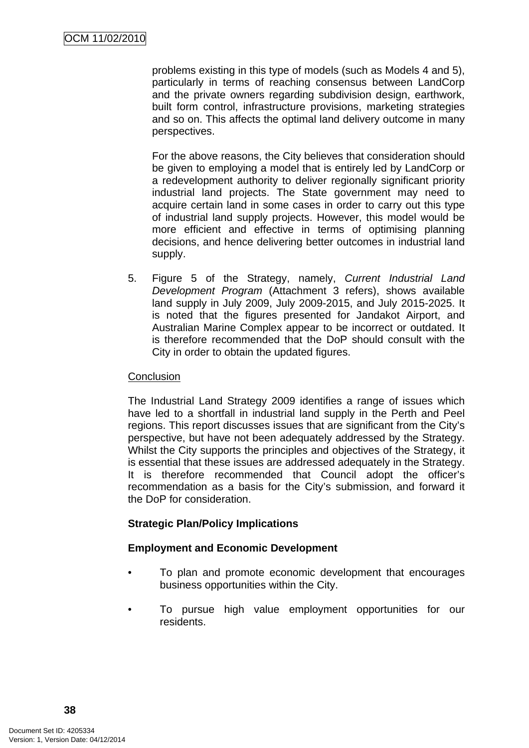problems existing in this type of models (such as Models 4 and 5), particularly in terms of reaching consensus between LandCorp and the private owners regarding subdivision design, earthwork, built form control, infrastructure provisions, marketing strategies and so on. This affects the optimal land delivery outcome in many perspectives.

For the above reasons, the City believes that consideration should be given to employing a model that is entirely led by LandCorp or a redevelopment authority to deliver regionally significant priority industrial land projects. The State government may need to acquire certain land in some cases in order to carry out this type of industrial land supply projects. However, this model would be more efficient and effective in terms of optimising planning decisions, and hence delivering better outcomes in industrial land supply.

5. Figure 5 of the Strategy, namely, *Current Industrial Land Development Program* (Attachment 3 refers), shows available land supply in July 2009, July 2009-2015, and July 2015-2025. It is noted that the figures presented for Jandakot Airport, and Australian Marine Complex appear to be incorrect or outdated. It is therefore recommended that the DoP should consult with the City in order to obtain the updated figures.

### **Conclusion**

The Industrial Land Strategy 2009 identifies a range of issues which have led to a shortfall in industrial land supply in the Perth and Peel regions. This report discusses issues that are significant from the City's perspective, but have not been adequately addressed by the Strategy. Whilst the City supports the principles and objectives of the Strategy, it is essential that these issues are addressed adequately in the Strategy. It is therefore recommended that Council adopt the officer's recommendation as a basis for the City's submission, and forward it the DoP for consideration.

### **Strategic Plan/Policy Implications**

### **Employment and Economic Development**

- To plan and promote economic development that encourages business opportunities within the City.
- To pursue high value employment opportunities for our residents.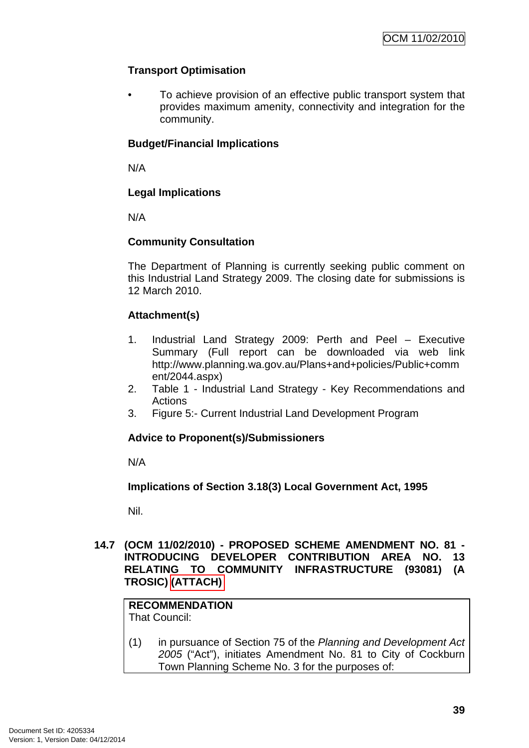### **Transport Optimisation**

• To achieve provision of an effective public transport system that provides maximum amenity, connectivity and integration for the community.

### **Budget/Financial Implications**

N/A

### **Legal Implications**

N/A

### **Community Consultation**

The Department of Planning is currently seeking public comment on this Industrial Land Strategy 2009. The closing date for submissions is 12 March 2010.

### **Attachment(s)**

- 1. Industrial Land Strategy 2009: Perth and Peel Executive Summary (Full report can be downloaded via web link http://www.planning.wa.gov.au/Plans+and+policies/Public+comm ent/2044.aspx)
- 2. Table 1 Industrial Land Strategy Key Recommendations and Actions
- 3. Figure 5:- Current Industrial Land Development Program

### **Advice to Proponent(s)/Submissioners**

N/A

**Implications of Section 3.18(3) Local Government Act, 1995**

Nil.

#### **14.7 (OCM 11/02/2010) - PROPOSED SCHEME AMENDMENT NO. 81 - INTRODUCING DEVELOPER CONTRIBUTION AREA NO. 13 RELATING TO COMMUNITY INFRASTRUCTURE (93081) (A TROSIC) (ATTACH)**

# **RECOMMENDATION**

That Council:

(1) in pursuance of Section 75 of the *Planning and Development Act 2005* ("Act"), initiates Amendment No. 81 to City of Cockburn Town Planning Scheme No. 3 for the purposes of: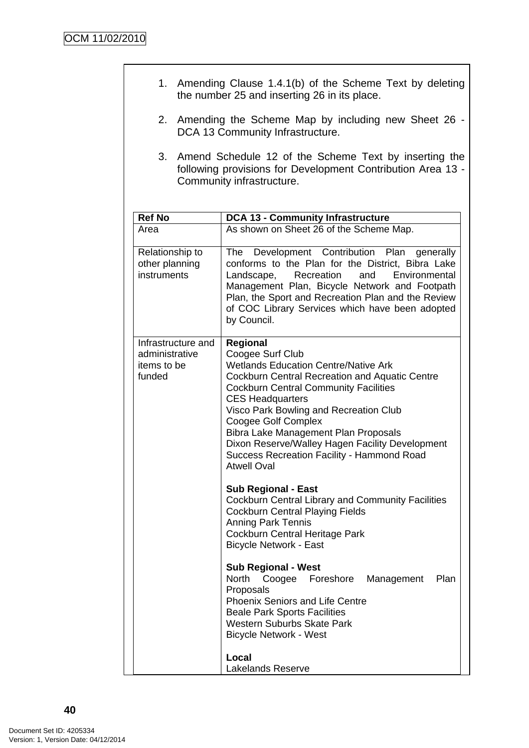|                                                               | Amending Clause 1.4.1(b) of the Scheme Text by deleting<br>1.<br>the number 25 and inserting 26 in its place. |                                                                                                                                                   |                                                                                                                                                                                                                                                                                                                                                                                                                                                                                                                                                                                                                                                                                                                                                                                                                                   |                                   |  |
|---------------------------------------------------------------|---------------------------------------------------------------------------------------------------------------|---------------------------------------------------------------------------------------------------------------------------------------------------|-----------------------------------------------------------------------------------------------------------------------------------------------------------------------------------------------------------------------------------------------------------------------------------------------------------------------------------------------------------------------------------------------------------------------------------------------------------------------------------------------------------------------------------------------------------------------------------------------------------------------------------------------------------------------------------------------------------------------------------------------------------------------------------------------------------------------------------|-----------------------------------|--|
|                                                               | 2.<br>Amending the Scheme Map by including new Sheet 26 -<br>DCA 13 Community Infrastructure.                 |                                                                                                                                                   |                                                                                                                                                                                                                                                                                                                                                                                                                                                                                                                                                                                                                                                                                                                                                                                                                                   |                                   |  |
|                                                               | 3.                                                                                                            | Amend Schedule 12 of the Scheme Text by inserting the<br>following provisions for Development Contribution Area 13 -<br>Community infrastructure. |                                                                                                                                                                                                                                                                                                                                                                                                                                                                                                                                                                                                                                                                                                                                                                                                                                   |                                   |  |
|                                                               | <b>Ref No</b>                                                                                                 |                                                                                                                                                   | <b>DCA 13 - Community Infrastructure</b>                                                                                                                                                                                                                                                                                                                                                                                                                                                                                                                                                                                                                                                                                                                                                                                          |                                   |  |
|                                                               | Area                                                                                                          |                                                                                                                                                   | As shown on Sheet 26 of the Scheme Map.                                                                                                                                                                                                                                                                                                                                                                                                                                                                                                                                                                                                                                                                                                                                                                                           |                                   |  |
|                                                               | Relationship to<br>other planning<br>instruments                                                              | Landscape,<br>by Council.                                                                                                                         | The Development Contribution Plan<br>conforms to the Plan for the District, Bibra Lake<br>Recreation<br>Management Plan, Bicycle Network and Footpath<br>Plan, the Sport and Recreation Plan and the Review<br>of COC Library Services which have been adopted                                                                                                                                                                                                                                                                                                                                                                                                                                                                                                                                                                    | generally<br>and<br>Environmental |  |
| Infrastructure and<br>administrative<br>items to be<br>funded |                                                                                                               | Regional<br><b>Atwell Oval</b><br><b>North</b><br>Proposals<br><b>Bicycle Network - West</b><br>Local                                             | Coogee Surf Club<br><b>Wetlands Education Centre/Native Ark</b><br><b>Cockburn Central Recreation and Aquatic Centre</b><br><b>Cockburn Central Community Facilities</b><br><b>CES Headquarters</b><br>Visco Park Bowling and Recreation Club<br>Coogee Golf Complex<br>Bibra Lake Management Plan Proposals<br>Dixon Reserve/Walley Hagen Facility Development<br>Success Recreation Facility - Hammond Road<br><b>Sub Regional - East</b><br>Cockburn Central Library and Community Facilities<br>Cockburn Central Playing Fields<br><b>Anning Park Tennis</b><br>Cockburn Central Heritage Park<br><b>Bicycle Network - East</b><br><b>Sub Regional - West</b><br>Coogee Foreshore<br>Plan<br>Management<br><b>Phoenix Seniors and Life Centre</b><br><b>Beale Park Sports Facilities</b><br><b>Western Suburbs Skate Park</b> |                                   |  |
|                                                               |                                                                                                               | Lakelands Reserve                                                                                                                                 |                                                                                                                                                                                                                                                                                                                                                                                                                                                                                                                                                                                                                                                                                                                                                                                                                                   |                                   |  |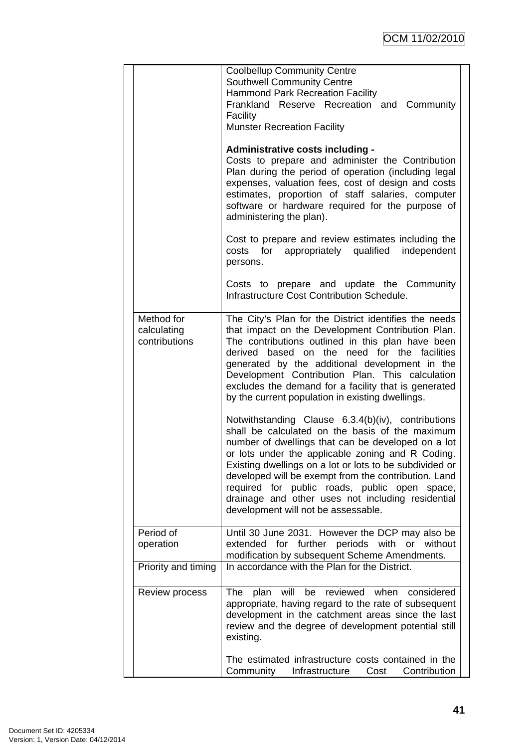|                                            | <b>Coolbellup Community Centre</b><br><b>Southwell Community Centre</b><br><b>Hammond Park Recreation Facility</b><br>Frankland Reserve Recreation and Community<br>Facility<br><b>Munster Recreation Facility</b>                                                                                                                                                                                                                                                               |
|--------------------------------------------|----------------------------------------------------------------------------------------------------------------------------------------------------------------------------------------------------------------------------------------------------------------------------------------------------------------------------------------------------------------------------------------------------------------------------------------------------------------------------------|
|                                            | Administrative costs including -<br>Costs to prepare and administer the Contribution<br>Plan during the period of operation (including legal<br>expenses, valuation fees, cost of design and costs<br>estimates, proportion of staff salaries, computer<br>software or hardware required for the purpose of<br>administering the plan).                                                                                                                                          |
|                                            | Cost to prepare and review estimates including the<br>costs for appropriately qualified independent<br>persons.                                                                                                                                                                                                                                                                                                                                                                  |
|                                            | Costs to prepare and update the Community<br>Infrastructure Cost Contribution Schedule.                                                                                                                                                                                                                                                                                                                                                                                          |
| Method for<br>calculating<br>contributions | The City's Plan for the District identifies the needs<br>that impact on the Development Contribution Plan.<br>The contributions outlined in this plan have been<br>derived based on the<br>need for the facilities<br>generated by the additional development in the<br>Development Contribution Plan. This calculation<br>excludes the demand for a facility that is generated<br>by the current population in existing dwellings.                                              |
|                                            | Notwithstanding Clause 6.3.4(b)(iv), contributions<br>shall be calculated on the basis of the maximum<br>number of dwellings that can be developed on a lot<br>or lots under the applicable zoning and R Coding.<br>Existing dwellings on a lot or lots to be subdivided or<br>developed will be exempt from the contribution. Land<br>required for public roads, public open space,<br>drainage and other uses not including residential<br>development will not be assessable. |
| Period of<br>operation                     | Until 30 June 2031. However the DCP may also be<br>for further periods<br>with<br>extended<br>or<br>without<br>modification by subsequent Scheme Amendments.                                                                                                                                                                                                                                                                                                                     |
| Priority and timing                        | In accordance with the Plan for the District.                                                                                                                                                                                                                                                                                                                                                                                                                                    |
| Review process                             | will<br>reviewed<br>considered<br>be<br>when<br>The<br>plan<br>appropriate, having regard to the rate of subsequent<br>development in the catchment areas since the last<br>review and the degree of development potential still<br>existing.                                                                                                                                                                                                                                    |
|                                            | The estimated infrastructure costs contained in the<br>Community<br>Infrastructure<br>Cost<br>Contribution                                                                                                                                                                                                                                                                                                                                                                       |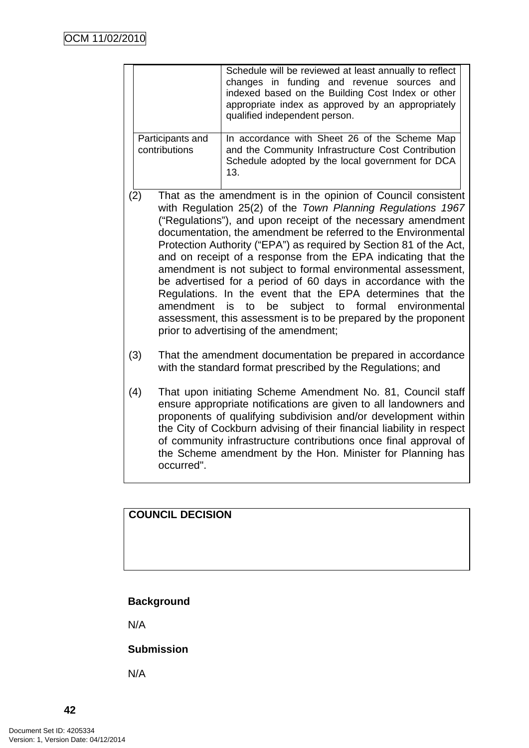|     | Participants and<br>contributions                                                                                                                                                                                                                                                                                                                                                                                                                                                                                                                                                                                                                                                                                                                                                | Schedule will be reviewed at least annually to reflect<br>changes in funding and revenue sources and<br>indexed based on the Building Cost Index or other<br>appropriate index as approved by an appropriately<br>qualified independent person.<br>In accordance with Sheet 26 of the Scheme Map<br>and the Community Infrastructure Cost Contribution<br>Schedule adopted by the local government for DCA<br>13. |  |
|-----|----------------------------------------------------------------------------------------------------------------------------------------------------------------------------------------------------------------------------------------------------------------------------------------------------------------------------------------------------------------------------------------------------------------------------------------------------------------------------------------------------------------------------------------------------------------------------------------------------------------------------------------------------------------------------------------------------------------------------------------------------------------------------------|-------------------------------------------------------------------------------------------------------------------------------------------------------------------------------------------------------------------------------------------------------------------------------------------------------------------------------------------------------------------------------------------------------------------|--|
| (2) | That as the amendment is in the opinion of Council consistent<br>with Regulation 25(2) of the Town Planning Regulations 1967<br>("Regulations"), and upon receipt of the necessary amendment<br>documentation, the amendment be referred to the Environmental<br>Protection Authority ("EPA") as required by Section 81 of the Act,<br>and on receipt of a response from the EPA indicating that the<br>amendment is not subject to formal environmental assessment,<br>be advertised for a period of 60 days in accordance with the<br>Regulations. In the event that the EPA determines that the<br>amendment<br>be<br>subject to formal environmental<br>is<br>to<br>assessment, this assessment is to be prepared by the proponent<br>prior to advertising of the amendment; |                                                                                                                                                                                                                                                                                                                                                                                                                   |  |
| (3) |                                                                                                                                                                                                                                                                                                                                                                                                                                                                                                                                                                                                                                                                                                                                                                                  | That the amendment documentation be prepared in accordance<br>with the standard format prescribed by the Regulations; and                                                                                                                                                                                                                                                                                         |  |
| (4) | occurred".                                                                                                                                                                                                                                                                                                                                                                                                                                                                                                                                                                                                                                                                                                                                                                       | That upon initiating Scheme Amendment No. 81, Council staff<br>ensure appropriate notifications are given to all landowners and<br>proponents of qualifying subdivision and/or development within<br>the City of Cockburn advising of their financial liability in respect<br>of community infrastructure contributions once final approval of<br>the Scheme amendment by the Hon. Minister for Planning has      |  |

# **COUNCIL DECISION**

# **Background**

N/A

# **Submission**

N/A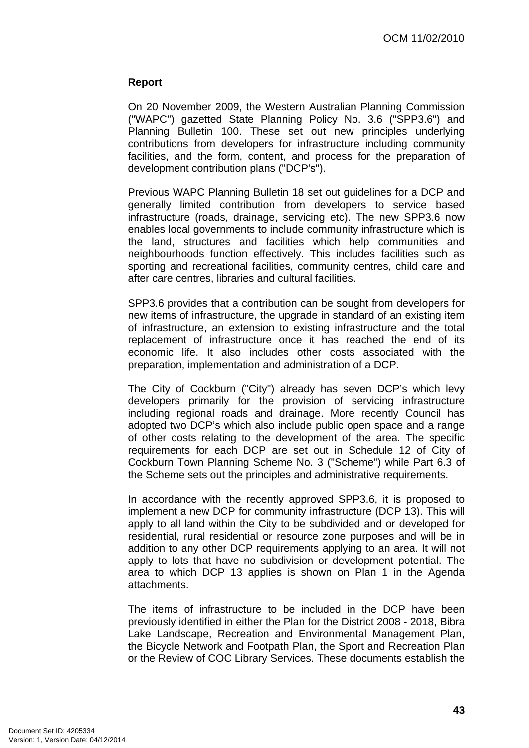### **Report**

On 20 November 2009, the Western Australian Planning Commission ("WAPC") gazetted State Planning Policy No. 3.6 ("SPP3.6") and Planning Bulletin 100. These set out new principles underlying contributions from developers for infrastructure including community facilities, and the form, content, and process for the preparation of development contribution plans ("DCP's").

Previous WAPC Planning Bulletin 18 set out guidelines for a DCP and generally limited contribution from developers to service based infrastructure (roads, drainage, servicing etc). The new SPP3.6 now enables local governments to include community infrastructure which is the land, structures and facilities which help communities and neighbourhoods function effectively. This includes facilities such as sporting and recreational facilities, community centres, child care and after care centres, libraries and cultural facilities.

SPP3.6 provides that a contribution can be sought from developers for new items of infrastructure, the upgrade in standard of an existing item of infrastructure, an extension to existing infrastructure and the total replacement of infrastructure once it has reached the end of its economic life. It also includes other costs associated with the preparation, implementation and administration of a DCP.

The City of Cockburn ("City") already has seven DCP's which levy developers primarily for the provision of servicing infrastructure including regional roads and drainage. More recently Council has adopted two DCP's which also include public open space and a range of other costs relating to the development of the area. The specific requirements for each DCP are set out in Schedule 12 of City of Cockburn Town Planning Scheme No. 3 ("Scheme") while Part 6.3 of the Scheme sets out the principles and administrative requirements.

In accordance with the recently approved SPP3.6, it is proposed to implement a new DCP for community infrastructure (DCP 13). This will apply to all land within the City to be subdivided and or developed for residential, rural residential or resource zone purposes and will be in addition to any other DCP requirements applying to an area. It will not apply to lots that have no subdivision or development potential. The area to which DCP 13 applies is shown on Plan 1 in the Agenda attachments.

The items of infrastructure to be included in the DCP have been previously identified in either the Plan for the District 2008 - 2018, Bibra Lake Landscape, Recreation and Environmental Management Plan, the Bicycle Network and Footpath Plan, the Sport and Recreation Plan or the Review of COC Library Services. These documents establish the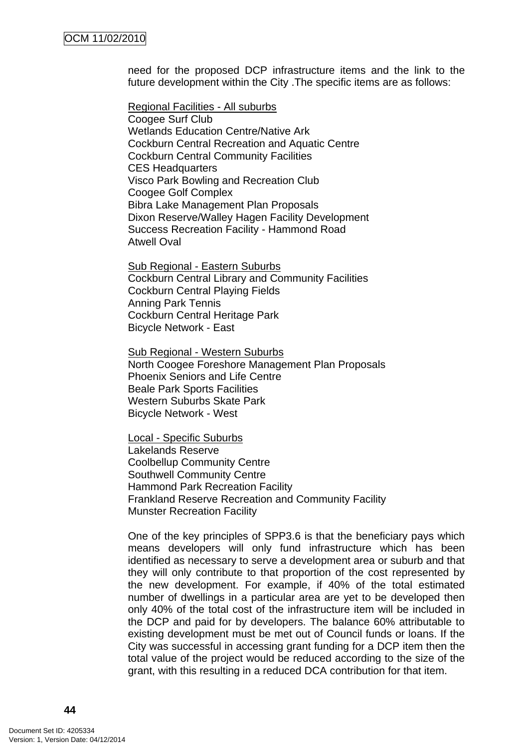need for the proposed DCP infrastructure items and the link to the future development within the City .The specific items are as follows:

Regional Facilities - All suburbs Coogee Surf Club Wetlands Education Centre/Native Ark Cockburn Central Recreation and Aquatic Centre Cockburn Central Community Facilities CES Headquarters Visco Park Bowling and Recreation Club Coogee Golf Complex Bibra Lake Management Plan Proposals Dixon Reserve/Walley Hagen Facility Development Success Recreation Facility - Hammond Road Atwell Oval

Sub Regional - Eastern Suburbs Cockburn Central Library and Community Facilities Cockburn Central Playing Fields Anning Park Tennis Cockburn Central Heritage Park Bicycle Network - East

Sub Regional - Western Suburbs North Coogee Foreshore Management Plan Proposals Phoenix Seniors and Life Centre Beale Park Sports Facilities Western Suburbs Skate Park Bicycle Network - West

Local - Specific Suburbs Lakelands Reserve Coolbellup Community Centre Southwell Community Centre Hammond Park Recreation Facility Frankland Reserve Recreation and Community Facility Munster Recreation Facility

One of the key principles of SPP3.6 is that the beneficiary pays which means developers will only fund infrastructure which has been identified as necessary to serve a development area or suburb and that they will only contribute to that proportion of the cost represented by the new development. For example, if 40% of the total estimated number of dwellings in a particular area are yet to be developed then only 40% of the total cost of the infrastructure item will be included in the DCP and paid for by developers. The balance 60% attributable to existing development must be met out of Council funds or loans. If the City was successful in accessing grant funding for a DCP item then the total value of the project would be reduced according to the size of the grant, with this resulting in a reduced DCA contribution for that item.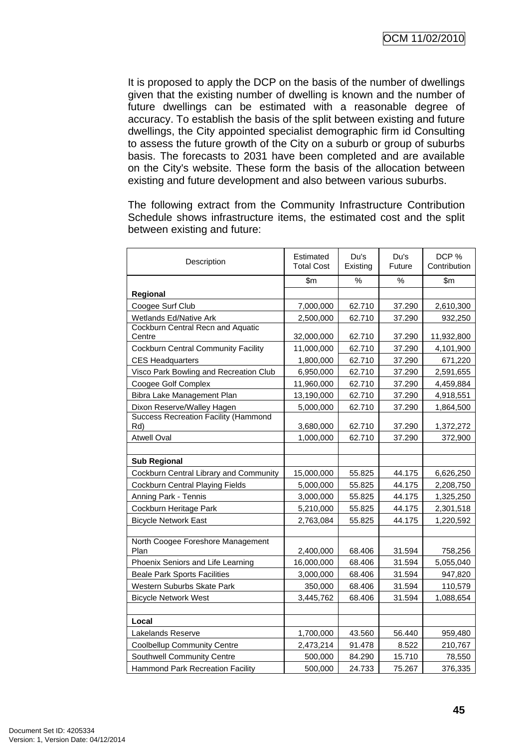It is proposed to apply the DCP on the basis of the number of dwellings given that the existing number of dwelling is known and the number of future dwellings can be estimated with a reasonable degree of accuracy. To establish the basis of the split between existing and future dwellings, the City appointed specialist demographic firm id Consulting to assess the future growth of the City on a suburb or group of suburbs basis. The forecasts to 2031 have been completed and are available on the City's website. These form the basis of the allocation between existing and future development and also between various suburbs.

The following extract from the Community Infrastructure Contribution Schedule shows infrastructure items, the estimated cost and the split between existing and future:

| Description                                        | Estimated<br><b>Total Cost</b> | Du's<br>Existing | Du's<br>Future | DCP %<br>Contribution |
|----------------------------------------------------|--------------------------------|------------------|----------------|-----------------------|
|                                                    | $\overline{\$m}$               | $\%$             | $\%$           | $\overline{\$m}$      |
| Regional                                           |                                |                  |                |                       |
| Coogee Surf Club                                   | 7,000,000                      | 62.710           | 37.290         | 2,610,300             |
| <b>Wetlands Ed/Native Ark</b>                      | 2,500,000                      | 62.710           | 37.290         | 932,250               |
| Cockburn Central Recn and Aquatic                  |                                |                  |                |                       |
| Centre                                             | 32,000,000                     | 62.710           | 37.290         | 11,932,800            |
| <b>Cockburn Central Community Facility</b>         | 11,000,000                     | 62.710           | 37.290         | 4,101,900             |
| <b>CES Headquarters</b>                            | 1,800,000                      | 62.710           | 37.290         | 671,220               |
| Visco Park Bowling and Recreation Club             | 6,950,000                      | 62.710           | 37.290         | 2,591,655             |
| Coogee Golf Complex                                | 11,960,000                     | 62.710           | 37.290         | 4,459,884             |
| Bibra Lake Management Plan                         | 13,190,000                     | 62.710           | 37.290         | 4,918,551             |
| Dixon Reserve/Walley Hagen                         | 5,000,000                      | 62.710           | 37.290         | 1,864,500             |
| <b>Success Recreation Facility (Hammond</b><br>Rd) | 3,680,000                      | 62.710           | 37.290         | 1,372,272             |
| <b>Atwell Oval</b>                                 | 1,000,000                      | 62.710           | 37.290         | 372,900               |
|                                                    |                                |                  |                |                       |
| <b>Sub Regional</b>                                |                                |                  |                |                       |
| Cockburn Central Library and Community             | 15,000,000                     | 55.825           | 44.175         | 6,626,250             |
| Cockburn Central Playing Fields                    | 5,000,000                      | 55.825           | 44.175         | 2,208,750             |
| Anning Park - Tennis                               | 3,000,000                      | 55.825           | 44.175         | 1,325,250             |
| Cockburn Heritage Park                             | 5,210,000                      | 55.825           | 44.175         | 2,301,518             |
| <b>Bicycle Network East</b>                        | 2,763,084                      | 55.825           | 44.175         | 1,220,592             |
|                                                    |                                |                  |                |                       |
| North Coogee Foreshore Management<br>Plan          | 2,400,000                      | 68.406           | 31.594         | 758,256               |
| Phoenix Seniors and Life Learning                  | 16,000,000                     | 68.406           | 31.594         | 5,055,040             |
| <b>Beale Park Sports Facilities</b>                | 3,000,000                      | 68.406           | 31.594         | 947,820               |
| Western Suburbs Skate Park                         | 350,000                        | 68.406           | 31.594         | 110,579               |
| <b>Bicycle Network West</b>                        | 3,445,762                      | 68.406           | 31.594         | 1,088,654             |
|                                                    |                                |                  |                |                       |
| Local                                              |                                |                  |                |                       |
| Lakelands Reserve                                  | 1,700,000                      | 43.560           | 56.440         | 959,480               |
| <b>Coolbellup Community Centre</b>                 | 2,473,214                      | 91.478           | 8.522          | 210,767               |
| Southwell Community Centre                         | 500,000                        | 84.290           | 15.710         | 78,550                |
| Hammond Park Recreation Facility                   | 500,000                        | 24.733           | 75.267         | 376,335               |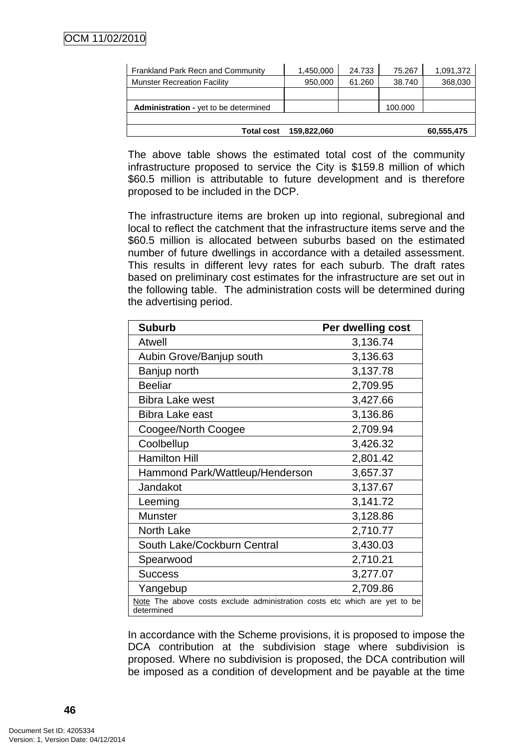| <b>Frankland Park Recn and Community</b>     | 1,450,000   | 24.733 | 75.267  | 1,091,372  |
|----------------------------------------------|-------------|--------|---------|------------|
| <b>Munster Recreation Facility</b>           | 950,000     | 61.260 | 38.740  | 368,030    |
|                                              |             |        |         |            |
| <b>Administration - yet to be determined</b> |             |        | 100.000 |            |
|                                              |             |        |         |            |
| <b>Total cost</b>                            | 159,822,060 |        |         | 60,555,475 |

The above table shows the estimated total cost of the community infrastructure proposed to service the City is \$159.8 million of which \$60.5 million is attributable to future development and is therefore proposed to be included in the DCP.

The infrastructure items are broken up into regional, subregional and local to reflect the catchment that the infrastructure items serve and the \$60.5 million is allocated between suburbs based on the estimated number of future dwellings in accordance with a detailed assessment. This results in different levy rates for each suburb. The draft rates based on preliminary cost estimates for the infrastructure are set out in the following table. The administration costs will be determined during the advertising period.

| <b>Suburb</b>                                                                           | Per dwelling cost |  |
|-----------------------------------------------------------------------------------------|-------------------|--|
| Atwell                                                                                  | 3,136.74          |  |
| Aubin Grove/Banjup south                                                                | 3,136.63          |  |
| Banjup north                                                                            | 3,137.78          |  |
| <b>Beeliar</b>                                                                          | 2,709.95          |  |
| <b>Bibra Lake west</b>                                                                  | 3,427.66          |  |
| Bibra Lake east                                                                         | 3,136.86          |  |
| Coogee/North Coogee                                                                     | 2,709.94          |  |
| Coolbellup                                                                              | 3,426.32          |  |
| <b>Hamilton Hill</b>                                                                    | 2,801.42          |  |
| Hammond Park/Wattleup/Henderson                                                         | 3,657.37          |  |
| Jandakot                                                                                | 3,137.67          |  |
| Leeming                                                                                 | 3,141.72          |  |
| <b>Munster</b>                                                                          | 3,128.86          |  |
| North Lake                                                                              | 2,710.77          |  |
| South Lake/Cockburn Central                                                             | 3,430.03          |  |
| Spearwood                                                                               | 2,710.21          |  |
| <b>Success</b>                                                                          | 3,277.07          |  |
| Yangebup                                                                                | 2,709.86          |  |
| Note The above costs exclude administration costs etc which are yet to be<br>determined |                   |  |

In accordance with the Scheme provisions, it is proposed to impose the DCA contribution at the subdivision stage where subdivision is proposed. Where no subdivision is proposed, the DCA contribution will be imposed as a condition of development and be payable at the time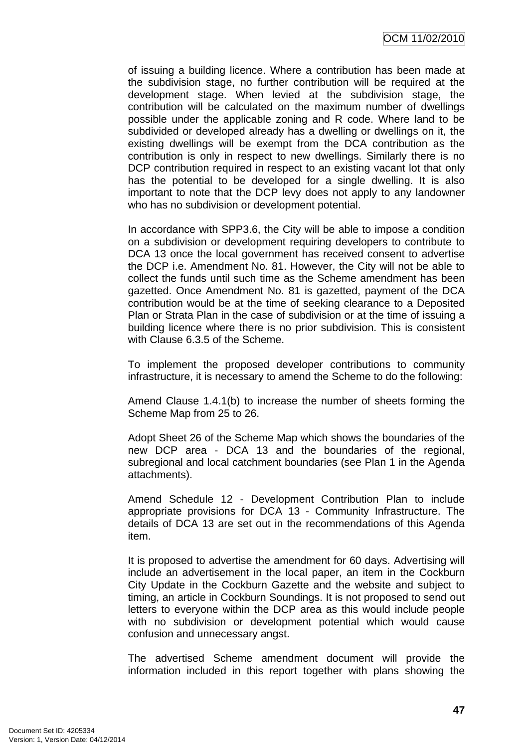of issuing a building licence. Where a contribution has been made at the subdivision stage, no further contribution will be required at the development stage. When levied at the subdivision stage, the contribution will be calculated on the maximum number of dwellings possible under the applicable zoning and R code. Where land to be subdivided or developed already has a dwelling or dwellings on it, the existing dwellings will be exempt from the DCA contribution as the contribution is only in respect to new dwellings. Similarly there is no DCP contribution required in respect to an existing vacant lot that only has the potential to be developed for a single dwelling. It is also important to note that the DCP levy does not apply to any landowner who has no subdivision or development potential.

In accordance with SPP3.6, the City will be able to impose a condition on a subdivision or development requiring developers to contribute to DCA 13 once the local government has received consent to advertise the DCP i.e. Amendment No. 81. However, the City will not be able to collect the funds until such time as the Scheme amendment has been gazetted. Once Amendment No. 81 is gazetted, payment of the DCA contribution would be at the time of seeking clearance to a Deposited Plan or Strata Plan in the case of subdivision or at the time of issuing a building licence where there is no prior subdivision. This is consistent with Clause 6.3.5 of the Scheme.

To implement the proposed developer contributions to community infrastructure, it is necessary to amend the Scheme to do the following:

Amend Clause 1.4.1(b) to increase the number of sheets forming the Scheme Map from 25 to 26.

Adopt Sheet 26 of the Scheme Map which shows the boundaries of the new DCP area - DCA 13 and the boundaries of the regional, subregional and local catchment boundaries (see Plan 1 in the Agenda attachments).

Amend Schedule 12 - Development Contribution Plan to include appropriate provisions for DCA 13 - Community Infrastructure. The details of DCA 13 are set out in the recommendations of this Agenda item.

It is proposed to advertise the amendment for 60 days. Advertising will include an advertisement in the local paper, an item in the Cockburn City Update in the Cockburn Gazette and the website and subject to timing, an article in Cockburn Soundings. It is not proposed to send out letters to everyone within the DCP area as this would include people with no subdivision or development potential which would cause confusion and unnecessary angst.

The advertised Scheme amendment document will provide the information included in this report together with plans showing the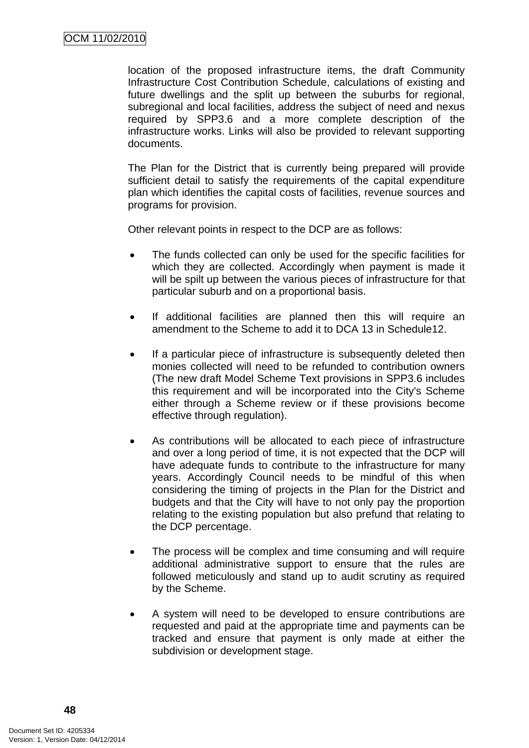location of the proposed infrastructure items, the draft Community Infrastructure Cost Contribution Schedule, calculations of existing and future dwellings and the split up between the suburbs for regional, subregional and local facilities, address the subject of need and nexus required by SPP3.6 and a more complete description of the infrastructure works. Links will also be provided to relevant supporting documents.

The Plan for the District that is currently being prepared will provide sufficient detail to satisfy the requirements of the capital expenditure plan which identifies the capital costs of facilities, revenue sources and programs for provision.

Other relevant points in respect to the DCP are as follows:

- The funds collected can only be used for the specific facilities for which they are collected. Accordingly when payment is made it will be spilt up between the various pieces of infrastructure for that particular suburb and on a proportional basis.
- If additional facilities are planned then this will require an amendment to the Scheme to add it to DCA 13 in Schedule12.
- If a particular piece of infrastructure is subsequently deleted then monies collected will need to be refunded to contribution owners (The new draft Model Scheme Text provisions in SPP3.6 includes this requirement and will be incorporated into the City's Scheme either through a Scheme review or if these provisions become effective through regulation).
- As contributions will be allocated to each piece of infrastructure and over a long period of time, it is not expected that the DCP will have adequate funds to contribute to the infrastructure for many years. Accordingly Council needs to be mindful of this when considering the timing of projects in the Plan for the District and budgets and that the City will have to not only pay the proportion relating to the existing population but also prefund that relating to the DCP percentage.
- The process will be complex and time consuming and will require additional administrative support to ensure that the rules are followed meticulously and stand up to audit scrutiny as required by the Scheme.
- A system will need to be developed to ensure contributions are requested and paid at the appropriate time and payments can be tracked and ensure that payment is only made at either the subdivision or development stage.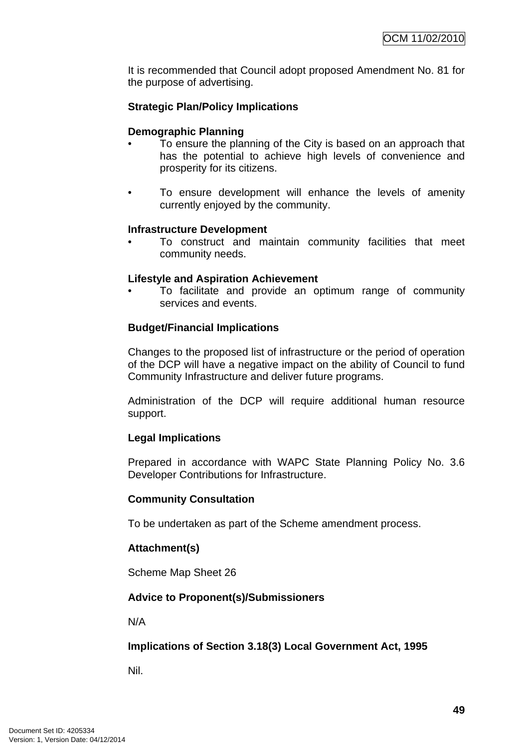It is recommended that Council adopt proposed Amendment No. 81 for the purpose of advertising.

### **Strategic Plan/Policy Implications**

### **Demographic Planning**

- To ensure the planning of the City is based on an approach that has the potential to achieve high levels of convenience and prosperity for its citizens.
- To ensure development will enhance the levels of amenity currently enjoyed by the community.

### **Infrastructure Development**

• To construct and maintain community facilities that meet community needs.

#### **Lifestyle and Aspiration Achievement**

• To facilitate and provide an optimum range of community services and events.

### **Budget/Financial Implications**

Changes to the proposed list of infrastructure or the period of operation of the DCP will have a negative impact on the ability of Council to fund Community Infrastructure and deliver future programs.

Administration of the DCP will require additional human resource support.

### **Legal Implications**

Prepared in accordance with WAPC State Planning Policy No. 3.6 Developer Contributions for Infrastructure.

#### **Community Consultation**

To be undertaken as part of the Scheme amendment process.

### **Attachment(s)**

Scheme Map Sheet 26

### **Advice to Proponent(s)/Submissioners**

N/A

### **Implications of Section 3.18(3) Local Government Act, 1995**

Nil.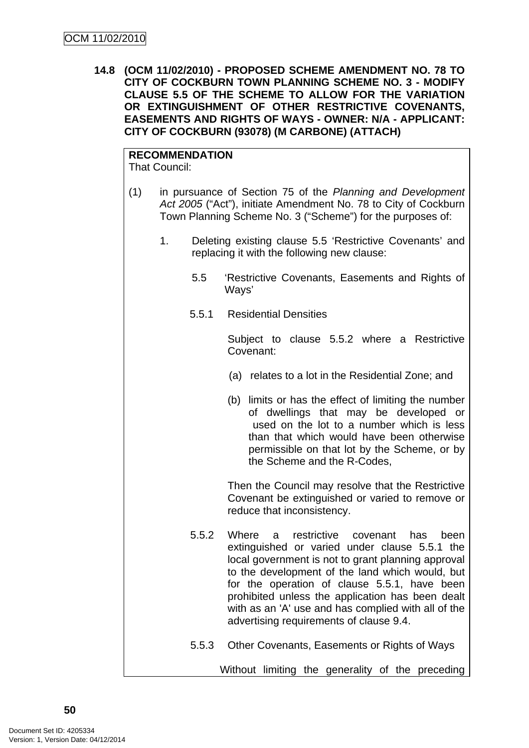**14.8 (OCM 11/02/2010) - PROPOSED SCHEME AMENDMENT NO. 78 TO CITY OF COCKBURN TOWN PLANNING SCHEME NO. 3 - MODIFY CLAUSE 5.5 OF THE SCHEME TO ALLOW FOR THE VARIATION OR EXTINGUISHMENT OF OTHER RESTRICTIVE COVENANTS, EASEMENTS AND RIGHTS OF WAYS - OWNER: N/A - APPLICANT: CITY OF COCKBURN (93078) (M CARBONE) (ATTACH)** 

# **RECOMMENDATION**

That Council:

- (1) in pursuance of Section 75 of the *Planning and Development Act 2005* ("Act"), initiate Amendment No. 78 to City of Cockburn Town Planning Scheme No. 3 ("Scheme") for the purposes of:
	- 1. Deleting existing clause 5.5 'Restrictive Covenants' and replacing it with the following new clause:
		- 5.5 'Restrictive Covenants, Easements and Rights of Ways'
		- 5.5.1 Residential Densities

Subject to clause 5.5.2 where a Restrictive Covenant:

- (a) relates to a lot in the Residential Zone; and
- (b) limits or has the effect of limiting the number of dwellings that may be developed or used on the lot to a number which is less than that which would have been otherwise permissible on that lot by the Scheme, or by the Scheme and the R-Codes,

Then the Council may resolve that the Restrictive Covenant be extinguished or varied to remove or reduce that inconsistency.

- 5.5.2 Where a restrictive covenant has been extinguished or varied under clause 5.5.1 the local government is not to grant planning approval to the development of the land which would, but for the operation of clause 5.5.1, have been prohibited unless the application has been dealt with as an 'A' use and has complied with all of the advertising requirements of clause 9.4.
- 5.5.3 Other Covenants, Easements or Rights of Ways

Without limiting the generality of the preceding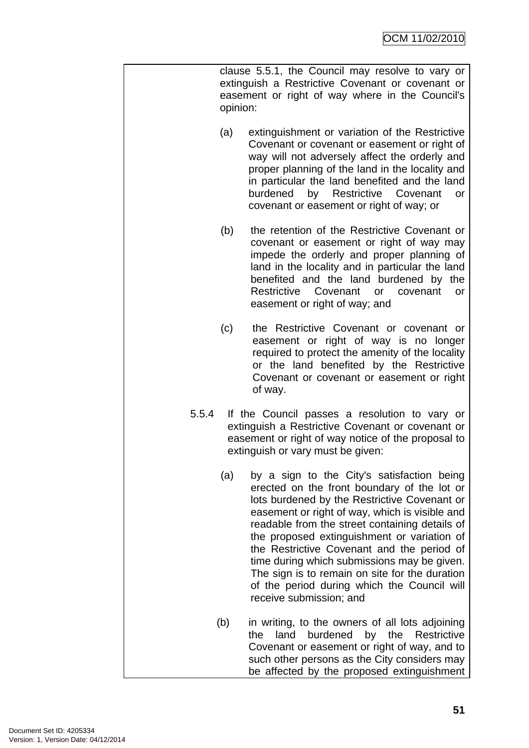|       | clause 5.5.1, the Council may resolve to vary or<br>extinguish a Restrictive Covenant or covenant or<br>easement or right of way where in the Council's<br>opinion:                                                                                                                                                                                                                                                                                                                                                   |
|-------|-----------------------------------------------------------------------------------------------------------------------------------------------------------------------------------------------------------------------------------------------------------------------------------------------------------------------------------------------------------------------------------------------------------------------------------------------------------------------------------------------------------------------|
| (a)   | extinguishment or variation of the Restrictive<br>Covenant or covenant or easement or right of<br>way will not adversely affect the orderly and<br>proper planning of the land in the locality and<br>in particular the land benefited and the land<br>by Restrictive Covenant<br>burdened<br>or<br>covenant or easement or right of way; or                                                                                                                                                                          |
| (b)   | the retention of the Restrictive Covenant or<br>covenant or easement or right of way may<br>impede the orderly and proper planning of<br>land in the locality and in particular the land<br>benefited and the land burdened by the<br>Restrictive Covenant<br>$\overline{\mathsf{or}}$<br>covenant<br>or<br>easement or right of way; and                                                                                                                                                                             |
| (c)   | the Restrictive Covenant or covenant or<br>easement or right of way is no longer<br>required to protect the amenity of the locality<br>or the land benefited by the Restrictive<br>Covenant or covenant or easement or right<br>of way.                                                                                                                                                                                                                                                                               |
| 5.5.4 | If the Council passes a resolution to vary or<br>extinguish a Restrictive Covenant or covenant or<br>easement or right of way notice of the proposal to<br>extinguish or vary must be given:                                                                                                                                                                                                                                                                                                                          |
| (a)   | by a sign to the City's satisfaction being<br>erected on the front boundary of the lot or<br>lots burdened by the Restrictive Covenant or<br>easement or right of way, which is visible and<br>readable from the street containing details of<br>the proposed extinguishment or variation of<br>the Restrictive Covenant and the period of<br>time during which submissions may be given.<br>The sign is to remain on site for the duration<br>of the period during which the Council will<br>receive submission; and |
| (b)   | in writing, to the owners of all lots adjoining<br>burdened by the Restrictive<br>the<br>land<br>Covenant or easement or right of way, and to<br>such other persons as the City considers may<br>be affected by the proposed extinguishment                                                                                                                                                                                                                                                                           |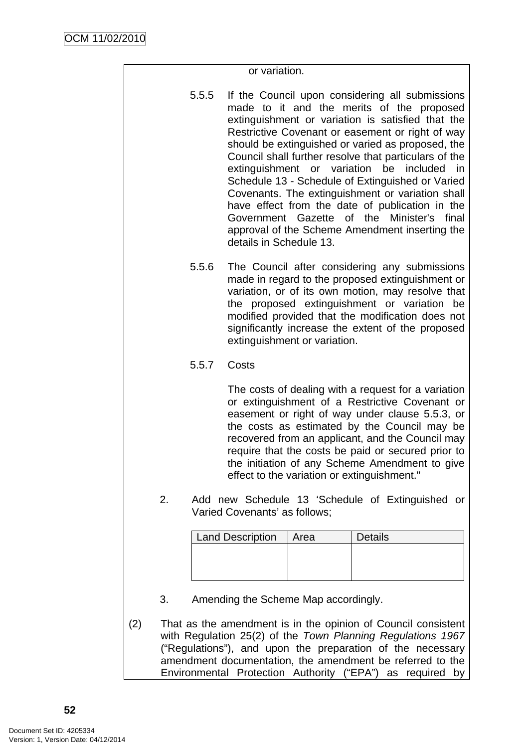| or variation. |  |
|---------------|--|
|               |  |

- 5.5.5 If the Council upon considering all submissions made to it and the merits of the proposed extinguishment or variation is satisfied that the Restrictive Covenant or easement or right of way should be extinguished or varied as proposed, the Council shall further resolve that particulars of the extinguishment or variation be included in Schedule 13 - Schedule of Extinguished or Varied Covenants. The extinguishment or variation shall have effect from the date of publication in the Government Gazette of the Minister's final approval of the Scheme Amendment inserting the details in Schedule 13.
- 5.5.6 The Council after considering any submissions made in regard to the proposed extinguishment or variation, or of its own motion, may resolve that the proposed extinguishment or variation be modified provided that the modification does not significantly increase the extent of the proposed extinguishment or variation.
- 5.5.7 Costs

The costs of dealing with a request for a variation or extinguishment of a Restrictive Covenant or easement or right of way under clause 5.5.3, or the costs as estimated by the Council may be recovered from an applicant, and the Council may require that the costs be paid or secured prior to the initiation of any Scheme Amendment to give effect to the variation or extinguishment."

2. Add new Schedule 13 'Schedule of Extinguished or Varied Covenants' as follows;

| Land Description | Area | <b>Details</b> |
|------------------|------|----------------|
|                  |      |                |
|                  |      |                |
|                  |      |                |

- 3. Amending the Scheme Map accordingly.
- (2) That as the amendment is in the opinion of Council consistent with Regulation 25(2) of the *Town Planning Regulations 1967* ("Regulations"), and upon the preparation of the necessary amendment documentation, the amendment be referred to the Environmental Protection Authority ("EPA") as required by

**52**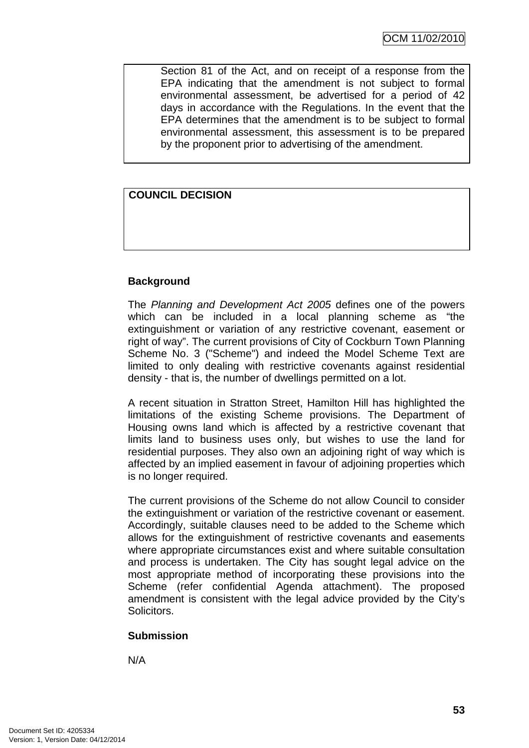Section 81 of the Act, and on receipt of a response from the EPA indicating that the amendment is not subject to formal environmental assessment, be advertised for a period of 42 days in accordance with the Regulations. In the event that the EPA determines that the amendment is to be subject to formal environmental assessment, this assessment is to be prepared by the proponent prior to advertising of the amendment.

**COUNCIL DECISION** 

### **Background**

The *Planning and Development Act 2005* defines one of the powers which can be included in a local planning scheme as "the extinguishment or variation of any restrictive covenant, easement or right of way". The current provisions of City of Cockburn Town Planning Scheme No. 3 ("Scheme") and indeed the Model Scheme Text are limited to only dealing with restrictive covenants against residential density - that is, the number of dwellings permitted on a lot.

A recent situation in Stratton Street, Hamilton Hill has highlighted the limitations of the existing Scheme provisions. The Department of Housing owns land which is affected by a restrictive covenant that limits land to business uses only, but wishes to use the land for residential purposes. They also own an adjoining right of way which is affected by an implied easement in favour of adjoining properties which is no longer required.

The current provisions of the Scheme do not allow Council to consider the extinguishment or variation of the restrictive covenant or easement. Accordingly, suitable clauses need to be added to the Scheme which allows for the extinguishment of restrictive covenants and easements where appropriate circumstances exist and where suitable consultation and process is undertaken. The City has sought legal advice on the most appropriate method of incorporating these provisions into the Scheme (refer confidential Agenda attachment). The proposed amendment is consistent with the legal advice provided by the City's Solicitors.

### **Submission**

N/A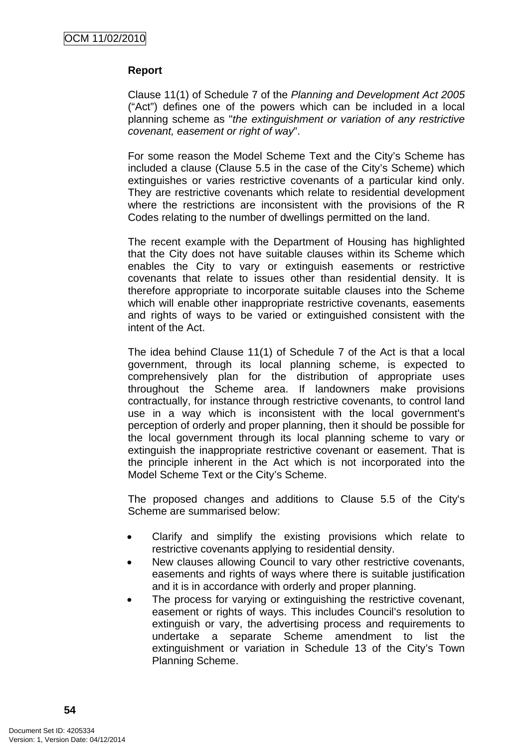### **Report**

Clause 11(1) of Schedule 7 of the *Planning and Development Act 2005* ("Act") defines one of the powers which can be included in a local planning scheme as "*the extinguishment or variation of any restrictive covenant, easement or right of way*".

For some reason the Model Scheme Text and the City's Scheme has included a clause (Clause 5.5 in the case of the City's Scheme) which extinguishes or varies restrictive covenants of a particular kind only. They are restrictive covenants which relate to residential development where the restrictions are inconsistent with the provisions of the R Codes relating to the number of dwellings permitted on the land.

The recent example with the Department of Housing has highlighted that the City does not have suitable clauses within its Scheme which enables the City to vary or extinguish easements or restrictive covenants that relate to issues other than residential density. It is therefore appropriate to incorporate suitable clauses into the Scheme which will enable other inappropriate restrictive covenants, easements and rights of ways to be varied or extinguished consistent with the intent of the Act.

The idea behind Clause 11(1) of Schedule 7 of the Act is that a local government, through its local planning scheme, is expected to comprehensively plan for the distribution of appropriate uses throughout the Scheme area. If landowners make provisions contractually, for instance through restrictive covenants, to control land use in a way which is inconsistent with the local government's perception of orderly and proper planning, then it should be possible for the local government through its local planning scheme to vary or extinguish the inappropriate restrictive covenant or easement. That is the principle inherent in the Act which is not incorporated into the Model Scheme Text or the City's Scheme.

The proposed changes and additions to Clause 5.5 of the City's Scheme are summarised below:

- Clarify and simplify the existing provisions which relate to restrictive covenants applying to residential density.
- New clauses allowing Council to vary other restrictive covenants, easements and rights of ways where there is suitable justification and it is in accordance with orderly and proper planning.
- The process for varying or extinguishing the restrictive covenant, easement or rights of ways. This includes Council's resolution to extinguish or vary, the advertising process and requirements to undertake a separate Scheme amendment to list the extinguishment or variation in Schedule 13 of the City's Town Planning Scheme.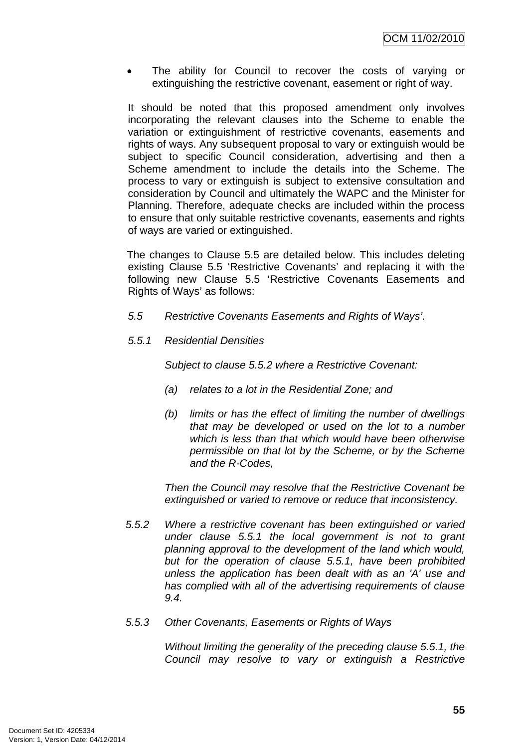• The ability for Council to recover the costs of varying or extinguishing the restrictive covenant, easement or right of way.

It should be noted that this proposed amendment only involves incorporating the relevant clauses into the Scheme to enable the variation or extinguishment of restrictive covenants, easements and rights of ways. Any subsequent proposal to vary or extinguish would be subject to specific Council consideration, advertising and then a Scheme amendment to include the details into the Scheme. The process to vary or extinguish is subject to extensive consultation and consideration by Council and ultimately the WAPC and the Minister for Planning. Therefore, adequate checks are included within the process to ensure that only suitable restrictive covenants, easements and rights of ways are varied or extinguished.

The changes to Clause 5.5 are detailed below. This includes deleting existing Clause 5.5 'Restrictive Covenants' and replacing it with the following new Clause 5.5 'Restrictive Covenants Easements and Rights of Ways' as follows:

- *5.5 Restrictive Covenants Easements and Rights of Ways'.*
- *5.5.1 Residential Densities*

*Subject to clause 5.5.2 where a Restrictive Covenant:* 

- *(a) relates to a lot in the Residential Zone; and*
- *(b) limits or has the effect of limiting the number of dwellings that may be developed or used on the lot to a number which is less than that which would have been otherwise permissible on that lot by the Scheme, or by the Scheme and the R-Codes,*

*Then the Council may resolve that the Restrictive Covenant be extinguished or varied to remove or reduce that inconsistency.* 

- *5.5.2 Where a restrictive covenant has been extinguished or varied under clause 5.5.1 the local government is not to grant planning approval to the development of the land which would, but for the operation of clause 5.5.1, have been prohibited unless the application has been dealt with as an 'A' use and has complied with all of the advertising requirements of clause 9.4.*
- *5.5.3 Other Covenants, Easements or Rights of Ways*

*Without limiting the generality of the preceding clause 5.5.1, the Council may resolve to vary or extinguish a Restrictive*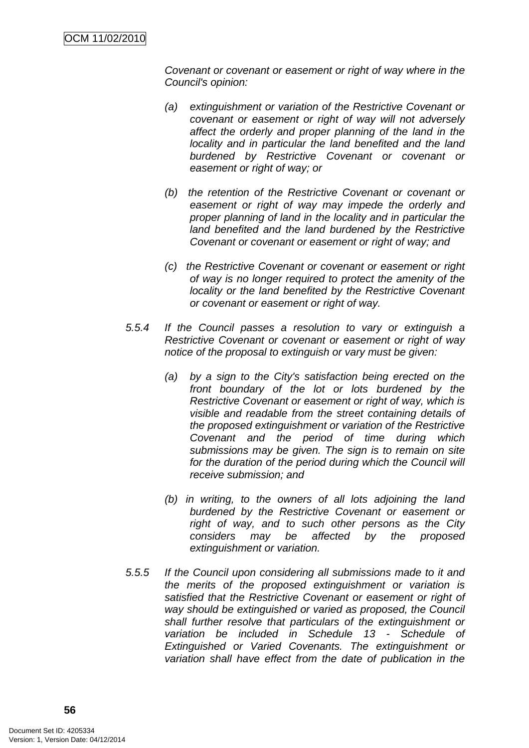*Covenant or covenant or easement or right of way where in the Council's opinion:* 

- *(a) extinguishment or variation of the Restrictive Covenant or covenant or easement or right of way will not adversely affect the orderly and proper planning of the land in the locality and in particular the land benefited and the land burdened by Restrictive Covenant or covenant or easement or right of way; or*
- *(b) the retention of the Restrictive Covenant or covenant or easement or right of way may impede the orderly and proper planning of land in the locality and in particular the land benefited and the land burdened by the Restrictive Covenant or covenant or easement or right of way; and*
- *(c) the Restrictive Covenant or covenant or easement or right of way is no longer required to protect the amenity of the locality or the land benefited by the Restrictive Covenant or covenant or easement or right of way.*
- *5.5.4 If the Council passes a resolution to vary or extinguish a Restrictive Covenant or covenant or easement or right of way notice of the proposal to extinguish or vary must be given:* 
	- *(a) by a sign to the City's satisfaction being erected on the front boundary of the lot or lots burdened by the Restrictive Covenant or easement or right of way, which is visible and readable from the street containing details of the proposed extinguishment or variation of the Restrictive Covenant and the period of time during which submissions may be given. The sign is to remain on site*  for the duration of the period during which the Council will *receive submission; and*
	- *(b) in writing, to the owners of all lots adjoining the land burdened by the Restrictive Covenant or easement or right of way, and to such other persons as the City considers may be affected by the proposed extinguishment or variation.*
- *5.5.5 If the Council upon considering all submissions made to it and the merits of the proposed extinguishment or variation is satisfied that the Restrictive Covenant or easement or right of way should be extinguished or varied as proposed, the Council shall further resolve that particulars of the extinguishment or variation be included in Schedule 13 - Schedule of Extinguished or Varied Covenants. The extinguishment or variation shall have effect from the date of publication in the*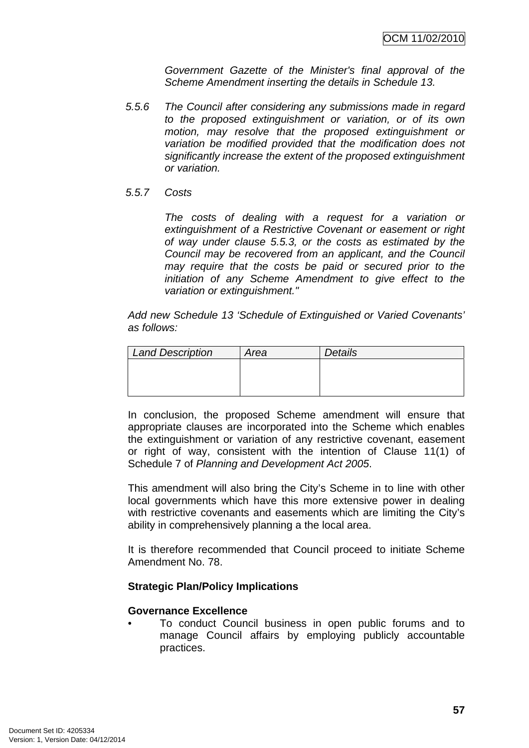*Government Gazette of the Minister's final approval of the Scheme Amendment inserting the details in Schedule 13.* 

- *5.5.6 The Council after considering any submissions made in regard to the proposed extinguishment or variation, or of its own motion, may resolve that the proposed extinguishment or variation be modified provided that the modification does not significantly increase the extent of the proposed extinguishment or variation.*
- *5.5.7 Costs*

*The costs of dealing with a request for a variation or extinguishment of a Restrictive Covenant or easement or right of way under clause 5.5.3, or the costs as estimated by the Council may be recovered from an applicant, and the Council may require that the costs be paid or secured prior to the initiation of any Scheme Amendment to give effect to the variation or extinguishment."* 

*Add new Schedule 13 'Schedule of Extinguished or Varied Covenants' as follows:* 

| <b>Land Description</b> | Area | <b>Details</b> |
|-------------------------|------|----------------|
|                         |      |                |
|                         |      |                |
|                         |      |                |

In conclusion, the proposed Scheme amendment will ensure that appropriate clauses are incorporated into the Scheme which enables the extinguishment or variation of any restrictive covenant, easement or right of way, consistent with the intention of Clause 11(1) of Schedule 7 of *Planning and Development Act 2005*.

This amendment will also bring the City's Scheme in to line with other local governments which have this more extensive power in dealing with restrictive covenants and easements which are limiting the City's ability in comprehensively planning a the local area.

It is therefore recommended that Council proceed to initiate Scheme Amendment No. 78.

### **Strategic Plan/Policy Implications**

#### **Governance Excellence**

• To conduct Council business in open public forums and to manage Council affairs by employing publicly accountable practices.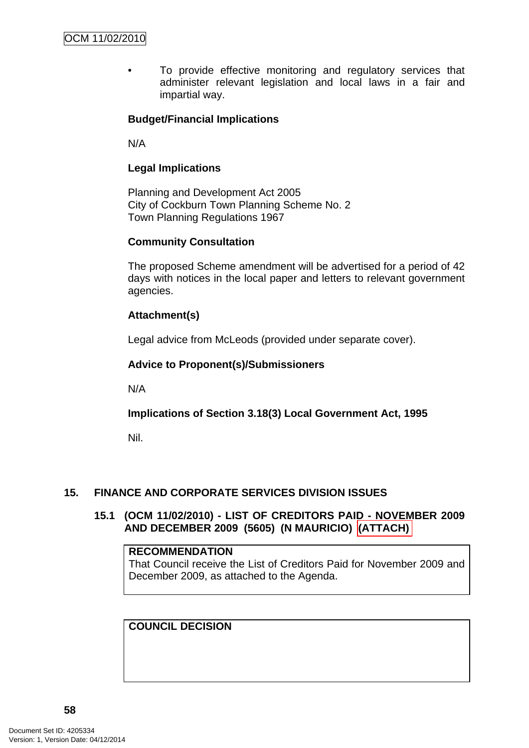To provide effective monitoring and regulatory services that administer relevant legislation and local laws in a fair and impartial way.

### **Budget/Financial Implications**

N/A

### **Legal Implications**

Planning and Development Act 2005 City of Cockburn Town Planning Scheme No. 2 Town Planning Regulations 1967

#### **Community Consultation**

The proposed Scheme amendment will be advertised for a period of 42 days with notices in the local paper and letters to relevant government agencies.

### **Attachment(s)**

Legal advice from McLeods (provided under separate cover).

#### **Advice to Proponent(s)/Submissioners**

N/A

### **Implications of Section 3.18(3) Local Government Act, 1995**

Nil.

### **15. FINANCE AND CORPORATE SERVICES DIVISION ISSUES**

**15.1 (OCM 11/02/2010) - LIST OF CREDITORS PAID - NOVEMBER 2009 AND DECEMBER 2009 (5605) (N MAURICIO) (ATTACH)** 

#### **RECOMMENDATION**

That Council receive the List of Creditors Paid for November 2009 and December 2009, as attached to the Agenda.

#### **COUNCIL DECISION**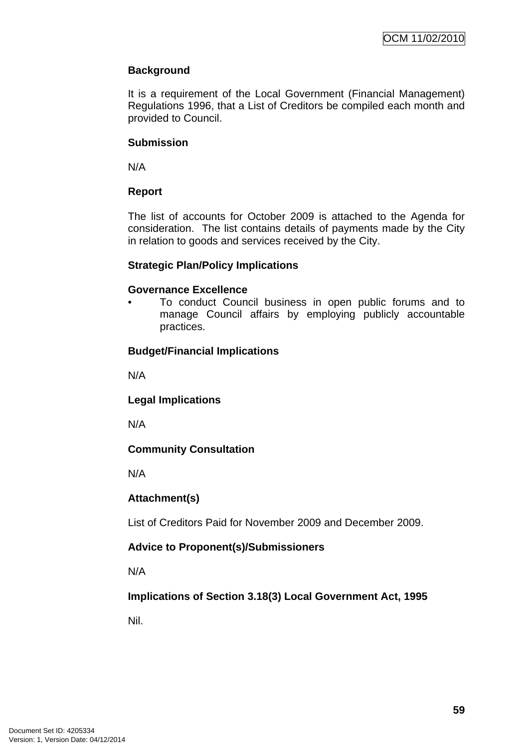### **Background**

It is a requirement of the Local Government (Financial Management) Regulations 1996, that a List of Creditors be compiled each month and provided to Council.

### **Submission**

N/A

### **Report**

The list of accounts for October 2009 is attached to the Agenda for consideration. The list contains details of payments made by the City in relation to goods and services received by the City.

### **Strategic Plan/Policy Implications**

### **Governance Excellence**

• To conduct Council business in open public forums and to manage Council affairs by employing publicly accountable practices.

### **Budget/Financial Implications**

N/A

**Legal Implications** 

N/A

### **Community Consultation**

N/A

### **Attachment(s)**

List of Creditors Paid for November 2009 and December 2009.

### **Advice to Proponent(s)/Submissioners**

N/A

**Implications of Section 3.18(3) Local Government Act, 1995**

Nil.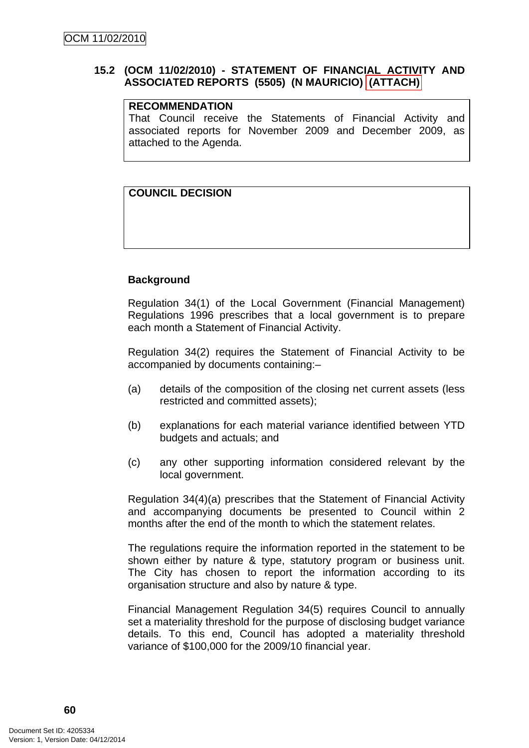### **15.2 (OCM 11/02/2010) - STATEMENT OF FINANCIAL ACTIVITY AND ASSOCIATED REPORTS (5505) (N MAURICIO) (ATTACH)**

#### **RECOMMENDATION**

That Council receive the Statements of Financial Activity and associated reports for November 2009 and December 2009, as attached to the Agenda.

### **COUNCIL DECISION**

### **Background**

Regulation 34(1) of the Local Government (Financial Management) Regulations 1996 prescribes that a local government is to prepare each month a Statement of Financial Activity.

Regulation 34(2) requires the Statement of Financial Activity to be accompanied by documents containing:–

- (a) details of the composition of the closing net current assets (less restricted and committed assets);
- (b) explanations for each material variance identified between YTD budgets and actuals; and
- (c) any other supporting information considered relevant by the local government.

Regulation 34(4)(a) prescribes that the Statement of Financial Activity and accompanying documents be presented to Council within 2 months after the end of the month to which the statement relates.

The regulations require the information reported in the statement to be shown either by nature & type, statutory program or business unit. The City has chosen to report the information according to its organisation structure and also by nature & type.

Financial Management Regulation 34(5) requires Council to annually set a materiality threshold for the purpose of disclosing budget variance details. To this end, Council has adopted a materiality threshold variance of \$100,000 for the 2009/10 financial year.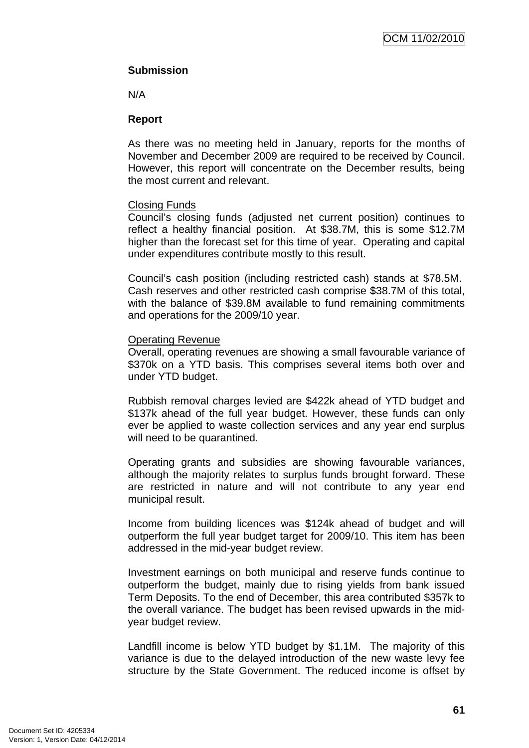### **Submission**

N/A

### **Report**

As there was no meeting held in January, reports for the months of November and December 2009 are required to be received by Council. However, this report will concentrate on the December results, being the most current and relevant.

#### Closing Funds

Council's closing funds (adjusted net current position) continues to reflect a healthy financial position. At \$38.7M, this is some \$12.7M higher than the forecast set for this time of year. Operating and capital under expenditures contribute mostly to this result.

Council's cash position (including restricted cash) stands at \$78.5M. Cash reserves and other restricted cash comprise \$38.7M of this total, with the balance of \$39.8M available to fund remaining commitments and operations for the 2009/10 year.

#### Operating Revenue

Overall, operating revenues are showing a small favourable variance of \$370k on a YTD basis. This comprises several items both over and under YTD budget.

Rubbish removal charges levied are \$422k ahead of YTD budget and \$137k ahead of the full year budget. However, these funds can only ever be applied to waste collection services and any year end surplus will need to be quarantined.

Operating grants and subsidies are showing favourable variances, although the majority relates to surplus funds brought forward. These are restricted in nature and will not contribute to any year end municipal result.

Income from building licences was \$124k ahead of budget and will outperform the full year budget target for 2009/10. This item has been addressed in the mid-year budget review.

Investment earnings on both municipal and reserve funds continue to outperform the budget, mainly due to rising yields from bank issued Term Deposits. To the end of December, this area contributed \$357k to the overall variance. The budget has been revised upwards in the midyear budget review.

Landfill income is below YTD budget by \$1.1M. The majority of this variance is due to the delayed introduction of the new waste levy fee structure by the State Government. The reduced income is offset by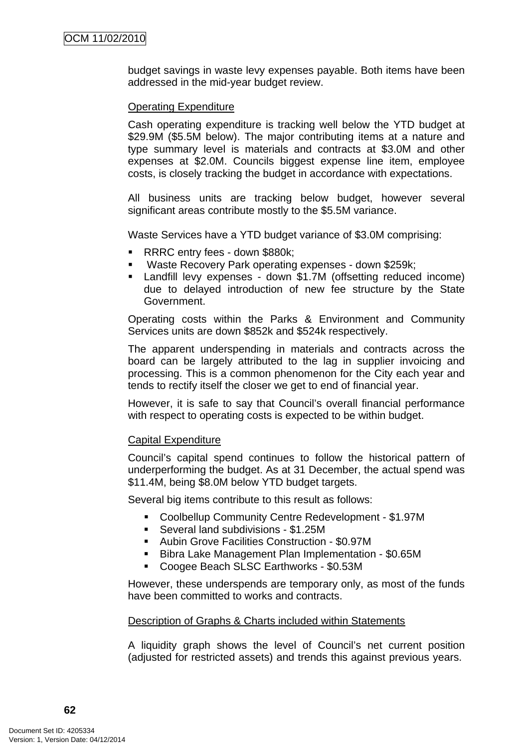budget savings in waste levy expenses payable. Both items have been addressed in the mid-year budget review.

#### Operating Expenditure

Cash operating expenditure is tracking well below the YTD budget at \$29.9M (\$5.5M below). The major contributing items at a nature and type summary level is materials and contracts at \$3.0M and other expenses at \$2.0M. Councils biggest expense line item, employee costs, is closely tracking the budget in accordance with expectations.

All business units are tracking below budget, however several significant areas contribute mostly to the \$5.5M variance.

Waste Services have a YTD budget variance of \$3.0M comprising:

- RRRC entry fees down \$880k;
- Waste Recovery Park operating expenses down \$259k;
- Landfill levy expenses down \$1.7M (offsetting reduced income) due to delayed introduction of new fee structure by the State Government.

Operating costs within the Parks & Environment and Community Services units are down \$852k and \$524k respectively.

The apparent underspending in materials and contracts across the board can be largely attributed to the lag in supplier invoicing and processing. This is a common phenomenon for the City each year and tends to rectify itself the closer we get to end of financial year.

However, it is safe to say that Council's overall financial performance with respect to operating costs is expected to be within budget.

### Capital Expenditure

Council's capital spend continues to follow the historical pattern of underperforming the budget. As at 31 December, the actual spend was \$11.4M, being \$8.0M below YTD budget targets.

Several big items contribute to this result as follows:

- Coolbellup Community Centre Redevelopment \$1.97M
- Several land subdivisions \$1.25M
- Aubin Grove Facilities Construction \$0.97M
- Bibra Lake Management Plan Implementation \$0.65M
- Coogee Beach SLSC Earthworks \$0.53M

However, these underspends are temporary only, as most of the funds have been committed to works and contracts.

#### Description of Graphs & Charts included within Statements

A liquidity graph shows the level of Council's net current position (adjusted for restricted assets) and trends this against previous years.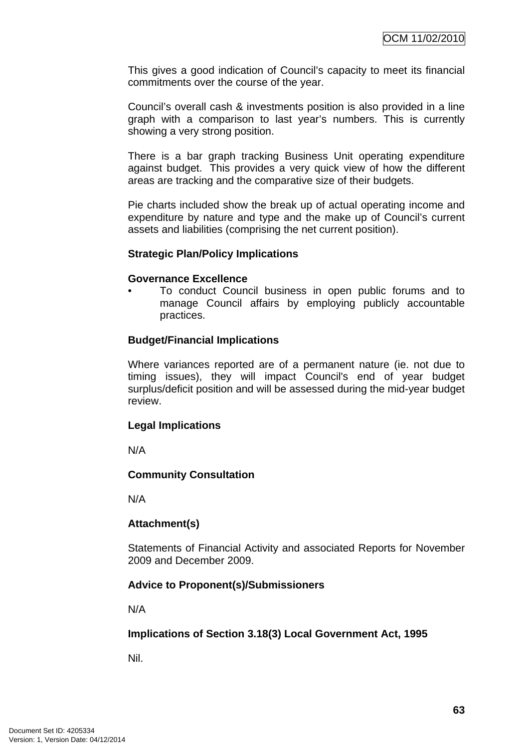This gives a good indication of Council's capacity to meet its financial commitments over the course of the year.

Council's overall cash & investments position is also provided in a line graph with a comparison to last year's numbers. This is currently showing a very strong position.

There is a bar graph tracking Business Unit operating expenditure against budget. This provides a very quick view of how the different areas are tracking and the comparative size of their budgets.

Pie charts included show the break up of actual operating income and expenditure by nature and type and the make up of Council's current assets and liabilities (comprising the net current position).

### **Strategic Plan/Policy Implications**

#### **Governance Excellence**

• To conduct Council business in open public forums and to manage Council affairs by employing publicly accountable practices.

### **Budget/Financial Implications**

Where variances reported are of a permanent nature (ie. not due to timing issues), they will impact Council's end of year budget surplus/deficit position and will be assessed during the mid-year budget review.

### **Legal Implications**

N/A

### **Community Consultation**

N/A

### **Attachment(s)**

Statements of Financial Activity and associated Reports for November 2009 and December 2009.

### **Advice to Proponent(s)/Submissioners**

N/A

### **Implications of Section 3.18(3) Local Government Act, 1995**

Nil.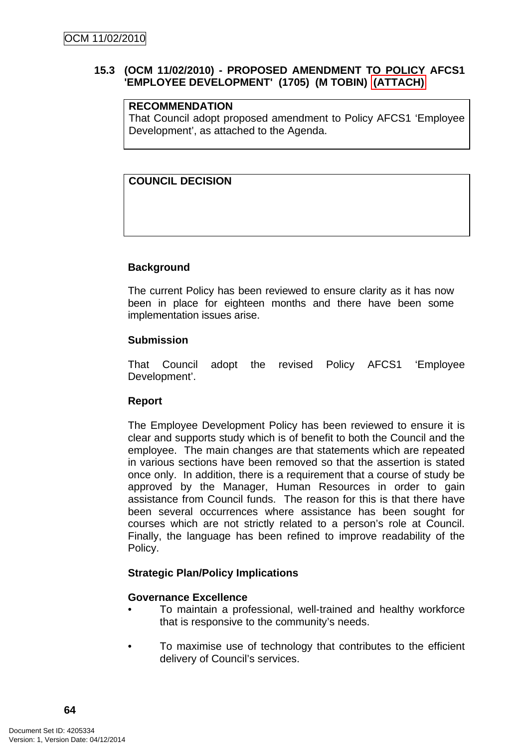### **15.3 (OCM 11/02/2010) - PROPOSED AMENDMENT TO POLICY AFCS1 'EMPLOYEE DEVELOPMENT' (1705) (M TOBIN) (ATTACH)**

### **RECOMMENDATION**

That Council adopt proposed amendment to Policy AFCS1 'Employee Development', as attached to the Agenda.

### **COUNCIL DECISION**

### **Background**

The current Policy has been reviewed to ensure clarity as it has now been in place for eighteen months and there have been some implementation issues arise.

### **Submission**

That Council adopt the revised Policy AFCS1 'Employee Development'.

### **Report**

The Employee Development Policy has been reviewed to ensure it is clear and supports study which is of benefit to both the Council and the employee. The main changes are that statements which are repeated in various sections have been removed so that the assertion is stated once only. In addition, there is a requirement that a course of study be approved by the Manager, Human Resources in order to gain assistance from Council funds. The reason for this is that there have been several occurrences where assistance has been sought for courses which are not strictly related to a person's role at Council. Finally, the language has been refined to improve readability of the Policy.

### **Strategic Plan/Policy Implications**

### **Governance Excellence**

- To maintain a professional, well-trained and healthy workforce that is responsive to the community's needs.
- To maximise use of technology that contributes to the efficient delivery of Council's services.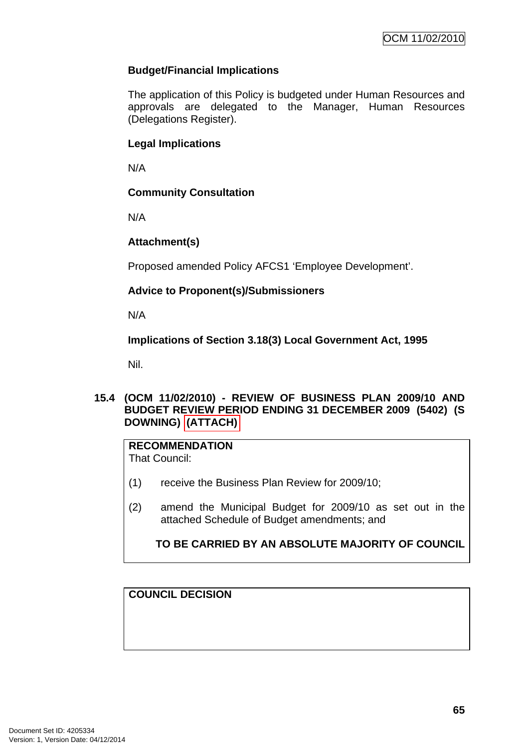### **Budget/Financial Implications**

The application of this Policy is budgeted under Human Resources and approvals are delegated to the Manager, Human Resources (Delegations Register).

### **Legal Implications**

N/A

### **Community Consultation**

N/A

### **Attachment(s)**

Proposed amended Policy AFCS1 'Employee Development'.

### **Advice to Proponent(s)/Submissioners**

N/A

### **Implications of Section 3.18(3) Local Government Act, 1995**

Nil.

### **15.4 (OCM 11/02/2010) - REVIEW OF BUSINESS PLAN 2009/10 AND BUDGET REVIEW PERIOD ENDING 31 DECEMBER 2009 (5402) (S DOWNING) (ATTACH)**

# **RECOMMENDATION**

That Council:

- (1) receive the Business Plan Review for 2009/10;
- (2) amend the Municipal Budget for 2009/10 as set out in the attached Schedule of Budget amendments; and

### **TO BE CARRIED BY AN ABSOLUTE MAJORITY OF COUNCIL**

**COUNCIL DECISION**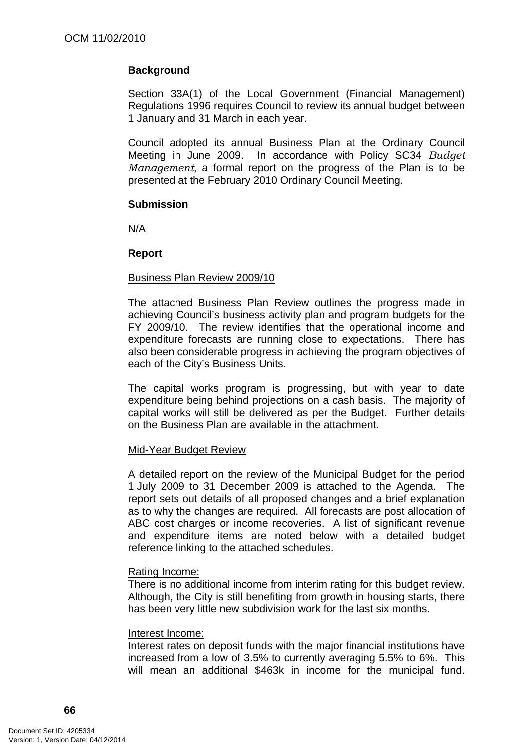### **Background**

Section 33A(1) of the Local Government (Financial Management) Regulations 1996 requires Council to review its annual budget between 1 January and 31 March in each year.

Council adopted its annual Business Plan at the Ordinary Council Meeting in June 2009. In accordance with Policy SC34 *Budget Management*, a formal report on the progress of the Plan is to be presented at the February 2010 Ordinary Council Meeting.

#### **Submission**

N/A

#### **Report**

#### Business Plan Review 2009/10

The attached Business Plan Review outlines the progress made in achieving Council's business activity plan and program budgets for the FY 2009/10. The review identifies that the operational income and expenditure forecasts are running close to expectations. There has also been considerable progress in achieving the program objectives of each of the City's Business Units.

The capital works program is progressing, but with year to date expenditure being behind projections on a cash basis. The majority of capital works will still be delivered as per the Budget. Further details on the Business Plan are available in the attachment.

### Mid-Year Budget Review

A detailed report on the review of the Municipal Budget for the period 1 July 2009 to 31 December 2009 is attached to the Agenda. The report sets out details of all proposed changes and a brief explanation as to why the changes are required. All forecasts are post allocation of ABC cost charges or income recoveries. A list of significant revenue and expenditure items are noted below with a detailed budget reference linking to the attached schedules.

#### Rating Income:

There is no additional income from interim rating for this budget review. Although, the City is still benefiting from growth in housing starts, there has been very little new subdivision work for the last six months.

#### Interest Income:

Interest rates on deposit funds with the major financial institutions have increased from a low of 3.5% to currently averaging 5.5% to 6%. This will mean an additional \$463k in income for the municipal fund.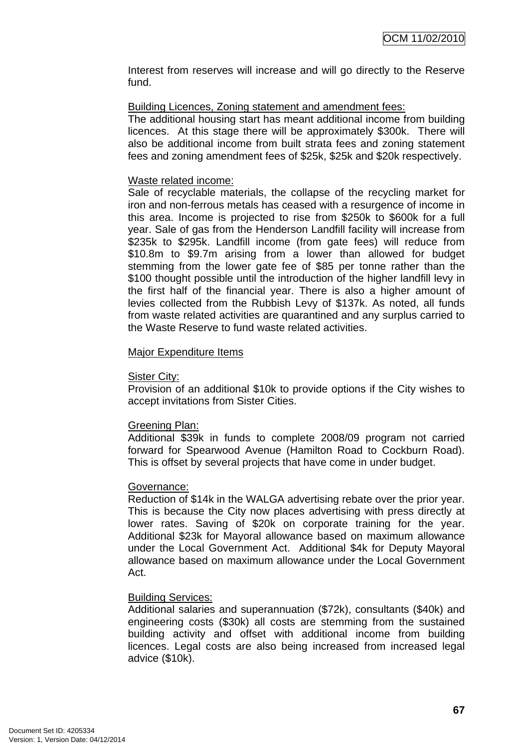Interest from reserves will increase and will go directly to the Reserve fund.

### Building Licences, Zoning statement and amendment fees:

The additional housing start has meant additional income from building licences. At this stage there will be approximately \$300k. There will also be additional income from built strata fees and zoning statement fees and zoning amendment fees of \$25k, \$25k and \$20k respectively.

### Waste related income:

Sale of recyclable materials, the collapse of the recycling market for iron and non-ferrous metals has ceased with a resurgence of income in this area. Income is projected to rise from \$250k to \$600k for a full year. Sale of gas from the Henderson Landfill facility will increase from \$235k to \$295k. Landfill income (from gate fees) will reduce from \$10.8m to \$9.7m arising from a lower than allowed for budget stemming from the lower gate fee of \$85 per tonne rather than the \$100 thought possible until the introduction of the higher landfill levy in the first half of the financial year. There is also a higher amount of levies collected from the Rubbish Levy of \$137k. As noted, all funds from waste related activities are quarantined and any surplus carried to the Waste Reserve to fund waste related activities.

### Major Expenditure Items

### Sister City:

Provision of an additional \$10k to provide options if the City wishes to accept invitations from Sister Cities.

### Greening Plan:

Additional \$39k in funds to complete 2008/09 program not carried forward for Spearwood Avenue (Hamilton Road to Cockburn Road). This is offset by several projects that have come in under budget.

### Governance:

Reduction of \$14k in the WALGA advertising rebate over the prior year. This is because the City now places advertising with press directly at lower rates. Saving of \$20k on corporate training for the year. Additional \$23k for Mayoral allowance based on maximum allowance under the Local Government Act. Additional \$4k for Deputy Mayoral allowance based on maximum allowance under the Local Government Act.

### Building Services:

Additional salaries and superannuation (\$72k), consultants (\$40k) and engineering costs (\$30k) all costs are stemming from the sustained building activity and offset with additional income from building licences. Legal costs are also being increased from increased legal advice (\$10k).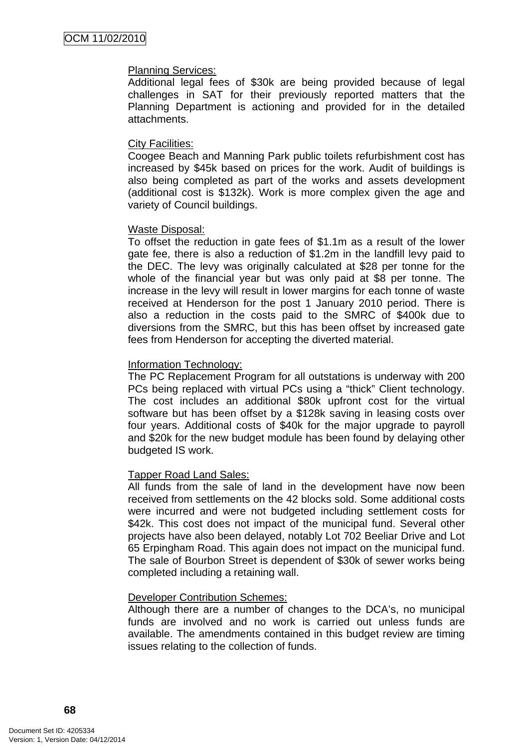### Planning Services:

Additional legal fees of \$30k are being provided because of legal challenges in SAT for their previously reported matters that the Planning Department is actioning and provided for in the detailed attachments.

### City Facilities:

Coogee Beach and Manning Park public toilets refurbishment cost has increased by \$45k based on prices for the work. Audit of buildings is also being completed as part of the works and assets development (additional cost is \$132k). Work is more complex given the age and variety of Council buildings.

### Waste Disposal:

To offset the reduction in gate fees of \$1.1m as a result of the lower gate fee, there is also a reduction of \$1.2m in the landfill levy paid to the DEC. The levy was originally calculated at \$28 per tonne for the whole of the financial year but was only paid at \$8 per tonne. The increase in the levy will result in lower margins for each tonne of waste received at Henderson for the post 1 January 2010 period. There is also a reduction in the costs paid to the SMRC of \$400k due to diversions from the SMRC, but this has been offset by increased gate fees from Henderson for accepting the diverted material.

### Information Technology:

The PC Replacement Program for all outstations is underway with 200 PCs being replaced with virtual PCs using a "thick" Client technology. The cost includes an additional \$80k upfront cost for the virtual software but has been offset by a \$128k saving in leasing costs over four years. Additional costs of \$40k for the major upgrade to payroll and \$20k for the new budget module has been found by delaying other budgeted IS work.

### Tapper Road Land Sales:

All funds from the sale of land in the development have now been received from settlements on the 42 blocks sold. Some additional costs were incurred and were not budgeted including settlement costs for \$42k. This cost does not impact of the municipal fund. Several other projects have also been delayed, notably Lot 702 Beeliar Drive and Lot 65 Erpingham Road. This again does not impact on the municipal fund. The sale of Bourbon Street is dependent of \$30k of sewer works being completed including a retaining wall.

### Developer Contribution Schemes:

Although there are a number of changes to the DCA's, no municipal funds are involved and no work is carried out unless funds are available. The amendments contained in this budget review are timing issues relating to the collection of funds.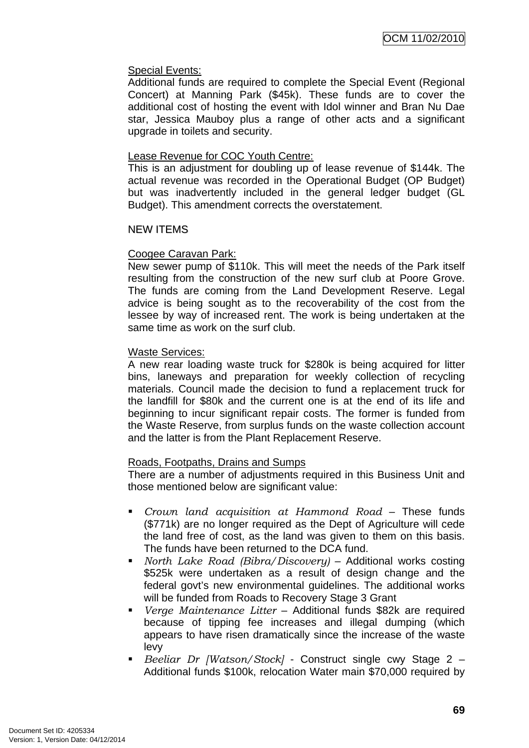# Special Events:

Additional funds are required to complete the Special Event (Regional Concert) at Manning Park (\$45k). These funds are to cover the additional cost of hosting the event with Idol winner and Bran Nu Dae star, Jessica Mauboy plus a range of other acts and a significant upgrade in toilets and security.

### Lease Revenue for COC Youth Centre:

This is an adjustment for doubling up of lease revenue of \$144k. The actual revenue was recorded in the Operational Budget (OP Budget) but was inadvertently included in the general ledger budget (GL Budget). This amendment corrects the overstatement.

# NEW ITEMS

# Coogee Caravan Park:

New sewer pump of \$110k. This will meet the needs of the Park itself resulting from the construction of the new surf club at Poore Grove. The funds are coming from the Land Development Reserve. Legal advice is being sought as to the recoverability of the cost from the lessee by way of increased rent. The work is being undertaken at the same time as work on the surf club.

# Waste Services:

A new rear loading waste truck for \$280k is being acquired for litter bins, laneways and preparation for weekly collection of recycling materials. Council made the decision to fund a replacement truck for the landfill for \$80k and the current one is at the end of its life and beginning to incur significant repair costs. The former is funded from the Waste Reserve, from surplus funds on the waste collection account and the latter is from the Plant Replacement Reserve.

# Roads, Footpaths, Drains and Sumps

There are a number of adjustments required in this Business Unit and those mentioned below are significant value:

- *Crown land acquisition at Hammond Road* These funds (\$771k) are no longer required as the Dept of Agriculture will cede the land free of cost, as the land was given to them on this basis. The funds have been returned to the DCA fund.
- *North Lake Road (Bibra/Discovery)* Additional works costing \$525k were undertaken as a result of design change and the federal govt's new environmental guidelines. The additional works will be funded from Roads to Recovery Stage 3 Grant
- *Verge Maintenance Litter* Additional funds \$82k are required because of tipping fee increases and illegal dumping (which appears to have risen dramatically since the increase of the waste levy
- *Beeliar Dr [Watson/Stock]* Construct single cwy Stage 2 Additional funds \$100k, relocation Water main \$70,000 required by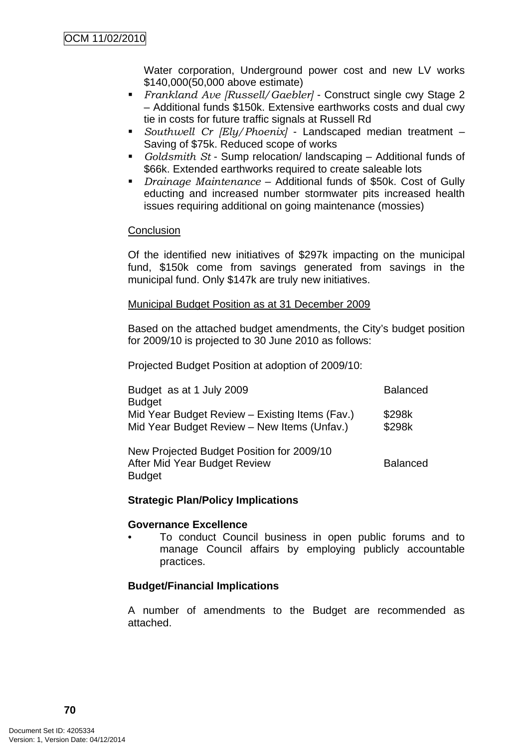Water corporation, Underground power cost and new LV works \$140,000(50,000 above estimate)

- *Frankland Ave [Russell/Gaebler]* Construct single cwy Stage 2 – Additional funds \$150k. Extensive earthworks costs and dual cwy tie in costs for future traffic signals at Russell Rd
- *Southwell Cr [Ely/Phoenix]* Landscaped median treatment Saving of \$75k. Reduced scope of works
- *Goldsmith St* Sump relocation/ landscaping Additional funds of \$66k. Extended earthworks required to create saleable lots
- *Drainage Maintenance* Additional funds of \$50k. Cost of Gully educting and increased number stormwater pits increased health issues requiring additional on going maintenance (mossies)

### **Conclusion**

Of the identified new initiatives of \$297k impacting on the municipal fund, \$150k come from savings generated from savings in the municipal fund. Only \$147k are truly new initiatives.

### Municipal Budget Position as at 31 December 2009

Based on the attached budget amendments, the City's budget position for 2009/10 is projected to 30 June 2010 as follows:

Projected Budget Position at adoption of 2009/10:

| Budget as at 1 July 2009                       | <b>Balanced</b> |
|------------------------------------------------|-----------------|
| <b>Budget</b>                                  |                 |
| Mid Year Budget Review – Existing Items (Fav.) | \$298k          |
| Mid Year Budget Review – New Items (Unfav.)    | \$298k          |
|                                                |                 |

New Projected Budget Position for 2009/10 After Mid Year Budget Review **Balanced** Budget

### **Strategic Plan/Policy Implications**

### **Governance Excellence**

• To conduct Council business in open public forums and to manage Council affairs by employing publicly accountable practices.

### **Budget/Financial Implications**

A number of amendments to the Budget are recommended as attached.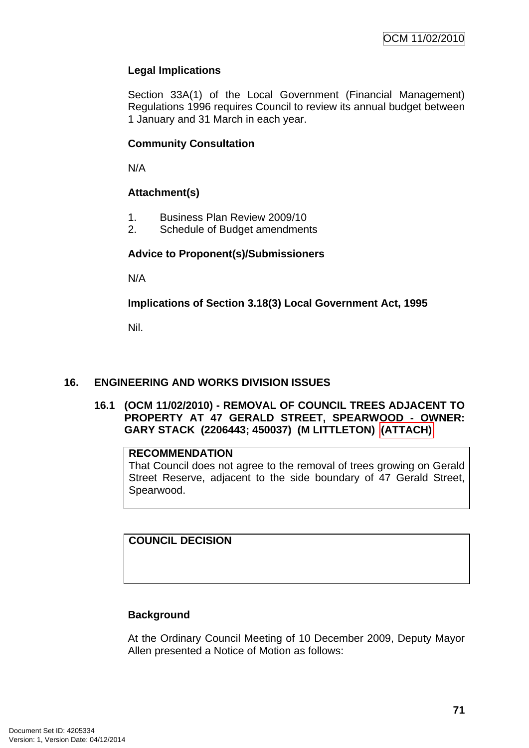# **Legal Implications**

Section 33A(1) of the Local Government (Financial Management) Regulations 1996 requires Council to review its annual budget between 1 January and 31 March in each year.

# **Community Consultation**

N/A

# **Attachment(s)**

- 1. Business Plan Review 2009/10
- 2. Schedule of Budget amendments

# **Advice to Proponent(s)/Submissioners**

N/A

**Implications of Section 3.18(3) Local Government Act, 1995**

Nil.

# **16. ENGINEERING AND WORKS DIVISION ISSUES**

**16.1 (OCM 11/02/2010) - REMOVAL OF COUNCIL TREES ADJACENT TO PROPERTY AT 47 GERALD STREET, SPEARWOOD - OWNER: GARY STACK (2206443; 450037) (M LITTLETON) (ATTACH)** 

# **RECOMMENDATION**

That Council does not agree to the removal of trees growing on Gerald Street Reserve, adjacent to the side boundary of 47 Gerald Street, Spearwood.

**COUNCIL DECISION** 

# **Background**

At the Ordinary Council Meeting of 10 December 2009, Deputy Mayor Allen presented a Notice of Motion as follows: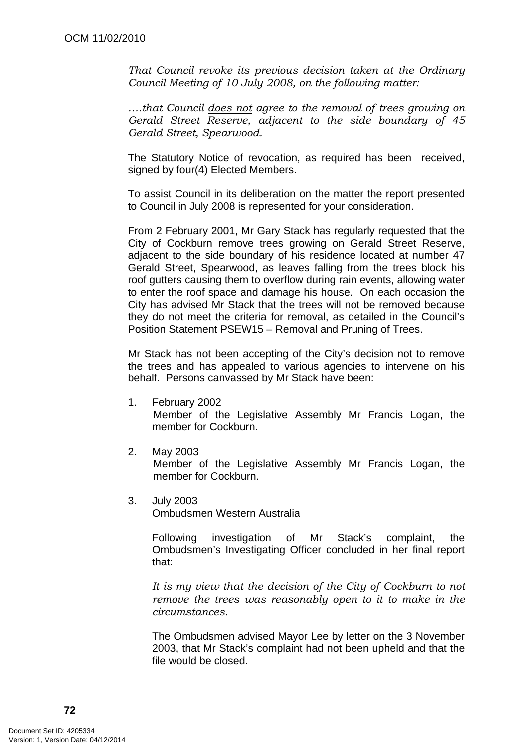*That Council revoke its previous decision taken at the Ordinary Council Meeting of 10 July 2008, on the following matter:* 

*….that Council does not agree to the removal of trees growing on Gerald Street Reserve, adjacent to the side boundary of 45 Gerald Street, Spearwood.*

The Statutory Notice of revocation, as required has been received, signed by four(4) Elected Members.

To assist Council in its deliberation on the matter the report presented to Council in July 2008 is represented for your consideration.

From 2 February 2001, Mr Gary Stack has regularly requested that the City of Cockburn remove trees growing on Gerald Street Reserve, adjacent to the side boundary of his residence located at number 47 Gerald Street, Spearwood, as leaves falling from the trees block his roof gutters causing them to overflow during rain events, allowing water to enter the roof space and damage his house. On each occasion the City has advised Mr Stack that the trees will not be removed because they do not meet the criteria for removal, as detailed in the Council's Position Statement PSEW15 – Removal and Pruning of Trees.

Mr Stack has not been accepting of the City's decision not to remove the trees and has appealed to various agencies to intervene on his behalf. Persons canvassed by Mr Stack have been:

- 1. February 2002 Member of the Legislative Assembly Mr Francis Logan, the member for Cockburn.
- 2. May 2003

Member of the Legislative Assembly Mr Francis Logan, the member for Cockburn.

3. July 2003 Ombudsmen Western Australia

> Following investigation of Mr Stack's complaint, the Ombudsmen's Investigating Officer concluded in her final report that:

> *It is my view that the decision of the City of Cockburn to not remove the trees was reasonably open to it to make in the circumstances.*

> The Ombudsmen advised Mayor Lee by letter on the 3 November 2003, that Mr Stack's complaint had not been upheld and that the file would be closed.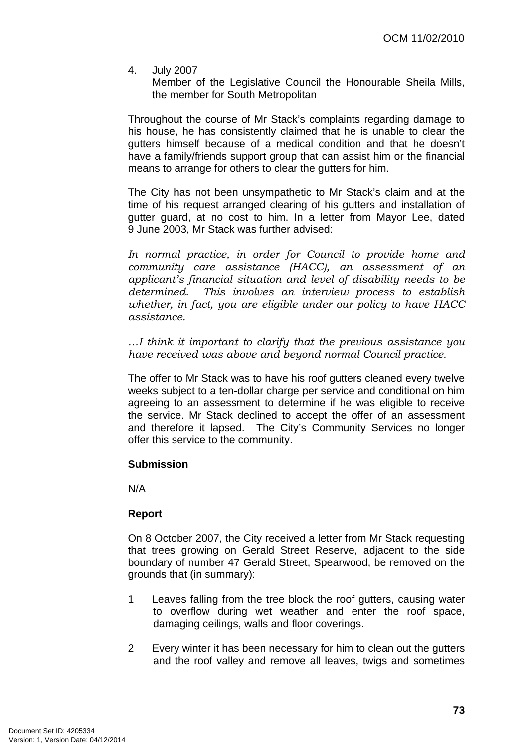4. July 2007

Member of the Legislative Council the Honourable Sheila Mills, the member for South Metropolitan

Throughout the course of Mr Stack's complaints regarding damage to his house, he has consistently claimed that he is unable to clear the gutters himself because of a medical condition and that he doesn't have a family/friends support group that can assist him or the financial means to arrange for others to clear the gutters for him.

The City has not been unsympathetic to Mr Stack's claim and at the time of his request arranged clearing of his gutters and installation of gutter guard, at no cost to him. In a letter from Mayor Lee, dated 9 June 2003, Mr Stack was further advised:

*In normal practice, in order for Council to provide home and community care assistance (HACC), an assessment of an applicant's financial situation and level of disability needs to be determined. This involves an interview process to establish whether, in fact, you are eligible under our policy to have HACC assistance.*

*…I think it important to clarify that the previous assistance you have received was above and beyond normal Council practice.* 

The offer to Mr Stack was to have his roof gutters cleaned every twelve weeks subject to a ten-dollar charge per service and conditional on him agreeing to an assessment to determine if he was eligible to receive the service. Mr Stack declined to accept the offer of an assessment and therefore it lapsed. The City's Community Services no longer offer this service to the community.

# **Submission**

N/A

# **Report**

On 8 October 2007, the City received a letter from Mr Stack requesting that trees growing on Gerald Street Reserve, adjacent to the side boundary of number 47 Gerald Street, Spearwood, be removed on the grounds that (in summary):

- 1 Leaves falling from the tree block the roof gutters, causing water to overflow during wet weather and enter the roof space, damaging ceilings, walls and floor coverings.
- 2 Every winter it has been necessary for him to clean out the gutters and the roof valley and remove all leaves, twigs and sometimes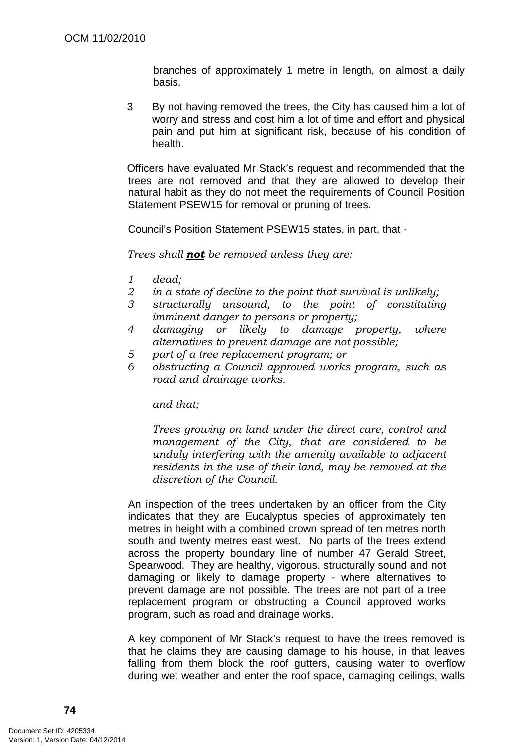branches of approximately 1 metre in length, on almost a daily basis.

3 By not having removed the trees, the City has caused him a lot of worry and stress and cost him a lot of time and effort and physical pain and put him at significant risk, because of his condition of health.

Officers have evaluated Mr Stack's request and recommended that the trees are not removed and that they are allowed to develop their natural habit as they do not meet the requirements of Council Position Statement PSEW15 for removal or pruning of trees.

Council's Position Statement PSEW15 states, in part, that -

*Trees shall not be removed unless they are:* 

- *1 dead;*
- *2 in a state of decline to the point that survival is unlikely;*
- *3 structurally unsound, to the point of constituting imminent danger to persons or property;*
- *4 damaging or likely to damage property, where alternatives to prevent damage are not possible;*
- *5 part of a tree replacement program; or*
- *6 obstructing a Council approved works program, such as road and drainage works.*

*and that;* 

*Trees growing on land under the direct care, control and management of the City, that are considered to be unduly interfering with the amenity available to adjacent residents in the use of their land, may be removed at the discretion of the Council.* 

An inspection of the trees undertaken by an officer from the City indicates that they are Eucalyptus species of approximately ten metres in height with a combined crown spread of ten metres north south and twenty metres east west. No parts of the trees extend across the property boundary line of number 47 Gerald Street, Spearwood. They are healthy, vigorous, structurally sound and not damaging or likely to damage property - where alternatives to prevent damage are not possible. The trees are not part of a tree replacement program or obstructing a Council approved works program, such as road and drainage works.

A key component of Mr Stack's request to have the trees removed is that he claims they are causing damage to his house, in that leaves falling from them block the roof gutters, causing water to overflow during wet weather and enter the roof space, damaging ceilings, walls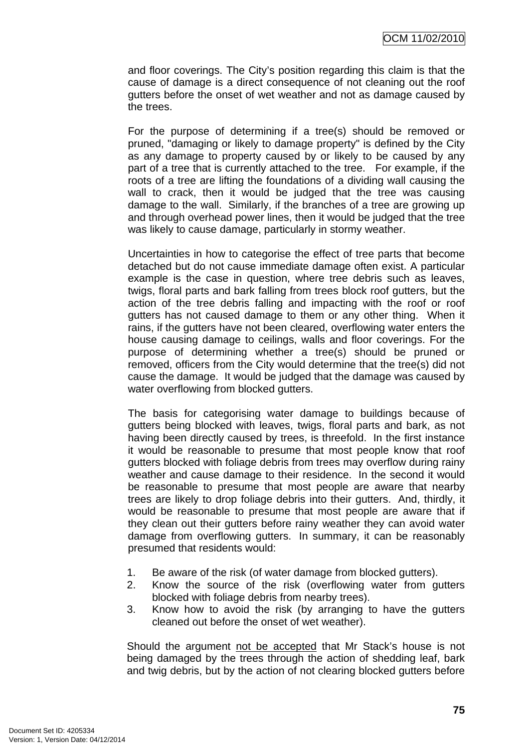and floor coverings. The City's position regarding this claim is that the cause of damage is a direct consequence of not cleaning out the roof gutters before the onset of wet weather and not as damage caused by the trees.

For the purpose of determining if a tree(s) should be removed or pruned, "damaging or likely to damage property" is defined by the City as any damage to property caused by or likely to be caused by any part of a tree that is currently attached to the tree. For example, if the roots of a tree are lifting the foundations of a dividing wall causing the wall to crack, then it would be judged that the tree was causing damage to the wall. Similarly, if the branches of a tree are growing up and through overhead power lines, then it would be judged that the tree was likely to cause damage, particularly in stormy weather.

Uncertainties in how to categorise the effect of tree parts that become detached but do not cause immediate damage often exist. A particular example is the case in question, where tree debris such as leaves, twigs, floral parts and bark falling from trees block roof gutters, but the action of the tree debris falling and impacting with the roof or roof gutters has not caused damage to them or any other thing. When it rains, if the gutters have not been cleared, overflowing water enters the house causing damage to ceilings, walls and floor coverings. For the purpose of determining whether a tree(s) should be pruned or removed, officers from the City would determine that the tree(s) did not cause the damage. It would be judged that the damage was caused by water overflowing from blocked gutters.

The basis for categorising water damage to buildings because of gutters being blocked with leaves, twigs, floral parts and bark, as not having been directly caused by trees, is threefold. In the first instance it would be reasonable to presume that most people know that roof gutters blocked with foliage debris from trees may overflow during rainy weather and cause damage to their residence. In the second it would be reasonable to presume that most people are aware that nearby trees are likely to drop foliage debris into their gutters. And, thirdly, it would be reasonable to presume that most people are aware that if they clean out their gutters before rainy weather they can avoid water damage from overflowing gutters. In summary, it can be reasonably presumed that residents would:

- 1. Be aware of the risk (of water damage from blocked gutters).
- 2. Know the source of the risk (overflowing water from gutters blocked with foliage debris from nearby trees).
- 3. Know how to avoid the risk (by arranging to have the gutters cleaned out before the onset of wet weather).

Should the argument not be accepted that Mr Stack's house is not being damaged by the trees through the action of shedding leaf, bark and twig debris, but by the action of not clearing blocked gutters before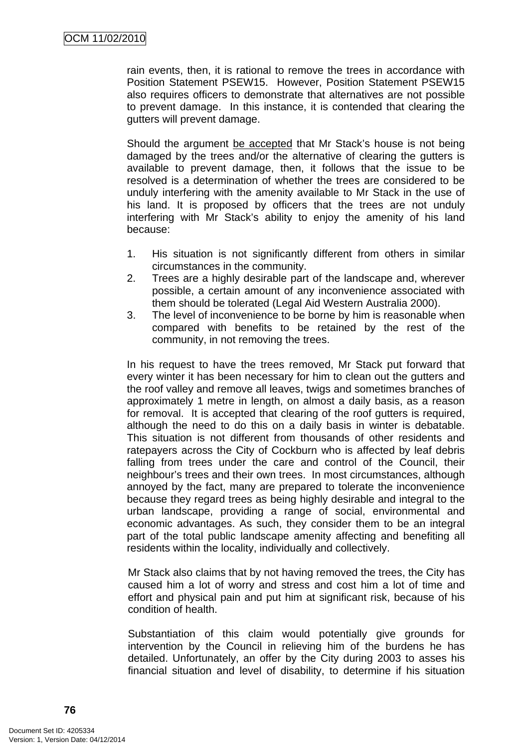rain events, then, it is rational to remove the trees in accordance with Position Statement PSEW15. However, Position Statement PSEW15 also requires officers to demonstrate that alternatives are not possible to prevent damage. In this instance, it is contended that clearing the gutters will prevent damage.

Should the argument be accepted that Mr Stack's house is not being damaged by the trees and/or the alternative of clearing the gutters is available to prevent damage, then, it follows that the issue to be resolved is a determination of whether the trees are considered to be unduly interfering with the amenity available to Mr Stack in the use of his land. It is proposed by officers that the trees are not unduly interfering with Mr Stack's ability to enjoy the amenity of his land because:

- 1. His situation is not significantly different from others in similar circumstances in the community.
- 2. Trees are a highly desirable part of the landscape and, wherever possible, a certain amount of any inconvenience associated with them should be tolerated (Legal Aid Western Australia 2000).
- 3. The level of inconvenience to be borne by him is reasonable when compared with benefits to be retained by the rest of the community, in not removing the trees.

In his request to have the trees removed, Mr Stack put forward that every winter it has been necessary for him to clean out the gutters and the roof valley and remove all leaves, twigs and sometimes branches of approximately 1 metre in length, on almost a daily basis, as a reason for removal. It is accepted that clearing of the roof gutters is required, although the need to do this on a daily basis in winter is debatable. This situation is not different from thousands of other residents and ratepayers across the City of Cockburn who is affected by leaf debris falling from trees under the care and control of the Council, their neighbour's trees and their own trees. In most circumstances, although annoyed by the fact, many are prepared to tolerate the inconvenience because they regard trees as being highly desirable and integral to the urban landscape, providing a range of social, environmental and economic advantages. As such, they consider them to be an integral part of the total public landscape amenity affecting and benefiting all residents within the locality, individually and collectively.

Mr Stack also claims that by not having removed the trees, the City has caused him a lot of worry and stress and cost him a lot of time and effort and physical pain and put him at significant risk, because of his condition of health.

Substantiation of this claim would potentially give grounds for intervention by the Council in relieving him of the burdens he has detailed. Unfortunately, an offer by the City during 2003 to asses his financial situation and level of disability, to determine if his situation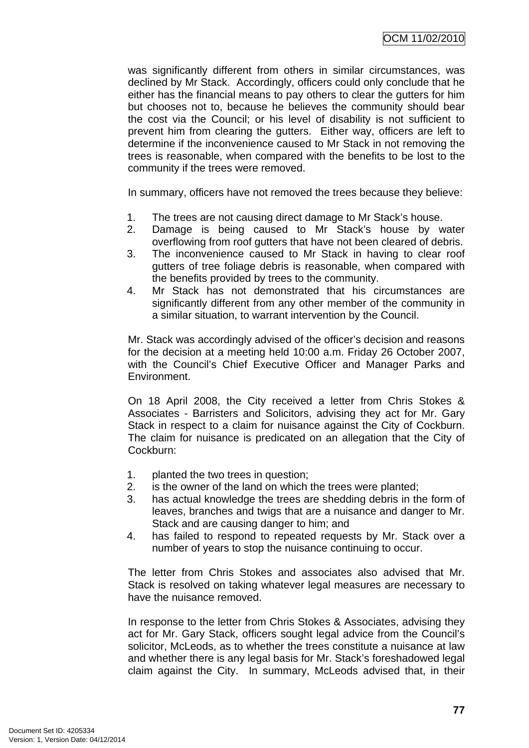was significantly different from others in similar circumstances, was declined by Mr Stack. Accordingly, officers could only conclude that he either has the financial means to pay others to clear the gutters for him but chooses not to, because he believes the community should bear the cost via the Council; or his level of disability is not sufficient to prevent him from clearing the gutters. Either way, officers are left to determine if the inconvenience caused to Mr Stack in not removing the trees is reasonable, when compared with the benefits to be lost to the community if the trees were removed.

In summary, officers have not removed the trees because they believe:

- 1. The trees are not causing direct damage to Mr Stack's house.
- 2. Damage is being caused to Mr Stack's house by water overflowing from roof gutters that have not been cleared of debris.
- 3. The inconvenience caused to Mr Stack in having to clear roof gutters of tree foliage debris is reasonable, when compared with the benefits provided by trees to the community.
- 4. Mr Stack has not demonstrated that his circumstances are significantly different from any other member of the community in a similar situation, to warrant intervention by the Council.

Mr. Stack was accordingly advised of the officer's decision and reasons for the decision at a meeting held 10:00 a.m. Friday 26 October 2007, with the Council's Chief Executive Officer and Manager Parks and Environment.

On 18 April 2008, the City received a letter from Chris Stokes & Associates - Barristers and Solicitors, advising they act for Mr. Gary Stack in respect to a claim for nuisance against the City of Cockburn. The claim for nuisance is predicated on an allegation that the City of Cockburn:

- 1. planted the two trees in question;
- 2. is the owner of the land on which the trees were planted;
- 3. has actual knowledge the trees are shedding debris in the form of leaves, branches and twigs that are a nuisance and danger to Mr. Stack and are causing danger to him; and
- 4. has failed to respond to repeated requests by Mr. Stack over a number of years to stop the nuisance continuing to occur.

The letter from Chris Stokes and associates also advised that Mr. Stack is resolved on taking whatever legal measures are necessary to have the nuisance removed.

In response to the letter from Chris Stokes & Associates, advising they act for Mr. Gary Stack, officers sought legal advice from the Council's solicitor, McLeods, as to whether the trees constitute a nuisance at law and whether there is any legal basis for Mr. Stack's foreshadowed legal claim against the City. In summary, McLeods advised that, in their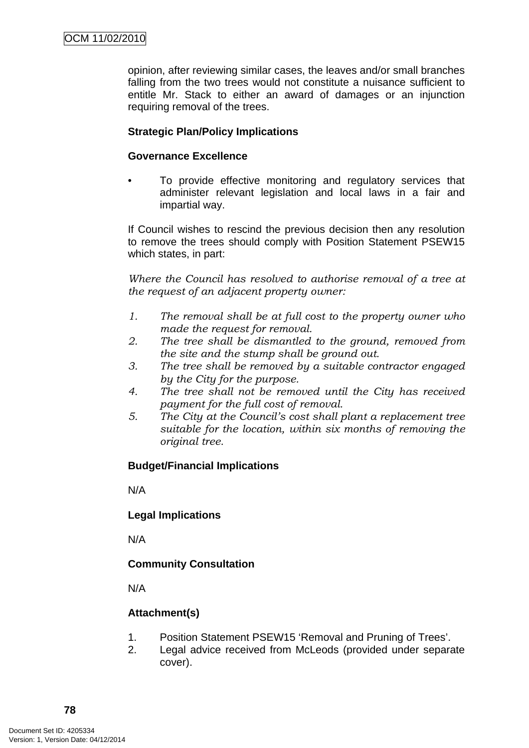opinion, after reviewing similar cases, the leaves and/or small branches falling from the two trees would not constitute a nuisance sufficient to entitle Mr. Stack to either an award of damages or an injunction requiring removal of the trees.

# **Strategic Plan/Policy Implications**

### **Governance Excellence**

To provide effective monitoring and regulatory services that administer relevant legislation and local laws in a fair and impartial way.

If Council wishes to rescind the previous decision then any resolution to remove the trees should comply with Position Statement PSEW15 which states, in part:

*Where the Council has resolved to authorise removal of a tree at the request of an adjacent property owner:* 

- *1. The removal shall be at full cost to the property owner who made the request for removal.*
- *2. The tree shall be dismantled to the ground, removed from the site and the stump shall be ground out.*
- *3. The tree shall be removed by a suitable contractor engaged by the City for the purpose.*
- *4. The tree shall not be removed until the City has received payment for the full cost of removal.*
- *5. The City at the Council's cost shall plant a replacement tree suitable for the location, within six months of removing the original tree.*

# **Budget/Financial Implications**

N/A

### **Legal Implications**

N/A

# **Community Consultation**

N/A

# **Attachment(s)**

- 1. Position Statement PSEW15 'Removal and Pruning of Trees'.
- 2. Legal advice received from McLeods (provided under separate cover).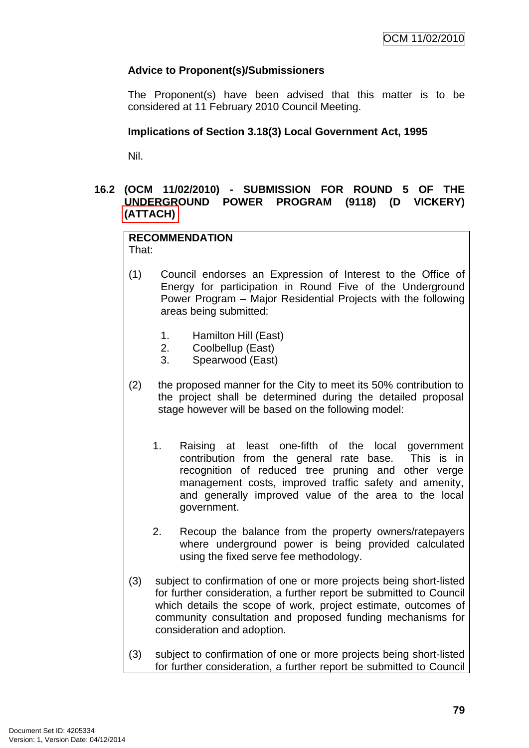# **Advice to Proponent(s)/Submissioners**

The Proponent(s) have been advised that this matter is to be considered at 11 February 2010 Council Meeting.

# **Implications of Section 3.18(3) Local Government Act, 1995**

Nil.

# **16.2 (OCM 11/02/2010) - SUBMISSION FOR ROUND 5 OF THE UNDERGROUND POWER PROGRAM (9118) (D VICKERY) (ATTACH)**

### **RECOMMENDATION** That:

- (1) Council endorses an Expression of Interest to the Office of Energy for participation in Round Five of the Underground Power Program – Major Residential Projects with the following areas being submitted:
	- 1. Hamilton Hill (East)
	- 2. Coolbellup (East)
	- 3. Spearwood (East)
- (2) the proposed manner for the City to meet its 50% contribution to the project shall be determined during the detailed proposal stage however will be based on the following model:
	- 1. Raising at least one-fifth of the local government contribution from the general rate base. This is in recognition of reduced tree pruning and other verge management costs, improved traffic safety and amenity, and generally improved value of the area to the local government.
	- 2. Recoup the balance from the property owners/ratepayers where underground power is being provided calculated using the fixed serve fee methodology.
- (3) subject to confirmation of one or more projects being short-listed for further consideration, a further report be submitted to Council which details the scope of work, project estimate, outcomes of community consultation and proposed funding mechanisms for consideration and adoption.
- (3) subject to confirmation of one or more projects being short-listed for further consideration, a further report be submitted to Council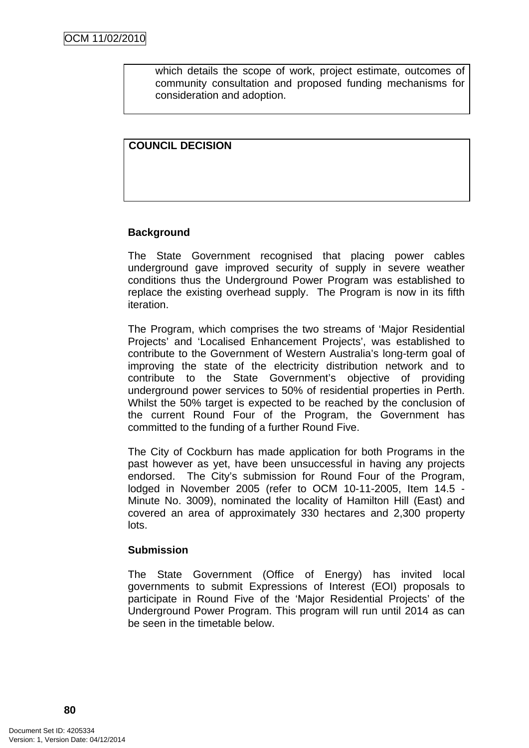which details the scope of work, project estimate, outcomes of community consultation and proposed funding mechanisms for consideration and adoption.

### **COUNCIL DECISION**

### **Background**

The State Government recognised that placing power cables underground gave improved security of supply in severe weather conditions thus the Underground Power Program was established to replace the existing overhead supply. The Program is now in its fifth iteration.

The Program, which comprises the two streams of 'Major Residential Projects' and 'Localised Enhancement Projects', was established to contribute to the Government of Western Australia's long-term goal of improving the state of the electricity distribution network and to contribute to the State Government's objective of providing underground power services to 50% of residential properties in Perth. Whilst the 50% target is expected to be reached by the conclusion of the current Round Four of the Program, the Government has committed to the funding of a further Round Five.

The City of Cockburn has made application for both Programs in the past however as yet, have been unsuccessful in having any projects endorsed. The City's submission for Round Four of the Program, lodged in November 2005 (refer to OCM 10-11-2005, Item 14.5 - Minute No. 3009), nominated the locality of Hamilton Hill (East) and covered an area of approximately 330 hectares and 2,300 property lots.

### **Submission**

The State Government (Office of Energy) has invited local governments to submit Expressions of Interest (EOI) proposals to participate in Round Five of the 'Major Residential Projects' of the Underground Power Program. This program will run until 2014 as can be seen in the timetable below.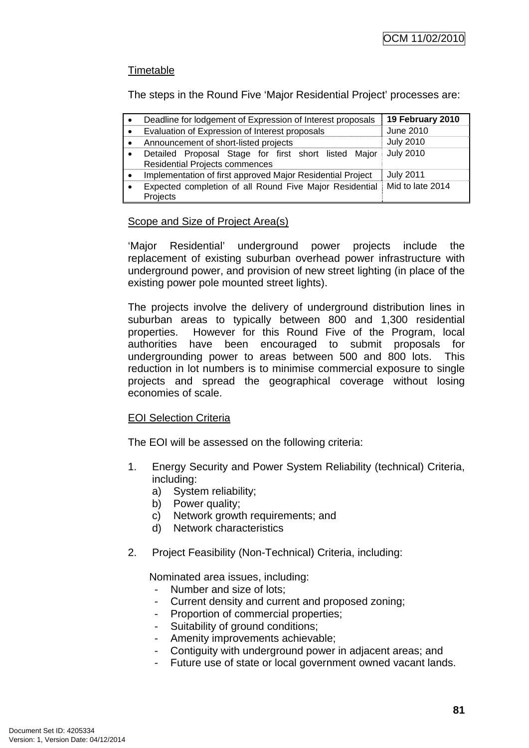# Timetable

The steps in the Round Five 'Major Residential Project' processes are:

|     | Deadline for lodgement of Expression of Interest proposals                                    | 19 February 2010 |
|-----|-----------------------------------------------------------------------------------------------|------------------|
| l e | Evaluation of Expression of Interest proposals                                                | June 2010        |
| l e | Announcement of short-listed projects                                                         | <b>July 2010</b> |
| l e | Detailed Proposal Stage for first short listed Major<br><b>Residential Projects commences</b> | <b>July 2010</b> |
| l e | Implementation of first approved Major Residential Project                                    | <b>July 2011</b> |
| ı.  | Expected completion of all Round Five Major Residential<br>Projects                           | Mid to late 2014 |

# Scope and Size of Project Area(s)

'Major Residential' underground power projects include the replacement of existing suburban overhead power infrastructure with underground power, and provision of new street lighting (in place of the existing power pole mounted street lights).

The projects involve the delivery of underground distribution lines in suburban areas to typically between 800 and 1,300 residential properties. However for this Round Five of the Program, local authorities have been encouraged to submit proposals for undergrounding power to areas between 500 and 800 lots. This reduction in lot numbers is to minimise commercial exposure to single projects and spread the geographical coverage without losing economies of scale.

### EOI Selection Criteria

The EOI will be assessed on the following criteria:

- 1. Energy Security and Power System Reliability (technical) Criteria, including:
	- a) System reliability;
	- b) Power quality;
	- c) Network growth requirements; and
	- d) Network characteristics
- 2. Project Feasibility (Non-Technical) Criteria, including:

Nominated area issues, including:

- Number and size of lots;
- Current density and current and proposed zoning;
- Proportion of commercial properties;
- Suitability of ground conditions;
- Amenity improvements achievable;
- Contiguity with underground power in adjacent areas; and
- Future use of state or local government owned vacant lands.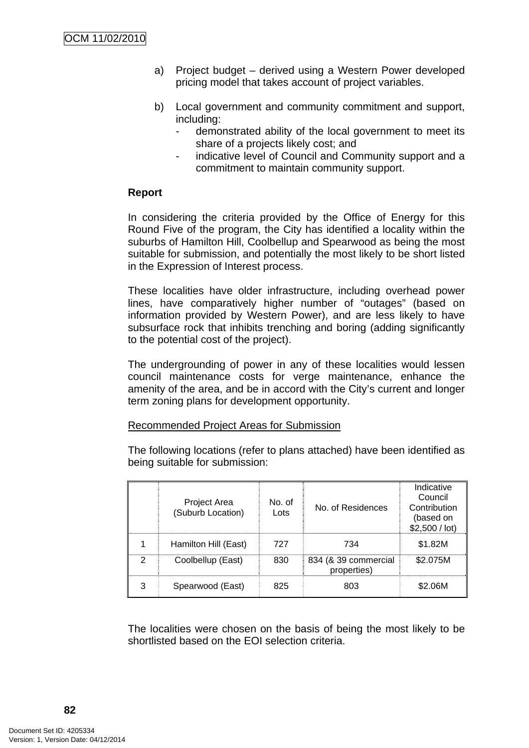- a) Project budget derived using a Western Power developed pricing model that takes account of project variables.
- b) Local government and community commitment and support, including:
	- demonstrated ability of the local government to meet its share of a projects likely cost; and
	- indicative level of Council and Community support and a commitment to maintain community support.

### **Report**

In considering the criteria provided by the Office of Energy for this Round Five of the program, the City has identified a locality within the suburbs of Hamilton Hill, Coolbellup and Spearwood as being the most suitable for submission, and potentially the most likely to be short listed in the Expression of Interest process.

These localities have older infrastructure, including overhead power lines, have comparatively higher number of "outages" (based on information provided by Western Power), and are less likely to have subsurface rock that inhibits trenching and boring (adding significantly to the potential cost of the project).

The undergrounding of power in any of these localities would lessen council maintenance costs for verge maintenance, enhance the amenity of the area, and be in accord with the City's current and longer term zoning plans for development opportunity.

### Recommended Project Areas for Submission

The following locations (refer to plans attached) have been identified as being suitable for submission:

|   | Project Area<br>(Suburb Location) | No. of<br>Lots | No. of Residences                   | Indicative<br>Council<br>Contribution<br>(based on<br>\$2,500 / lot |
|---|-----------------------------------|----------------|-------------------------------------|---------------------------------------------------------------------|
|   | Hamilton Hill (East)              | 727            | 734                                 | \$1.82M                                                             |
| 2 | Coolbellup (East)                 | 830            | 834 (& 39 commercial<br>properties) | \$2.075M                                                            |
| 3 | Spearwood (East)                  | 825            | 803                                 | \$2.06M                                                             |

The localities were chosen on the basis of being the most likely to be shortlisted based on the EOI selection criteria.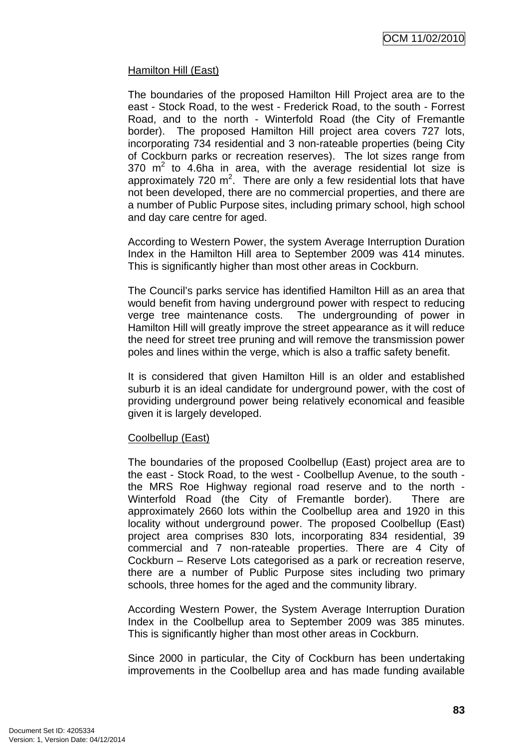# Hamilton Hill (East)

The boundaries of the proposed Hamilton Hill Project area are to the east - Stock Road, to the west - Frederick Road, to the south - Forrest Road, and to the north - Winterfold Road (the City of Fremantle border). The proposed Hamilton Hill project area covers 727 lots, incorporating 734 residential and 3 non-rateable properties (being City of Cockburn parks or recreation reserves). The lot sizes range from 370  $m^2$  to 4.6ha in area, with the average residential lot size is approximately 720  $m^2$ . There are only a few residential lots that have not been developed, there are no commercial properties, and there are a number of Public Purpose sites, including primary school, high school and day care centre for aged.

According to Western Power, the system Average Interruption Duration Index in the Hamilton Hill area to September 2009 was 414 minutes. This is significantly higher than most other areas in Cockburn.

The Council's parks service has identified Hamilton Hill as an area that would benefit from having underground power with respect to reducing verge tree maintenance costs. The undergrounding of power in Hamilton Hill will greatly improve the street appearance as it will reduce the need for street tree pruning and will remove the transmission power poles and lines within the verge, which is also a traffic safety benefit.

It is considered that given Hamilton Hill is an older and established suburb it is an ideal candidate for underground power, with the cost of providing underground power being relatively economical and feasible given it is largely developed.

### Coolbellup (East)

The boundaries of the proposed Coolbellup (East) project area are to the east - Stock Road, to the west - Coolbellup Avenue, to the south the MRS Roe Highway regional road reserve and to the north - Winterfold Road (the City of Fremantle border). There are approximately 2660 lots within the Coolbellup area and 1920 in this locality without underground power. The proposed Coolbellup (East) project area comprises 830 lots, incorporating 834 residential, 39 commercial and 7 non-rateable properties. There are 4 City of Cockburn – Reserve Lots categorised as a park or recreation reserve, there are a number of Public Purpose sites including two primary schools, three homes for the aged and the community library.

According Western Power, the System Average Interruption Duration Index in the Coolbellup area to September 2009 was 385 minutes. This is significantly higher than most other areas in Cockburn.

Since 2000 in particular, the City of Cockburn has been undertaking improvements in the Coolbellup area and has made funding available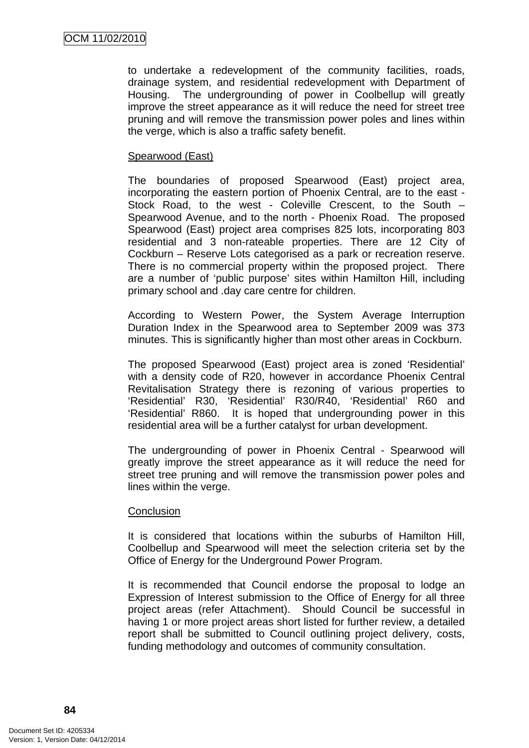to undertake a redevelopment of the community facilities, roads, drainage system, and residential redevelopment with Department of Housing. The undergrounding of power in Coolbellup will greatly improve the street appearance as it will reduce the need for street tree pruning and will remove the transmission power poles and lines within the verge, which is also a traffic safety benefit.

### Spearwood (East)

The boundaries of proposed Spearwood (East) project area, incorporating the eastern portion of Phoenix Central, are to the east - Stock Road, to the west - Coleville Crescent, to the South – Spearwood Avenue, and to the north - Phoenix Road. The proposed Spearwood (East) project area comprises 825 lots, incorporating 803 residential and 3 non-rateable properties. There are 12 City of Cockburn – Reserve Lots categorised as a park or recreation reserve. There is no commercial property within the proposed project. There are a number of 'public purpose' sites within Hamilton Hill, including primary school and .day care centre for children.

According to Western Power, the System Average Interruption Duration Index in the Spearwood area to September 2009 was 373 minutes. This is significantly higher than most other areas in Cockburn.

The proposed Spearwood (East) project area is zoned 'Residential' with a density code of R20, however in accordance Phoenix Central Revitalisation Strategy there is rezoning of various properties to 'Residential' R30, 'Residential' R30/R40, 'Residential' R60 and 'Residential' R860. It is hoped that undergrounding power in this residential area will be a further catalyst for urban development.

The undergrounding of power in Phoenix Central - Spearwood will greatly improve the street appearance as it will reduce the need for street tree pruning and will remove the transmission power poles and lines within the verge.

### **Conclusion**

It is considered that locations within the suburbs of Hamilton Hill, Coolbellup and Spearwood will meet the selection criteria set by the Office of Energy for the Underground Power Program.

It is recommended that Council endorse the proposal to lodge an Expression of Interest submission to the Office of Energy for all three project areas (refer Attachment). Should Council be successful in having 1 or more project areas short listed for further review, a detailed report shall be submitted to Council outlining project delivery, costs, funding methodology and outcomes of community consultation.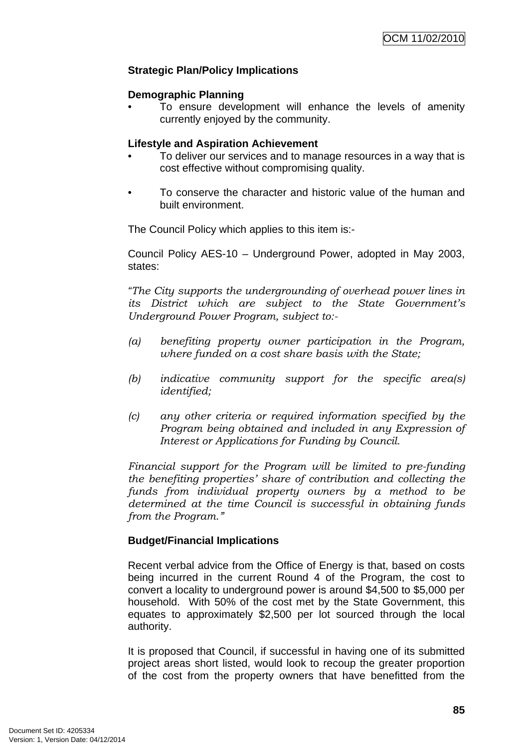# **Strategic Plan/Policy Implications**

### **Demographic Planning**

• To ensure development will enhance the levels of amenity currently enjoyed by the community.

### **Lifestyle and Aspiration Achievement**

- To deliver our services and to manage resources in a way that is cost effective without compromising quality.
- To conserve the character and historic value of the human and built environment.

The Council Policy which applies to this item is:-

Council Policy AES-10 – Underground Power, adopted in May 2003, states:

*"The City supports the undergrounding of overhead power lines in its District which are subject to the State Government's Underground Power Program, subject to:-* 

- *(a) benefiting property owner participation in the Program, where funded on a cost share basis with the State;*
- *(b) indicative community support for the specific area(s) identified;*
- *(c) any other criteria or required information specified by the Program being obtained and included in any Expression of Interest or Applications for Funding by Council.*

*Financial support for the Program will be limited to pre-funding the benefiting properties' share of contribution and collecting the funds from individual property owners by a method to be determined at the time Council is successful in obtaining funds from the Program."*

### **Budget/Financial Implications**

Recent verbal advice from the Office of Energy is that, based on costs being incurred in the current Round 4 of the Program, the cost to convert a locality to underground power is around \$4,500 to \$5,000 per household. With 50% of the cost met by the State Government, this equates to approximately \$2,500 per lot sourced through the local authority.

It is proposed that Council, if successful in having one of its submitted project areas short listed, would look to recoup the greater proportion of the cost from the property owners that have benefitted from the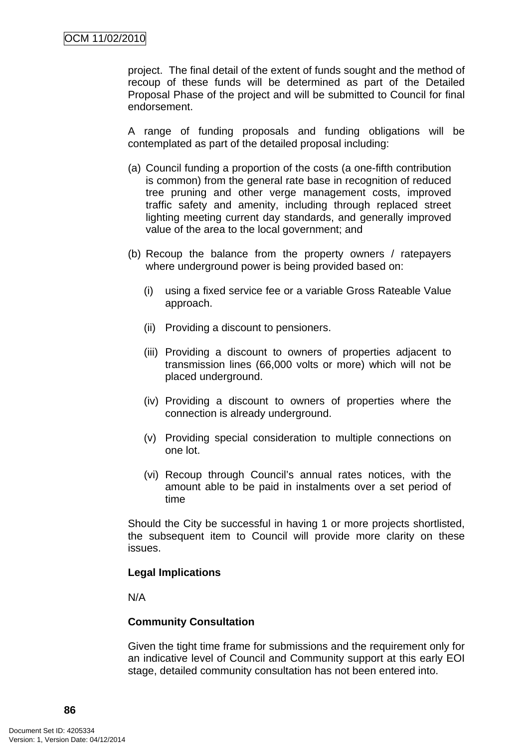project. The final detail of the extent of funds sought and the method of recoup of these funds will be determined as part of the Detailed Proposal Phase of the project and will be submitted to Council for final endorsement.

A range of funding proposals and funding obligations will be contemplated as part of the detailed proposal including:

- (a) Council funding a proportion of the costs (a one-fifth contribution is common) from the general rate base in recognition of reduced tree pruning and other verge management costs, improved traffic safety and amenity, including through replaced street lighting meeting current day standards, and generally improved value of the area to the local government; and
- (b) Recoup the balance from the property owners / ratepayers where underground power is being provided based on:
	- (i) using a fixed service fee or a variable Gross Rateable Value approach.
	- (ii) Providing a discount to pensioners.
	- (iii) Providing a discount to owners of properties adjacent to transmission lines (66,000 volts or more) which will not be placed underground.
	- (iv) Providing a discount to owners of properties where the connection is already underground.
	- (v) Providing special consideration to multiple connections on one lot.
	- (vi) Recoup through Council's annual rates notices, with the amount able to be paid in instalments over a set period of time

Should the City be successful in having 1 or more projects shortlisted, the subsequent item to Council will provide more clarity on these issues.

### **Legal Implications**

N/A

### **Community Consultation**

Given the tight time frame for submissions and the requirement only for an indicative level of Council and Community support at this early EOI stage, detailed community consultation has not been entered into.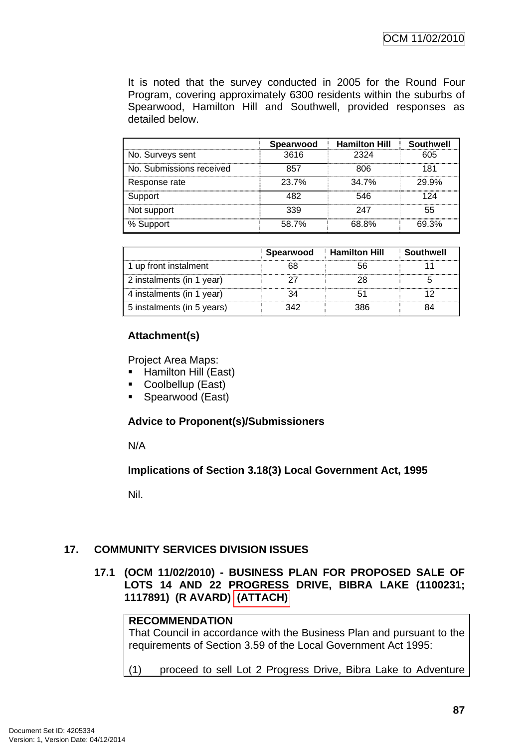It is noted that the survey conducted in 2005 for the Round Four Program, covering approximately 6300 residents within the suburbs of Spearwood, Hamilton Hill and Southwell, provided responses as detailed below.

|                          | Spearwood | <b>Hamilton Hill</b> | Southwell |
|--------------------------|-----------|----------------------|-----------|
| No. Surveys sent         | 3616      | 2324                 | 605       |
| No. Submissions received | 857       | 806                  | 181       |
| Response rate            | 23.7%     | 34.7%                | 29.9%     |
| Support                  | 482       | 546                  | 124       |
| Not support              | 339       | 247                  | 55        |
| % Support                | 58.7%     | 68.8%                | 69.3%     |

|                            | <b>Spearwood</b> | <b>Hamilton Hill</b> | Southwell |
|----------------------------|------------------|----------------------|-----------|
| 1 up front instalment      |                  |                      |           |
| 2 instalments (in 1 year)  |                  |                      |           |
| 4 instalments (in 1 year)  |                  |                      |           |
| 5 instalments (in 5 years) |                  |                      |           |

# **Attachment(s)**

Project Area Maps:

- Hamilton Hill (East)
- Coolbellup (East)
- Spearwood (East)

# **Advice to Proponent(s)/Submissioners**

N/A

**Implications of Section 3.18(3) Local Government Act, 1995**

Nil.

# **17. COMMUNITY SERVICES DIVISION ISSUES**

# **17.1 (OCM 11/02/2010) - BUSINESS PLAN FOR PROPOSED SALE OF LOTS 14 AND 22 PROGRESS DRIVE, BIBRA LAKE (1100231; 1117891) (R AVARD) (ATTACH)**

# **RECOMMENDATION**

That Council in accordance with the Business Plan and pursuant to the requirements of Section 3.59 of the Local Government Act 1995:

(1) proceed to sell Lot 2 Progress Drive, Bibra Lake to Adventure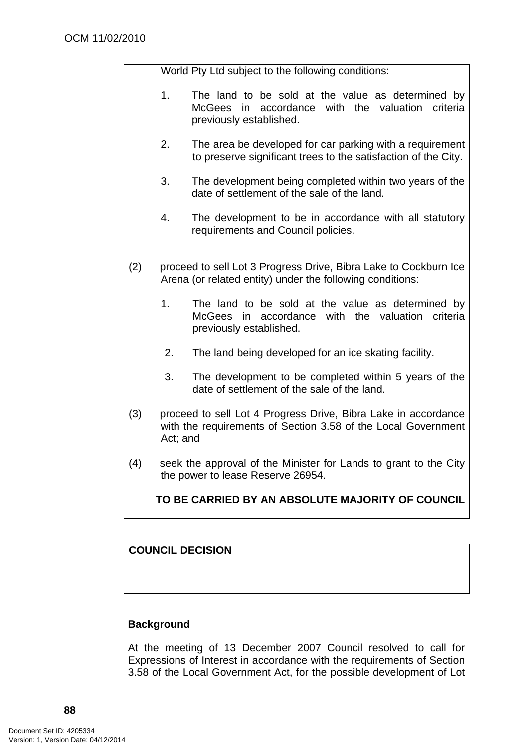World Pty Ltd subject to the following conditions:

- 1. The land to be sold at the value as determined by McGees in accordance with the valuation criteria previously established.
- 2. The area be developed for car parking with a requirement to preserve significant trees to the satisfaction of the City.
- 3. The development being completed within two years of the date of settlement of the sale of the land.
- 4. The development to be in accordance with all statutory requirements and Council policies.
- (2) proceed to sell Lot 3 Progress Drive, Bibra Lake to Cockburn Ice Arena (or related entity) under the following conditions:
	- 1. The land to be sold at the value as determined by McGees in accordance with the valuation criteria previously established.
	- 2. The land being developed for an ice skating facility.
	- 3. The development to be completed within 5 years of the date of settlement of the sale of the land.
- (3) proceed to sell Lot 4 Progress Drive, Bibra Lake in accordance with the requirements of Section 3.58 of the Local Government Act; and
- (4) seek the approval of the Minister for Lands to grant to the City the power to lease Reserve 26954.

# **TO BE CARRIED BY AN ABSOLUTE MAJORITY OF COUNCIL**

# **COUNCIL DECISION**

### **Background**

At the meeting of 13 December 2007 Council resolved to call for Expressions of Interest in accordance with the requirements of Section 3.58 of the Local Government Act, for the possible development of Lot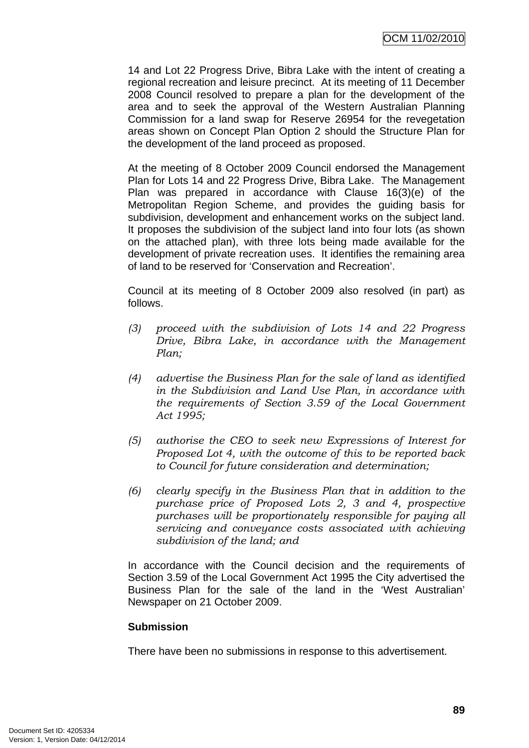14 and Lot 22 Progress Drive, Bibra Lake with the intent of creating a regional recreation and leisure precinct. At its meeting of 11 December 2008 Council resolved to prepare a plan for the development of the area and to seek the approval of the Western Australian Planning Commission for a land swap for Reserve 26954 for the revegetation areas shown on Concept Plan Option 2 should the Structure Plan for the development of the land proceed as proposed.

At the meeting of 8 October 2009 Council endorsed the Management Plan for Lots 14 and 22 Progress Drive, Bibra Lake. The Management Plan was prepared in accordance with Clause 16(3)(e) of the Metropolitan Region Scheme, and provides the guiding basis for subdivision, development and enhancement works on the subject land. It proposes the subdivision of the subject land into four lots (as shown on the attached plan), with three lots being made available for the development of private recreation uses. It identifies the remaining area of land to be reserved for 'Conservation and Recreation'.

Council at its meeting of 8 October 2009 also resolved (in part) as follows.

- *(3) proceed with the subdivision of Lots 14 and 22 Progress Drive, Bibra Lake, in accordance with the Management Plan;*
- *(4) advertise the Business Plan for the sale of land as identified in the Subdivision and Land Use Plan, in accordance with the requirements of Section 3.59 of the Local Government Act 1995;*
- *(5) authorise the CEO to seek new Expressions of Interest for Proposed Lot 4, with the outcome of this to be reported back to Council for future consideration and determination;*
- *(6) clearly specify in the Business Plan that in addition to the purchase price of Proposed Lots 2, 3 and 4, prospective purchases will be proportionately responsible for paying all servicing and conveyance costs associated with achieving subdivision of the land; and*

In accordance with the Council decision and the requirements of Section 3.59 of the Local Government Act 1995 the City advertised the Business Plan for the sale of the land in the 'West Australian' Newspaper on 21 October 2009.

### **Submission**

There have been no submissions in response to this advertisement.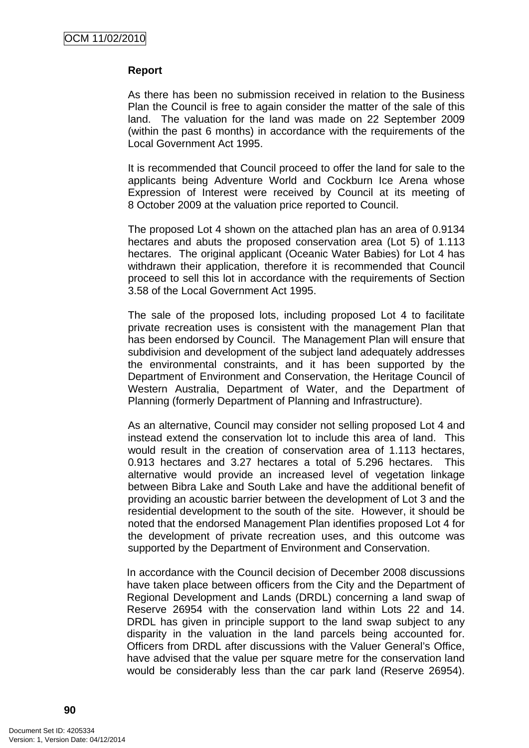### **Report**

As there has been no submission received in relation to the Business Plan the Council is free to again consider the matter of the sale of this land. The valuation for the land was made on 22 September 2009 (within the past 6 months) in accordance with the requirements of the Local Government Act 1995.

It is recommended that Council proceed to offer the land for sale to the applicants being Adventure World and Cockburn Ice Arena whose Expression of Interest were received by Council at its meeting of 8 October 2009 at the valuation price reported to Council.

The proposed Lot 4 shown on the attached plan has an area of 0.9134 hectares and abuts the proposed conservation area (Lot 5) of 1.113 hectares. The original applicant (Oceanic Water Babies) for Lot 4 has withdrawn their application, therefore it is recommended that Council proceed to sell this lot in accordance with the requirements of Section 3.58 of the Local Government Act 1995.

The sale of the proposed lots, including proposed Lot 4 to facilitate private recreation uses is consistent with the management Plan that has been endorsed by Council. The Management Plan will ensure that subdivision and development of the subject land adequately addresses the environmental constraints, and it has been supported by the Department of Environment and Conservation, the Heritage Council of Western Australia, Department of Water, and the Department of Planning (formerly Department of Planning and Infrastructure).

As an alternative, Council may consider not selling proposed Lot 4 and instead extend the conservation lot to include this area of land. This would result in the creation of conservation area of 1.113 hectares, 0.913 hectares and 3.27 hectares a total of 5.296 hectares. This alternative would provide an increased level of vegetation linkage between Bibra Lake and South Lake and have the additional benefit of providing an acoustic barrier between the development of Lot 3 and the residential development to the south of the site. However, it should be noted that the endorsed Management Plan identifies proposed Lot 4 for the development of private recreation uses, and this outcome was supported by the Department of Environment and Conservation.

In accordance with the Council decision of December 2008 discussions have taken place between officers from the City and the Department of Regional Development and Lands (DRDL) concerning a land swap of Reserve 26954 with the conservation land within Lots 22 and 14. DRDL has given in principle support to the land swap subject to any disparity in the valuation in the land parcels being accounted for. Officers from DRDL after discussions with the Valuer General's Office, have advised that the value per square metre for the conservation land would be considerably less than the car park land (Reserve 26954).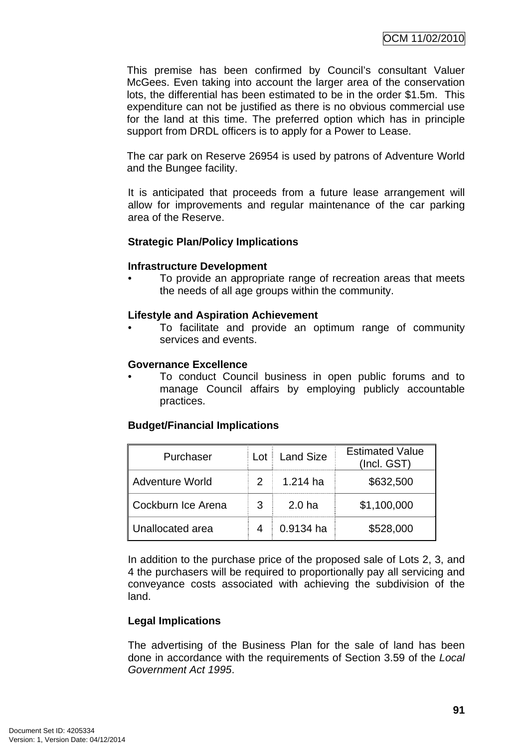This premise has been confirmed by Council's consultant Valuer McGees. Even taking into account the larger area of the conservation lots, the differential has been estimated to be in the order \$1.5m. This expenditure can not be justified as there is no obvious commercial use for the land at this time. The preferred option which has in principle support from DRDL officers is to apply for a Power to Lease.

The car park on Reserve 26954 is used by patrons of Adventure World and the Bungee facility.

It is anticipated that proceeds from a future lease arrangement will allow for improvements and regular maintenance of the car parking area of the Reserve.

### **Strategic Plan/Policy Implications**

### **Infrastructure Development**

• To provide an appropriate range of recreation areas that meets the needs of all age groups within the community.

### **Lifestyle and Aspiration Achievement**

• To facilitate and provide an optimum range of community services and events.

### **Governance Excellence**

• To conduct Council business in open public forums and to manage Council affairs by employing publicly accountable practices.

### **Budget/Financial Implications**

| Purchaser              | l ∩t ∃ | <b>Land Size</b>  | <b>Estimated Value</b><br>(Incl. GST) |
|------------------------|--------|-------------------|---------------------------------------|
| <b>Adventure World</b> |        | $1.214$ ha        | \$632,500                             |
| Cockburn Ice Arena     | 3      | 2.0 <sub>ha</sub> | \$1,100,000                           |
| Unallocated area       |        | 0.9134 ha         | \$528,000                             |

In addition to the purchase price of the proposed sale of Lots 2, 3, and 4 the purchasers will be required to proportionally pay all servicing and conveyance costs associated with achieving the subdivision of the land.

### **Legal Implications**

The advertising of the Business Plan for the sale of land has been done in accordance with the requirements of Section 3.59 of the *Local Government Act 1995*.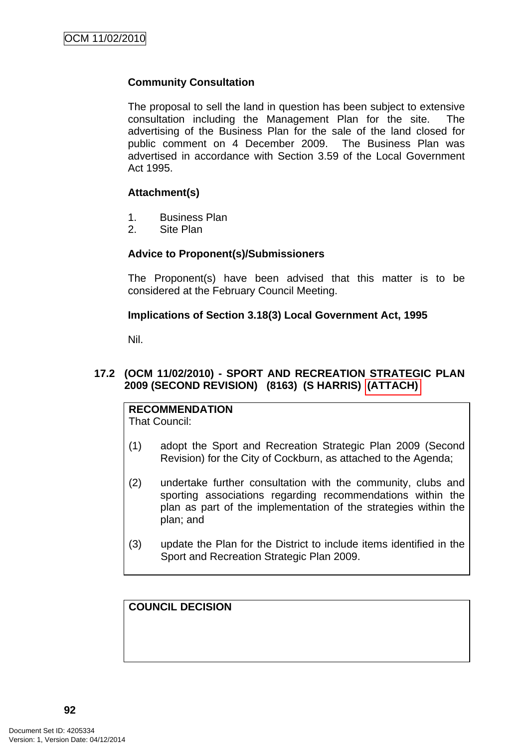# **Community Consultation**

The proposal to sell the land in question has been subject to extensive consultation including the Management Plan for the site. The advertising of the Business Plan for the sale of the land closed for public comment on 4 December 2009. The Business Plan was advertised in accordance with Section 3.59 of the Local Government Act 1995.

# **Attachment(s)**

- 1. Business Plan
- 2. Site Plan

# **Advice to Proponent(s)/Submissioners**

The Proponent(s) have been advised that this matter is to be considered at the February Council Meeting.

# **Implications of Section 3.18(3) Local Government Act, 1995**

Nil.

# **17.2 (OCM 11/02/2010) - SPORT AND RECREATION STRATEGIC PLAN 2009 (SECOND REVISION) (8163) (S HARRIS) (ATTACH)**

# **RECOMMENDATION**

That Council:

- (1) adopt the Sport and Recreation Strategic Plan 2009 (Second Revision) for the City of Cockburn, as attached to the Agenda;
- (2) undertake further consultation with the community, clubs and sporting associations regarding recommendations within the plan as part of the implementation of the strategies within the plan; and
- (3) update the Plan for the District to include items identified in the Sport and Recreation Strategic Plan 2009.

**COUNCIL DECISION**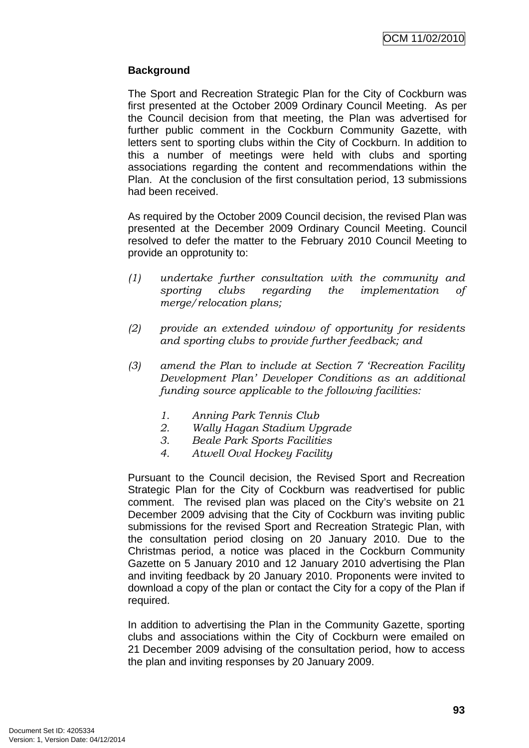# **Background**

The Sport and Recreation Strategic Plan for the City of Cockburn was first presented at the October 2009 Ordinary Council Meeting. As per the Council decision from that meeting, the Plan was advertised for further public comment in the Cockburn Community Gazette, with letters sent to sporting clubs within the City of Cockburn. In addition to this a number of meetings were held with clubs and sporting associations regarding the content and recommendations within the Plan. At the conclusion of the first consultation period, 13 submissions had been received.

As required by the October 2009 Council decision, the revised Plan was presented at the December 2009 Ordinary Council Meeting. Council resolved to defer the matter to the February 2010 Council Meeting to provide an opprotunity to:

- *(1) undertake further consultation with the community and sporting clubs regarding the implementation of merge/relocation plans;*
- *(2) provide an extended window of opportunity for residents and sporting clubs to provide further feedback; and*
- *(3) amend the Plan to include at Section 7 'Recreation Facility Development Plan' Developer Conditions as an additional funding source applicable to the following facilities:* 
	- *1. Anning Park Tennis Club*
	- *2. Wally Hagan Stadium Upgrade*
	- *3. Beale Park Sports Facilities*
	- *4. Atwell Oval Hockey Facility*

Pursuant to the Council decision, the Revised Sport and Recreation Strategic Plan for the City of Cockburn was readvertised for public comment. The revised plan was placed on the City's website on 21 December 2009 advising that the City of Cockburn was inviting public submissions for the revised Sport and Recreation Strategic Plan, with the consultation period closing on 20 January 2010. Due to the Christmas period, a notice was placed in the Cockburn Community Gazette on 5 January 2010 and 12 January 2010 advertising the Plan and inviting feedback by 20 January 2010. Proponents were invited to download a copy of the plan or contact the City for a copy of the Plan if required.

In addition to advertising the Plan in the Community Gazette, sporting clubs and associations within the City of Cockburn were emailed on 21 December 2009 advising of the consultation period, how to access the plan and inviting responses by 20 January 2009.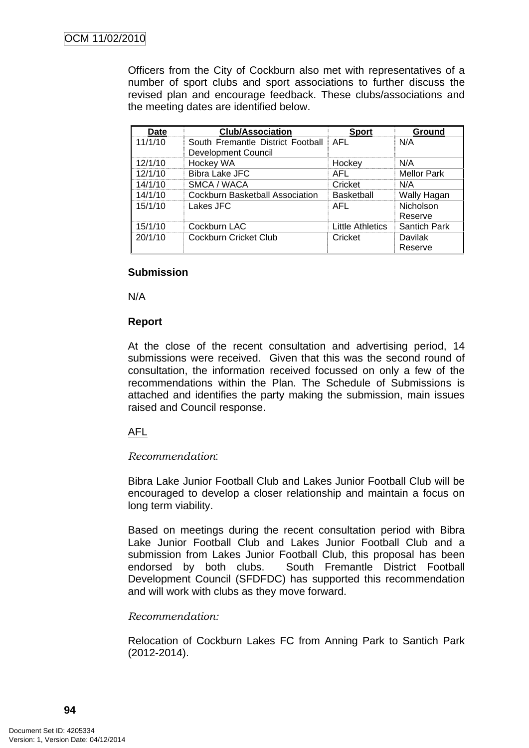Officers from the City of Cockburn also met with representatives of a number of sport clubs and sport associations to further discuss the revised plan and encourage feedback. These clubs/associations and the meeting dates are identified below.

| <b>Date</b> | <b>Club/Association</b>                                  | <b>Sport</b>            | Ground               |
|-------------|----------------------------------------------------------|-------------------------|----------------------|
| 11/1/10     | South Fremantle District Football<br>Development Council | AFL                     | N/A                  |
| 12/1/10     | Hockey WA                                                | Hockey                  | N/A                  |
| 12/1/10     | <b>Bibra Lake JFC</b>                                    | AFL                     | <b>Mellor Park</b>   |
| 14/1/10     | SMCA / WACA                                              | Cricket                 | N/A                  |
| 14/1/10     | <b>Cockburn Basketball Association</b>                   | <b>Basketball</b>       | Wally Hagan          |
| 15/1/10     | Lakes JFC                                                | AFL                     | Nicholson<br>Reserve |
| 15/1/10     | Cockburn LAC                                             | <b>Little Athletics</b> | <b>Santich Park</b>  |
| 20/1/10     | Cockburn Cricket Club                                    | Cricket                 | Davilak<br>Reserve   |

### **Submission**

N/A

# **Report**

At the close of the recent consultation and advertising period, 14 submissions were received. Given that this was the second round of consultation, the information received focussed on only a few of the recommendations within the Plan. The Schedule of Submissions is attached and identifies the party making the submission, main issues raised and Council response.

### AFL

### *Recommendation*:

Bibra Lake Junior Football Club and Lakes Junior Football Club will be encouraged to develop a closer relationship and maintain a focus on long term viability.

Based on meetings during the recent consultation period with Bibra Lake Junior Football Club and Lakes Junior Football Club and a submission from Lakes Junior Football Club, this proposal has been endorsed by both clubs. South Fremantle District Football Development Council (SFDFDC) has supported this recommendation and will work with clubs as they move forward.

# *Recommendation:*

Relocation of Cockburn Lakes FC from Anning Park to Santich Park (2012-2014).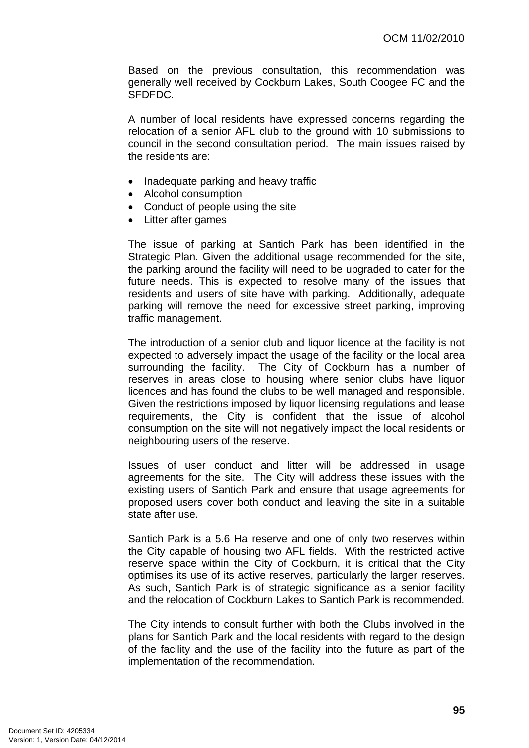Based on the previous consultation, this recommendation was generally well received by Cockburn Lakes, South Coogee FC and the SFDFDC.

A number of local residents have expressed concerns regarding the relocation of a senior AFL club to the ground with 10 submissions to council in the second consultation period. The main issues raised by the residents are:

- Inadequate parking and heavy traffic
- Alcohol consumption
- Conduct of people using the site
- Litter after games

The issue of parking at Santich Park has been identified in the Strategic Plan. Given the additional usage recommended for the site, the parking around the facility will need to be upgraded to cater for the future needs. This is expected to resolve many of the issues that residents and users of site have with parking. Additionally, adequate parking will remove the need for excessive street parking, improving traffic management.

The introduction of a senior club and liquor licence at the facility is not expected to adversely impact the usage of the facility or the local area surrounding the facility. The City of Cockburn has a number of reserves in areas close to housing where senior clubs have liquor licences and has found the clubs to be well managed and responsible. Given the restrictions imposed by liquor licensing regulations and lease requirements, the City is confident that the issue of alcohol consumption on the site will not negatively impact the local residents or neighbouring users of the reserve.

Issues of user conduct and litter will be addressed in usage agreements for the site. The City will address these issues with the existing users of Santich Park and ensure that usage agreements for proposed users cover both conduct and leaving the site in a suitable state after use.

Santich Park is a 5.6 Ha reserve and one of only two reserves within the City capable of housing two AFL fields. With the restricted active reserve space within the City of Cockburn, it is critical that the City optimises its use of its active reserves, particularly the larger reserves. As such, Santich Park is of strategic significance as a senior facility and the relocation of Cockburn Lakes to Santich Park is recommended.

The City intends to consult further with both the Clubs involved in the plans for Santich Park and the local residents with regard to the design of the facility and the use of the facility into the future as part of the implementation of the recommendation.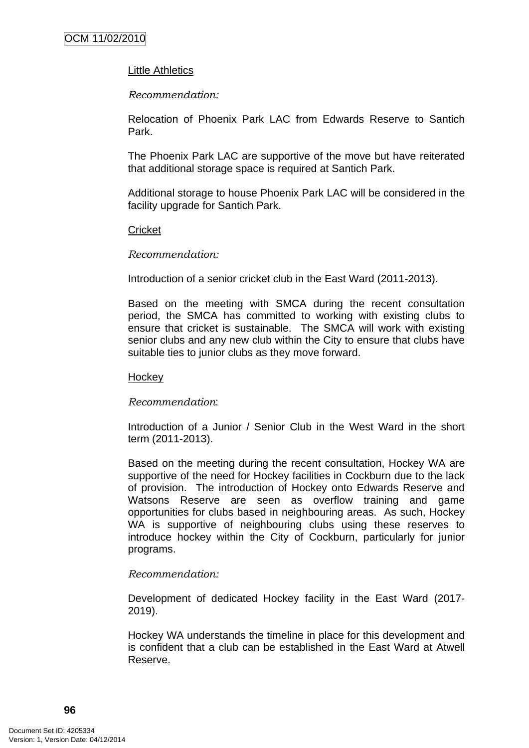# Little Athletics

### *Recommendation:*

Relocation of Phoenix Park LAC from Edwards Reserve to Santich Park.

The Phoenix Park LAC are supportive of the move but have reiterated that additional storage space is required at Santich Park.

Additional storage to house Phoenix Park LAC will be considered in the facility upgrade for Santich Park.

#### **Cricket**

### *Recommendation:*

Introduction of a senior cricket club in the East Ward (2011-2013).

Based on the meeting with SMCA during the recent consultation period, the SMCA has committed to working with existing clubs to ensure that cricket is sustainable. The SMCA will work with existing senior clubs and any new club within the City to ensure that clubs have suitable ties to junior clubs as they move forward.

### **Hockey**

### *Recommendation*:

Introduction of a Junior / Senior Club in the West Ward in the short term (2011-2013).

Based on the meeting during the recent consultation, Hockey WA are supportive of the need for Hockey facilities in Cockburn due to the lack of provision. The introduction of Hockey onto Edwards Reserve and Watsons Reserve are seen as overflow training and game opportunities for clubs based in neighbouring areas. As such, Hockey WA is supportive of neighbouring clubs using these reserves to introduce hockey within the City of Cockburn, particularly for junior programs.

### *Recommendation:*

Development of dedicated Hockey facility in the East Ward (2017- 2019).

Hockey WA understands the timeline in place for this development and is confident that a club can be established in the East Ward at Atwell Reserve.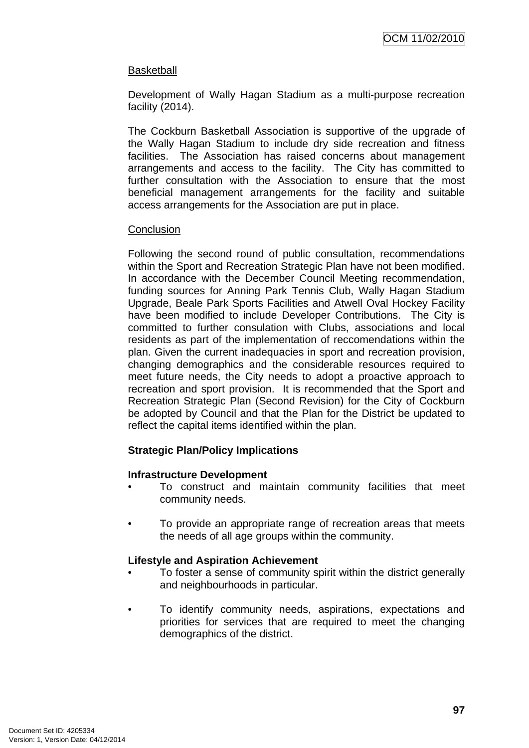### Basketball

Development of Wally Hagan Stadium as a multi-purpose recreation facility (2014).

The Cockburn Basketball Association is supportive of the upgrade of the Wally Hagan Stadium to include dry side recreation and fitness facilities. The Association has raised concerns about management arrangements and access to the facility. The City has committed to further consultation with the Association to ensure that the most beneficial management arrangements for the facility and suitable access arrangements for the Association are put in place.

### **Conclusion**

Following the second round of public consultation, recommendations within the Sport and Recreation Strategic Plan have not been modified. In accordance with the December Council Meeting recommendation, funding sources for Anning Park Tennis Club, Wally Hagan Stadium Upgrade, Beale Park Sports Facilities and Atwell Oval Hockey Facility have been modified to include Developer Contributions. The City is committed to further consulation with Clubs, associations and local residents as part of the implementation of reccomendations within the plan. Given the current inadequacies in sport and recreation provision, changing demographics and the considerable resources required to meet future needs, the City needs to adopt a proactive approach to recreation and sport provision. It is recommended that the Sport and Recreation Strategic Plan (Second Revision) for the City of Cockburn be adopted by Council and that the Plan for the District be updated to reflect the capital items identified within the plan.

# **Strategic Plan/Policy Implications**

### **Infrastructure Development**

- To construct and maintain community facilities that meet community needs.
- To provide an appropriate range of recreation areas that meets the needs of all age groups within the community.

### **Lifestyle and Aspiration Achievement**

- To foster a sense of community spirit within the district generally and neighbourhoods in particular.
- To identify community needs, aspirations, expectations and priorities for services that are required to meet the changing demographics of the district.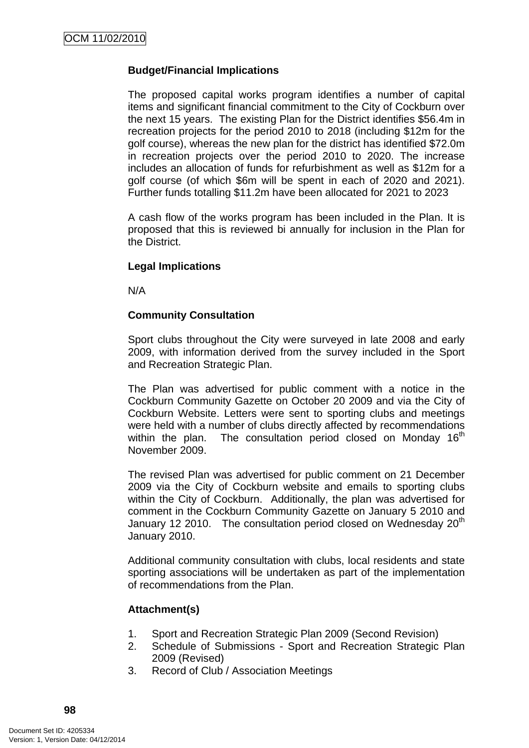# **Budget/Financial Implications**

The proposed capital works program identifies a number of capital items and significant financial commitment to the City of Cockburn over the next 15 years. The existing Plan for the District identifies \$56.4m in recreation projects for the period 2010 to 2018 (including \$12m for the golf course), whereas the new plan for the district has identified \$72.0m in recreation projects over the period 2010 to 2020. The increase includes an allocation of funds for refurbishment as well as \$12m for a golf course (of which \$6m will be spent in each of 2020 and 2021). Further funds totalling \$11.2m have been allocated for 2021 to 2023

A cash flow of the works program has been included in the Plan. It is proposed that this is reviewed bi annually for inclusion in the Plan for the District.

### **Legal Implications**

N/A

### **Community Consultation**

Sport clubs throughout the City were surveyed in late 2008 and early 2009, with information derived from the survey included in the Sport and Recreation Strategic Plan.

The Plan was advertised for public comment with a notice in the Cockburn Community Gazette on October 20 2009 and via the City of Cockburn Website. Letters were sent to sporting clubs and meetings were held with a number of clubs directly affected by recommendations within the plan. The consultation period closed on Monday  $16<sup>th</sup>$ November 2009.

The revised Plan was advertised for public comment on 21 December 2009 via the City of Cockburn website and emails to sporting clubs within the City of Cockburn. Additionally, the plan was advertised for comment in the Cockburn Community Gazette on January 5 2010 and January 12 2010. The consultation period closed on Wednesdav 20<sup>th</sup> January 2010.

Additional community consultation with clubs, local residents and state sporting associations will be undertaken as part of the implementation of recommendations from the Plan.

### **Attachment(s)**

- 1. Sport and Recreation Strategic Plan 2009 (Second Revision)
- 2. Schedule of Submissions Sport and Recreation Strategic Plan 2009 (Revised)
- 3. Record of Club / Association Meetings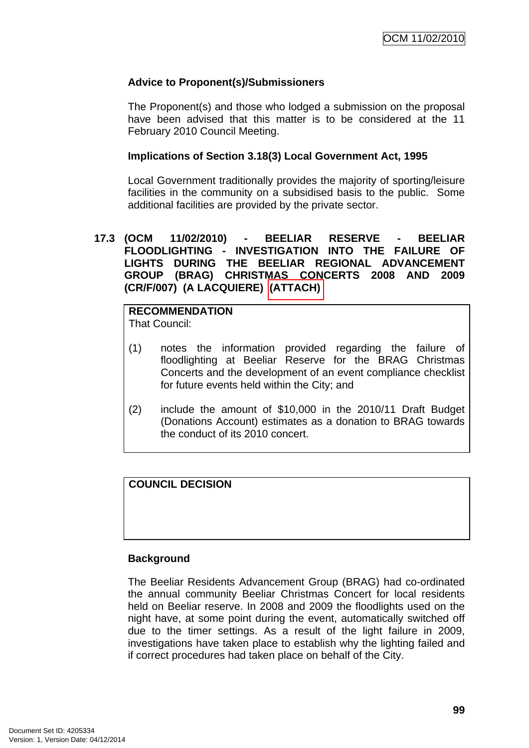# **Advice to Proponent(s)/Submissioners**

The Proponent(s) and those who lodged a submission on the proposal have been advised that this matter is to be considered at the 11 February 2010 Council Meeting.

### **Implications of Section 3.18(3) Local Government Act, 1995**

Local Government traditionally provides the majority of sporting/leisure facilities in the community on a subsidised basis to the public. Some additional facilities are provided by the private sector.

### **17.3 (OCM 11/02/2010) - BEELIAR RESERVE - BEELIAR FLOODLIGHTING - INVESTIGATION INTO THE FAILURE OF LIGHTS DURING THE BEELIAR REGIONAL ADVANCEMENT GROUP (BRAG) CHRISTMAS CONCERTS 2008 AND 2009 (CR/F/007) (A LACQUIERE) (ATTACH)**

**RECOMMENDATION** That Council:

- (1) notes the information provided regarding the failure of floodlighting at Beeliar Reserve for the BRAG Christmas Concerts and the development of an event compliance checklist for future events held within the City; and
- (2) include the amount of \$10,000 in the 2010/11 Draft Budget (Donations Account) estimates as a donation to BRAG towards the conduct of its 2010 concert.

# **COUNCIL DECISION**

### **Background**

The Beeliar Residents Advancement Group (BRAG) had co-ordinated the annual community Beeliar Christmas Concert for local residents held on Beeliar reserve. In 2008 and 2009 the floodlights used on the night have, at some point during the event, automatically switched off due to the timer settings. As a result of the light failure in 2009, investigations have taken place to establish why the lighting failed and if correct procedures had taken place on behalf of the City.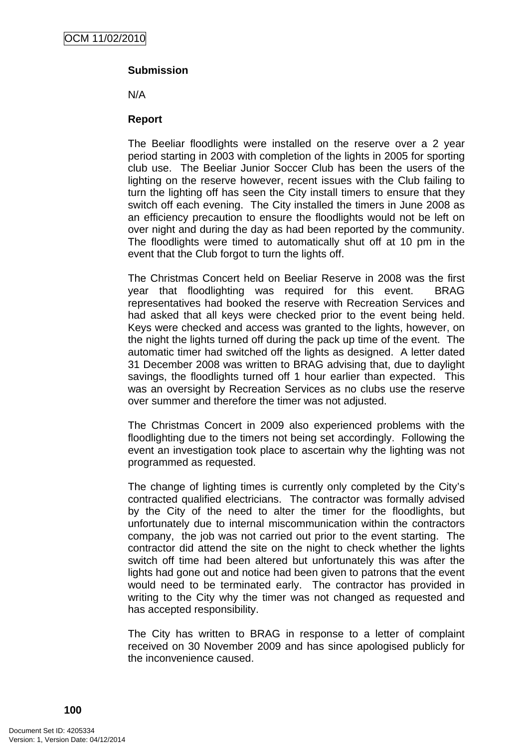# **Submission**

N/A

### **Report**

The Beeliar floodlights were installed on the reserve over a 2 year period starting in 2003 with completion of the lights in 2005 for sporting club use. The Beeliar Junior Soccer Club has been the users of the lighting on the reserve however, recent issues with the Club failing to turn the lighting off has seen the City install timers to ensure that they switch off each evening. The City installed the timers in June 2008 as an efficiency precaution to ensure the floodlights would not be left on over night and during the day as had been reported by the community. The floodlights were timed to automatically shut off at 10 pm in the event that the Club forgot to turn the lights off.

The Christmas Concert held on Beeliar Reserve in 2008 was the first year that floodlighting was required for this event. BRAG representatives had booked the reserve with Recreation Services and had asked that all keys were checked prior to the event being held. Keys were checked and access was granted to the lights, however, on the night the lights turned off during the pack up time of the event. The automatic timer had switched off the lights as designed. A letter dated 31 December 2008 was written to BRAG advising that, due to daylight savings, the floodlights turned off 1 hour earlier than expected. This was an oversight by Recreation Services as no clubs use the reserve over summer and therefore the timer was not adjusted.

The Christmas Concert in 2009 also experienced problems with the floodlighting due to the timers not being set accordingly. Following the event an investigation took place to ascertain why the lighting was not programmed as requested.

The change of lighting times is currently only completed by the City's contracted qualified electricians. The contractor was formally advised by the City of the need to alter the timer for the floodlights, but unfortunately due to internal miscommunication within the contractors company, the job was not carried out prior to the event starting. The contractor did attend the site on the night to check whether the lights switch off time had been altered but unfortunately this was after the lights had gone out and notice had been given to patrons that the event would need to be terminated early. The contractor has provided in writing to the City why the timer was not changed as requested and has accepted responsibility.

The City has written to BRAG in response to a letter of complaint received on 30 November 2009 and has since apologised publicly for the inconvenience caused.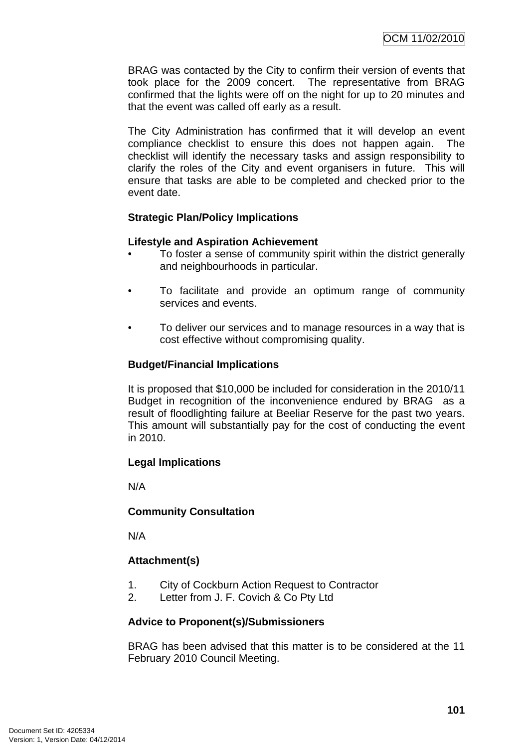BRAG was contacted by the City to confirm their version of events that took place for the 2009 concert. The representative from BRAG confirmed that the lights were off on the night for up to 20 minutes and that the event was called off early as a result.

The City Administration has confirmed that it will develop an event compliance checklist to ensure this does not happen again. The checklist will identify the necessary tasks and assign responsibility to clarify the roles of the City and event organisers in future. This will ensure that tasks are able to be completed and checked prior to the event date.

# **Strategic Plan/Policy Implications**

# **Lifestyle and Aspiration Achievement**

- To foster a sense of community spirit within the district generally and neighbourhoods in particular.
- To facilitate and provide an optimum range of community services and events.
- To deliver our services and to manage resources in a way that is cost effective without compromising quality.

# **Budget/Financial Implications**

It is proposed that \$10,000 be included for consideration in the 2010/11 Budget in recognition of the inconvenience endured by BRAG as a result of floodlighting failure at Beeliar Reserve for the past two years. This amount will substantially pay for the cost of conducting the event in 2010.

# **Legal Implications**

N/A

# **Community Consultation**

N/A

# **Attachment(s)**

- 1. City of Cockburn Action Request to Contractor
- 2. Letter from J. F. Covich & Co Pty Ltd

### **Advice to Proponent(s)/Submissioners**

BRAG has been advised that this matter is to be considered at the 11 February 2010 Council Meeting.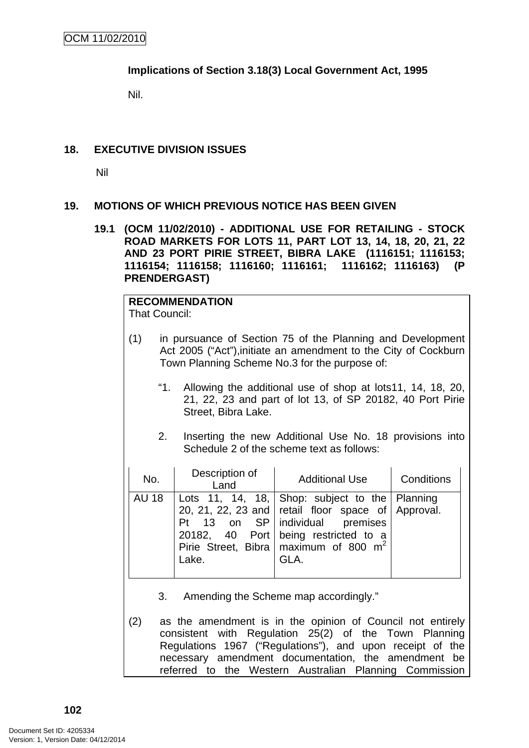**Implications of Section 3.18(3) Local Government Act, 1995**

Nil.

# **18. EXECUTIVE DIVISION ISSUES**

Nil

# **19. MOTIONS OF WHICH PREVIOUS NOTICE HAS BEEN GIVEN**

**19.1 (OCM 11/02/2010) - ADDITIONAL USE FOR RETAILING - STOCK ROAD MARKETS FOR LOTS 11, PART LOT 13, 14, 18, 20, 21, 22 AND 23 PORT PIRIE STREET, BIBRA LAKE (1116151; 1116153; 1116154; 1116158; 1116160; 1116161; 1116162; 1116163) (P PRENDERGAST)** 

#### **RECOMMENDATION** That Council:

- (1) in pursuance of Section 75 of the Planning and Development Act 2005 ("Act"),initiate an amendment to the City of Cockburn Town Planning Scheme No.3 for the purpose of:
	- "1. Allowing the additional use of shop at lots11, 14, 18, 20, 21, 22, 23 and part of lot 13, of SP 20182, 40 Port Pirie Street, Bibra Lake.
	- 2. Inserting the new Additional Use No. 18 provisions into Schedule 2 of the scheme text as follows:

| No.          | Description of<br>Land | <b>Additional Use</b>                                                                                                                                                                                                                          | Conditions |
|--------------|------------------------|------------------------------------------------------------------------------------------------------------------------------------------------------------------------------------------------------------------------------------------------|------------|
| <b>AU 18</b> | Lake.                  | Lots 11, 14, 18, Shop: subject to the Planning<br>20, 21, 22, 23 and retail floor space of Approval.<br>Pt 13 on SP individual premises<br>20182, 40 Port being restricted to a<br>Pirie Street, Bibra   maximum of 800 m <sup>2</sup><br>GLA. |            |

- 3. Amending the Scheme map accordingly."
- (2) as the amendment is in the opinion of Council not entirely consistent with Regulation 25(2) of the Town Planning Regulations 1967 ("Regulations"), and upon receipt of the necessary amendment documentation, the amendment be referred to the Western Australian Planning Commission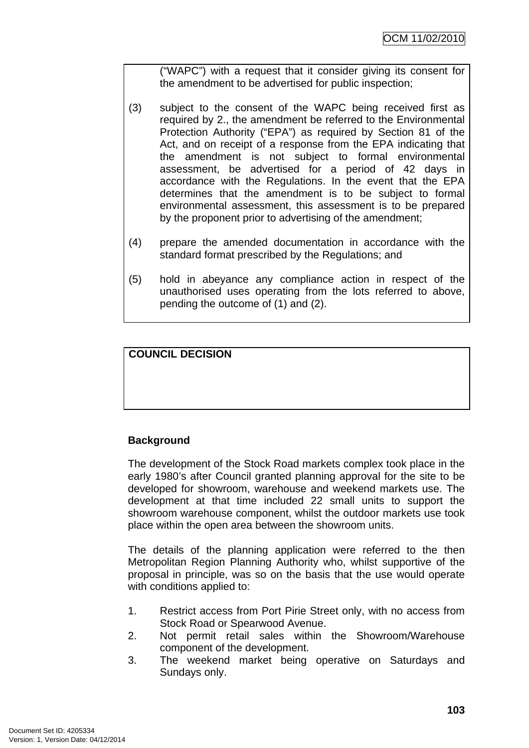("WAPC") with a request that it consider giving its consent for the amendment to be advertised for public inspection;

- (3) subject to the consent of the WAPC being received first as required by 2., the amendment be referred to the Environmental Protection Authority ("EPA") as required by Section 81 of the Act, and on receipt of a response from the EPA indicating that the amendment is not subject to formal environmental assessment, be advertised for a period of 42 days in accordance with the Regulations. In the event that the EPA determines that the amendment is to be subject to formal environmental assessment, this assessment is to be prepared by the proponent prior to advertising of the amendment;
- (4) prepare the amended documentation in accordance with the standard format prescribed by the Regulations; and
- (5) hold in abeyance any compliance action in respect of the unauthorised uses operating from the lots referred to above, pending the outcome of (1) and (2).

# **COUNCIL DECISION**

# **Background**

The development of the Stock Road markets complex took place in the early 1980's after Council granted planning approval for the site to be developed for showroom, warehouse and weekend markets use. The development at that time included 22 small units to support the showroom warehouse component, whilst the outdoor markets use took place within the open area between the showroom units.

The details of the planning application were referred to the then Metropolitan Region Planning Authority who, whilst supportive of the proposal in principle, was so on the basis that the use would operate with conditions applied to:

- 1. Restrict access from Port Pirie Street only, with no access from Stock Road or Spearwood Avenue.
- 2. Not permit retail sales within the Showroom/Warehouse component of the development.
- 3. The weekend market being operative on Saturdays and Sundays only.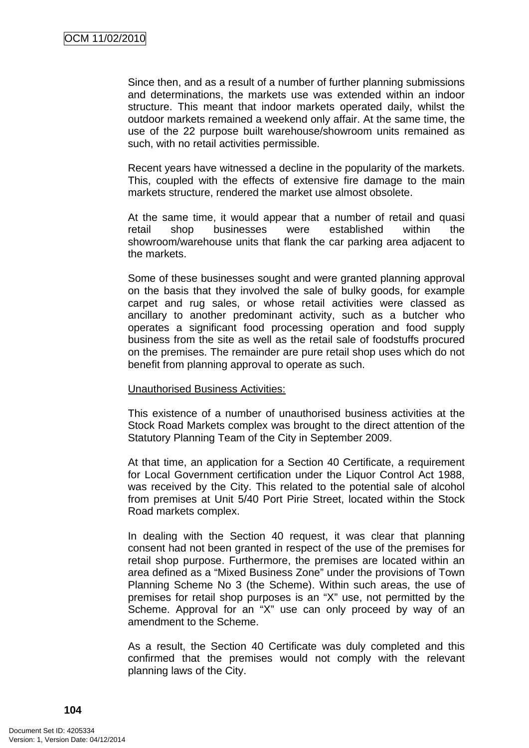Since then, and as a result of a number of further planning submissions and determinations, the markets use was extended within an indoor structure. This meant that indoor markets operated daily, whilst the outdoor markets remained a weekend only affair. At the same time, the use of the 22 purpose built warehouse/showroom units remained as such, with no retail activities permissible.

Recent years have witnessed a decline in the popularity of the markets. This, coupled with the effects of extensive fire damage to the main markets structure, rendered the market use almost obsolete.

At the same time, it would appear that a number of retail and quasi retail shop businesses were established within the showroom/warehouse units that flank the car parking area adjacent to the markets.

Some of these businesses sought and were granted planning approval on the basis that they involved the sale of bulky goods, for example carpet and rug sales, or whose retail activities were classed as ancillary to another predominant activity, such as a butcher who operates a significant food processing operation and food supply business from the site as well as the retail sale of foodstuffs procured on the premises. The remainder are pure retail shop uses which do not benefit from planning approval to operate as such.

### Unauthorised Business Activities:

This existence of a number of unauthorised business activities at the Stock Road Markets complex was brought to the direct attention of the Statutory Planning Team of the City in September 2009.

At that time, an application for a Section 40 Certificate, a requirement for Local Government certification under the Liquor Control Act 1988, was received by the City. This related to the potential sale of alcohol from premises at Unit 5/40 Port Pirie Street, located within the Stock Road markets complex.

In dealing with the Section 40 request, it was clear that planning consent had not been granted in respect of the use of the premises for retail shop purpose. Furthermore, the premises are located within an area defined as a "Mixed Business Zone" under the provisions of Town Planning Scheme No 3 (the Scheme). Within such areas, the use of premises for retail shop purposes is an "X" use, not permitted by the Scheme. Approval for an "X" use can only proceed by way of an amendment to the Scheme.

As a result, the Section 40 Certificate was duly completed and this confirmed that the premises would not comply with the relevant planning laws of the City.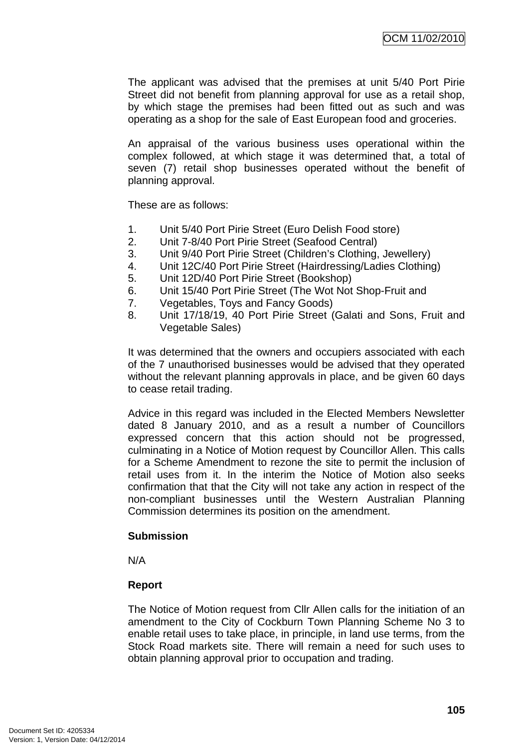The applicant was advised that the premises at unit 5/40 Port Pirie Street did not benefit from planning approval for use as a retail shop, by which stage the premises had been fitted out as such and was operating as a shop for the sale of East European food and groceries.

An appraisal of the various business uses operational within the complex followed, at which stage it was determined that, a total of seven (7) retail shop businesses operated without the benefit of planning approval.

These are as follows:

- 1. Unit 5/40 Port Pirie Street (Euro Delish Food store)
- 2. Unit 7-8/40 Port Pirie Street (Seafood Central)
- 3. Unit 9/40 Port Pirie Street (Children's Clothing, Jewellery)
- 4. Unit 12C/40 Port Pirie Street (Hairdressing/Ladies Clothing)
- 5. Unit 12D/40 Port Pirie Street (Bookshop)
- 6. Unit 15/40 Port Pirie Street (The Wot Not Shop-Fruit and
- 7. Vegetables, Toys and Fancy Goods)
- 8. Unit 17/18/19, 40 Port Pirie Street (Galati and Sons, Fruit and Vegetable Sales)

It was determined that the owners and occupiers associated with each of the 7 unauthorised businesses would be advised that they operated without the relevant planning approvals in place, and be given 60 days to cease retail trading.

Advice in this regard was included in the Elected Members Newsletter dated 8 January 2010, and as a result a number of Councillors expressed concern that this action should not be progressed, culminating in a Notice of Motion request by Councillor Allen. This calls for a Scheme Amendment to rezone the site to permit the inclusion of retail uses from it. In the interim the Notice of Motion also seeks confirmation that that the City will not take any action in respect of the non-compliant businesses until the Western Australian Planning Commission determines its position on the amendment.

#### **Submission**

N/A

### **Report**

The Notice of Motion request from Cllr Allen calls for the initiation of an amendment to the City of Cockburn Town Planning Scheme No 3 to enable retail uses to take place, in principle, in land use terms, from the Stock Road markets site. There will remain a need for such uses to obtain planning approval prior to occupation and trading.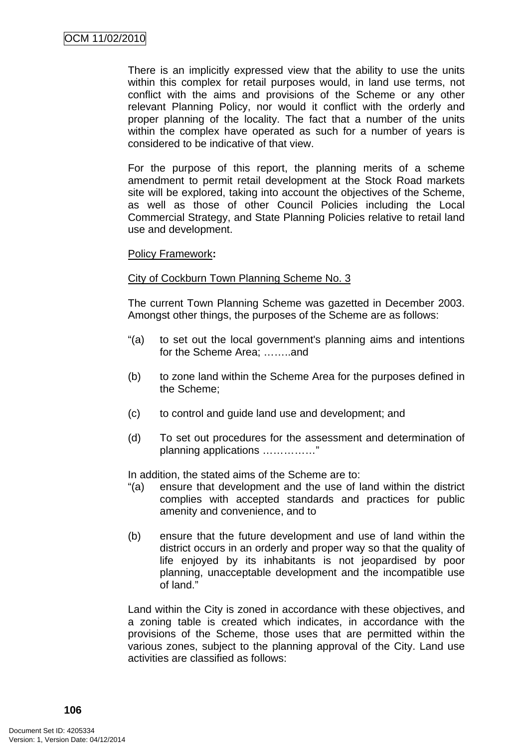There is an implicitly expressed view that the ability to use the units within this complex for retail purposes would, in land use terms, not conflict with the aims and provisions of the Scheme or any other relevant Planning Policy, nor would it conflict with the orderly and proper planning of the locality. The fact that a number of the units within the complex have operated as such for a number of years is considered to be indicative of that view.

For the purpose of this report, the planning merits of a scheme amendment to permit retail development at the Stock Road markets site will be explored, taking into account the objectives of the Scheme, as well as those of other Council Policies including the Local Commercial Strategy, and State Planning Policies relative to retail land use and development.

### Policy Framework**:**

#### City of Cockburn Town Planning Scheme No. 3

The current Town Planning Scheme was gazetted in December 2003. Amongst other things, the purposes of the Scheme are as follows:

- "(a) to set out the local government's planning aims and intentions for the Scheme Area; ……..and
- (b) to zone land within the Scheme Area for the purposes defined in the Scheme;
- (c) to control and guide land use and development; and
- (d) To set out procedures for the assessment and determination of planning applications ……………"

In addition, the stated aims of the Scheme are to:

- "(a) ensure that development and the use of land within the district complies with accepted standards and practices for public amenity and convenience, and to
- (b) ensure that the future development and use of land within the district occurs in an orderly and proper way so that the quality of life enjoyed by its inhabitants is not jeopardised by poor planning, unacceptable development and the incompatible use of land."

Land within the City is zoned in accordance with these objectives, and a zoning table is created which indicates, in accordance with the provisions of the Scheme, those uses that are permitted within the various zones, subject to the planning approval of the City. Land use activities are classified as follows: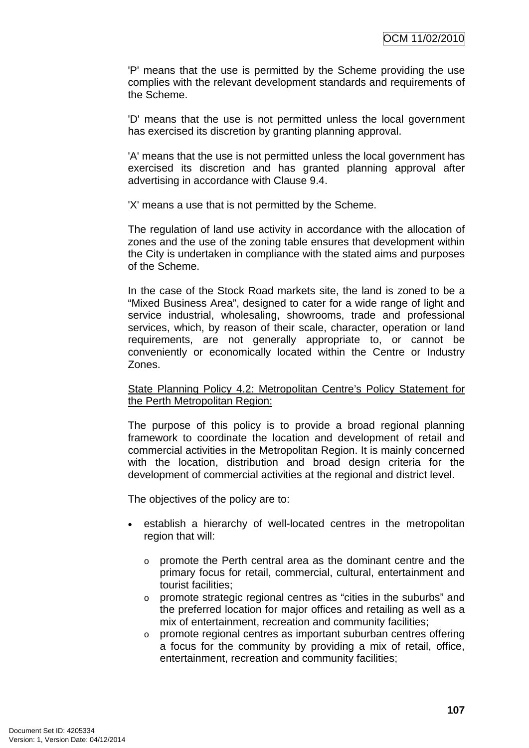'P' means that the use is permitted by the Scheme providing the use complies with the relevant development standards and requirements of the Scheme.

'D' means that the use is not permitted unless the local government has exercised its discretion by granting planning approval.

'A' means that the use is not permitted unless the local government has exercised its discretion and has granted planning approval after advertising in accordance with Clause 9.4.

'X' means a use that is not permitted by the Scheme.

The regulation of land use activity in accordance with the allocation of zones and the use of the zoning table ensures that development within the City is undertaken in compliance with the stated aims and purposes of the Scheme.

In the case of the Stock Road markets site, the land is zoned to be a "Mixed Business Area", designed to cater for a wide range of light and service industrial, wholesaling, showrooms, trade and professional services, which, by reason of their scale, character, operation or land requirements, are not generally appropriate to, or cannot be conveniently or economically located within the Centre or Industry Zones.

### State Planning Policy 4.2: Metropolitan Centre's Policy Statement for the Perth Metropolitan Region:

The purpose of this policy is to provide a broad regional planning framework to coordinate the location and development of retail and commercial activities in the Metropolitan Region. It is mainly concerned with the location, distribution and broad design criteria for the development of commercial activities at the regional and district level.

The objectives of the policy are to:

- establish a hierarchy of well-located centres in the metropolitan region that will:
	- $\circ$  promote the Perth central area as the dominant centre and the primary focus for retail, commercial, cultural, entertainment and tourist facilities;
	- o promote strategic regional centres as "cities in the suburbs" and the preferred location for major offices and retailing as well as a mix of entertainment, recreation and community facilities;
	- o promote regional centres as important suburban centres offering a focus for the community by providing a mix of retail, office, entertainment, recreation and community facilities;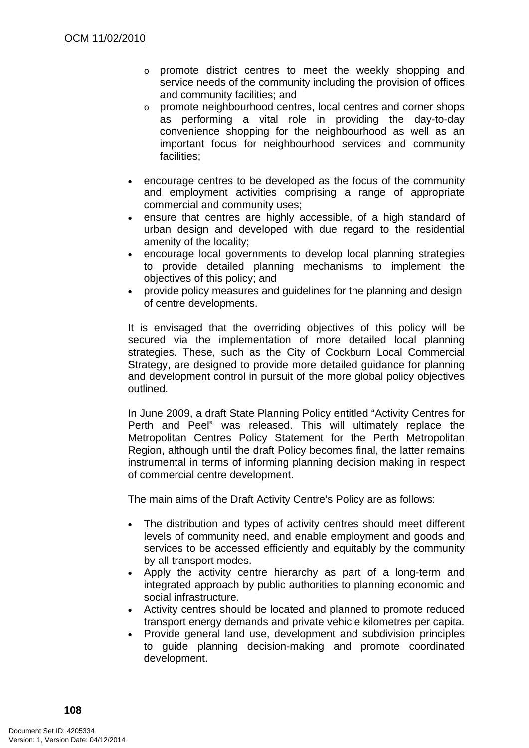- o promote district centres to meet the weekly shopping and service needs of the community including the provision of offices and community facilities; and
- o promote neighbourhood centres, local centres and corner shops as performing a vital role in providing the day-to-day convenience shopping for the neighbourhood as well as an important focus for neighbourhood services and community facilities;
- encourage centres to be developed as the focus of the community and employment activities comprising a range of appropriate commercial and community uses;
- ensure that centres are highly accessible, of a high standard of urban design and developed with due regard to the residential amenity of the locality;
- encourage local governments to develop local planning strategies to provide detailed planning mechanisms to implement the objectives of this policy; and
- provide policy measures and guidelines for the planning and design of centre developments.

It is envisaged that the overriding objectives of this policy will be secured via the implementation of more detailed local planning strategies. These, such as the City of Cockburn Local Commercial Strategy, are designed to provide more detailed guidance for planning and development control in pursuit of the more global policy objectives outlined.

In June 2009, a draft State Planning Policy entitled "Activity Centres for Perth and Peel" was released. This will ultimately replace the Metropolitan Centres Policy Statement for the Perth Metropolitan Region, although until the draft Policy becomes final, the latter remains instrumental in terms of informing planning decision making in respect of commercial centre development.

The main aims of the Draft Activity Centre's Policy are as follows:

- The distribution and types of activity centres should meet different levels of community need, and enable employment and goods and services to be accessed efficiently and equitably by the community by all transport modes.
- Apply the activity centre hierarchy as part of a long-term and integrated approach by public authorities to planning economic and social infrastructure.
- Activity centres should be located and planned to promote reduced transport energy demands and private vehicle kilometres per capita.
- Provide general land use, development and subdivision principles to guide planning decision-making and promote coordinated development.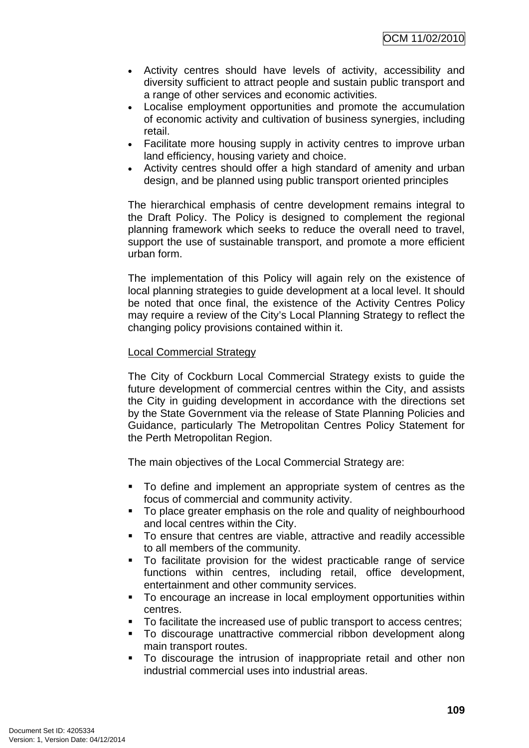- Activity centres should have levels of activity, accessibility and diversity sufficient to attract people and sustain public transport and a range of other services and economic activities.
- Localise employment opportunities and promote the accumulation of economic activity and cultivation of business synergies, including retail.
- Facilitate more housing supply in activity centres to improve urban land efficiency, housing variety and choice.
- Activity centres should offer a high standard of amenity and urban design, and be planned using public transport oriented principles

The hierarchical emphasis of centre development remains integral to the Draft Policy. The Policy is designed to complement the regional planning framework which seeks to reduce the overall need to travel, support the use of sustainable transport, and promote a more efficient urban form.

The implementation of this Policy will again rely on the existence of local planning strategies to guide development at a local level. It should be noted that once final, the existence of the Activity Centres Policy may require a review of the City's Local Planning Strategy to reflect the changing policy provisions contained within it.

#### Local Commercial Strategy

The City of Cockburn Local Commercial Strategy exists to guide the future development of commercial centres within the City, and assists the City in guiding development in accordance with the directions set by the State Government via the release of State Planning Policies and Guidance, particularly The Metropolitan Centres Policy Statement for the Perth Metropolitan Region.

The main objectives of the Local Commercial Strategy are:

- To define and implement an appropriate system of centres as the focus of commercial and community activity.
- To place greater emphasis on the role and quality of neighbourhood and local centres within the City.
- To ensure that centres are viable, attractive and readily accessible to all members of the community.
- To facilitate provision for the widest practicable range of service functions within centres, including retail, office development, entertainment and other community services.
- To encourage an increase in local employment opportunities within centres.
- To facilitate the increased use of public transport to access centres;
- To discourage unattractive commercial ribbon development along main transport routes.
- To discourage the intrusion of inappropriate retail and other non industrial commercial uses into industrial areas.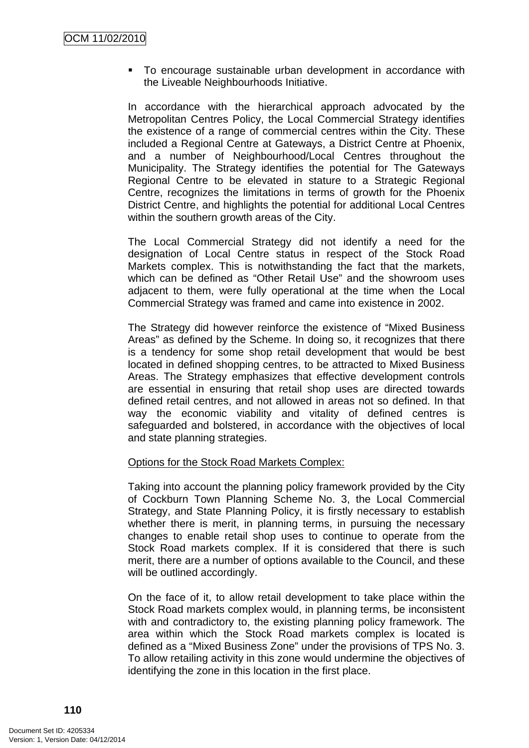To encourage sustainable urban development in accordance with the Liveable Neighbourhoods Initiative.

In accordance with the hierarchical approach advocated by the Metropolitan Centres Policy, the Local Commercial Strategy identifies the existence of a range of commercial centres within the City. These included a Regional Centre at Gateways, a District Centre at Phoenix, and a number of Neighbourhood/Local Centres throughout the Municipality. The Strategy identifies the potential for The Gateways Regional Centre to be elevated in stature to a Strategic Regional Centre, recognizes the limitations in terms of growth for the Phoenix District Centre, and highlights the potential for additional Local Centres within the southern growth areas of the City.

The Local Commercial Strategy did not identify a need for the designation of Local Centre status in respect of the Stock Road Markets complex. This is notwithstanding the fact that the markets, which can be defined as "Other Retail Use" and the showroom uses adjacent to them, were fully operational at the time when the Local Commercial Strategy was framed and came into existence in 2002.

The Strategy did however reinforce the existence of "Mixed Business Areas" as defined by the Scheme. In doing so, it recognizes that there is a tendency for some shop retail development that would be best located in defined shopping centres, to be attracted to Mixed Business Areas. The Strategy emphasizes that effective development controls are essential in ensuring that retail shop uses are directed towards defined retail centres, and not allowed in areas not so defined. In that way the economic viability and vitality of defined centres is safeguarded and bolstered, in accordance with the objectives of local and state planning strategies.

### Options for the Stock Road Markets Complex:

Taking into account the planning policy framework provided by the City of Cockburn Town Planning Scheme No. 3, the Local Commercial Strategy, and State Planning Policy, it is firstly necessary to establish whether there is merit, in planning terms, in pursuing the necessary changes to enable retail shop uses to continue to operate from the Stock Road markets complex. If it is considered that there is such merit, there are a number of options available to the Council, and these will be outlined accordingly.

On the face of it, to allow retail development to take place within the Stock Road markets complex would, in planning terms, be inconsistent with and contradictory to, the existing planning policy framework. The area within which the Stock Road markets complex is located is defined as a "Mixed Business Zone" under the provisions of TPS No. 3. To allow retailing activity in this zone would undermine the objectives of identifying the zone in this location in the first place.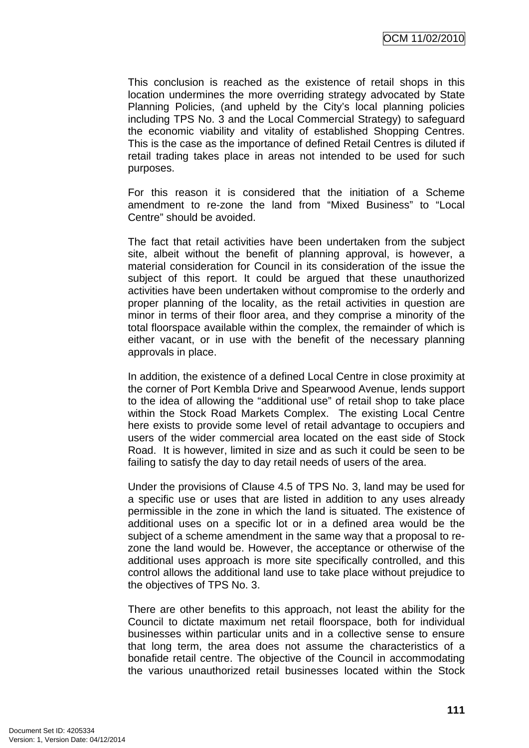This conclusion is reached as the existence of retail shops in this location undermines the more overriding strategy advocated by State Planning Policies, (and upheld by the City's local planning policies including TPS No. 3 and the Local Commercial Strategy) to safeguard the economic viability and vitality of established Shopping Centres. This is the case as the importance of defined Retail Centres is diluted if retail trading takes place in areas not intended to be used for such purposes.

For this reason it is considered that the initiation of a Scheme amendment to re-zone the land from "Mixed Business" to "Local Centre" should be avoided.

The fact that retail activities have been undertaken from the subject site, albeit without the benefit of planning approval, is however, a material consideration for Council in its consideration of the issue the subject of this report. It could be argued that these unauthorized activities have been undertaken without compromise to the orderly and proper planning of the locality, as the retail activities in question are minor in terms of their floor area, and they comprise a minority of the total floorspace available within the complex, the remainder of which is either vacant, or in use with the benefit of the necessary planning approvals in place.

In addition, the existence of a defined Local Centre in close proximity at the corner of Port Kembla Drive and Spearwood Avenue, lends support to the idea of allowing the "additional use" of retail shop to take place within the Stock Road Markets Complex. The existing Local Centre here exists to provide some level of retail advantage to occupiers and users of the wider commercial area located on the east side of Stock Road. It is however, limited in size and as such it could be seen to be failing to satisfy the day to day retail needs of users of the area.

Under the provisions of Clause 4.5 of TPS No. 3, land may be used for a specific use or uses that are listed in addition to any uses already permissible in the zone in which the land is situated. The existence of additional uses on a specific lot or in a defined area would be the subject of a scheme amendment in the same way that a proposal to rezone the land would be. However, the acceptance or otherwise of the additional uses approach is more site specifically controlled, and this control allows the additional land use to take place without prejudice to the objectives of TPS No. 3.

There are other benefits to this approach, not least the ability for the Council to dictate maximum net retail floorspace, both for individual businesses within particular units and in a collective sense to ensure that long term, the area does not assume the characteristics of a bonafide retail centre. The objective of the Council in accommodating the various unauthorized retail businesses located within the Stock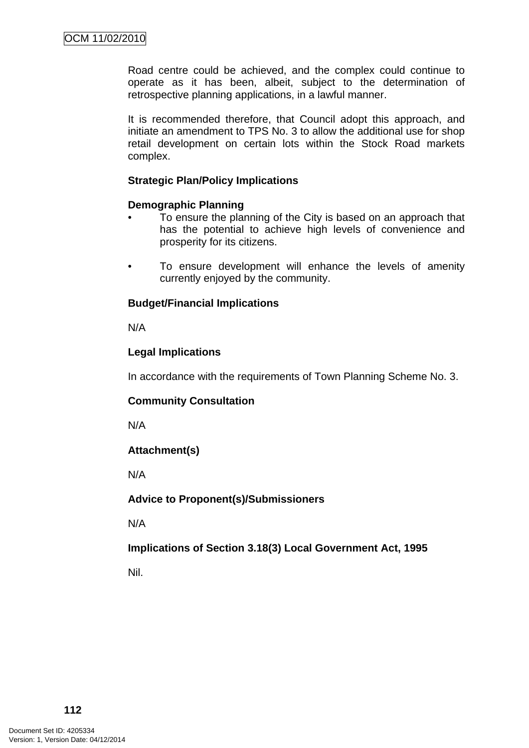Road centre could be achieved, and the complex could continue to operate as it has been, albeit, subject to the determination of retrospective planning applications, in a lawful manner.

It is recommended therefore, that Council adopt this approach, and initiate an amendment to TPS No. 3 to allow the additional use for shop retail development on certain lots within the Stock Road markets complex.

### **Strategic Plan/Policy Implications**

### **Demographic Planning**

- To ensure the planning of the City is based on an approach that has the potential to achieve high levels of convenience and prosperity for its citizens.
- To ensure development will enhance the levels of amenity currently enjoyed by the community.

### **Budget/Financial Implications**

N/A

### **Legal Implications**

In accordance with the requirements of Town Planning Scheme No. 3.

### **Community Consultation**

N/A

# **Attachment(s)**

N/A

### **Advice to Proponent(s)/Submissioners**

N/A

# **Implications of Section 3.18(3) Local Government Act, 1995**

Nil.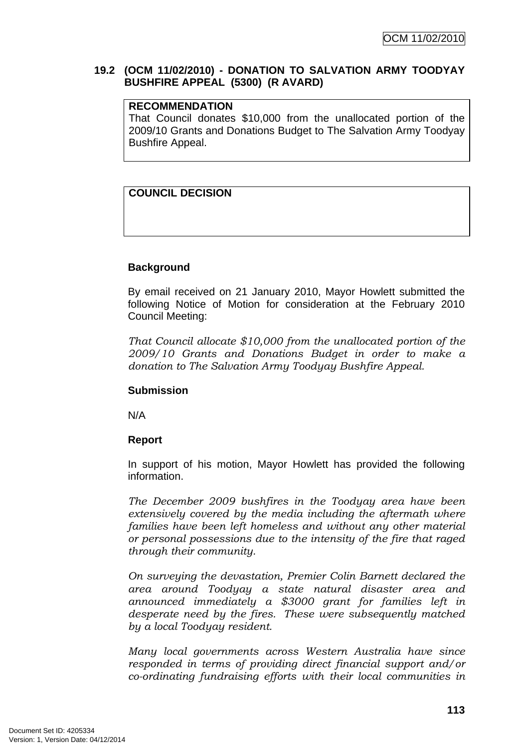### **19.2 (OCM 11/02/2010) - DONATION TO SALVATION ARMY TOODYAY BUSHFIRE APPEAL (5300) (R AVARD)**

### **RECOMMENDATION**

That Council donates \$10,000 from the unallocated portion of the 2009/10 Grants and Donations Budget to The Salvation Army Toodyay Bushfire Appeal.

# **COUNCIL DECISION**

### **Background**

By email received on 21 January 2010, Mayor Howlett submitted the following Notice of Motion for consideration at the February 2010 Council Meeting:

*That Council allocate \$10,000 from the unallocated portion of the 2009/10 Grants and Donations Budget in order to make a donation to The Salvation Army Toodyay Bushfire Appeal.* 

### **Submission**

N/A

### **Report**

In support of his motion, Mayor Howlett has provided the following information.

*The December 2009 bushfires in the Toodyay area have been extensively covered by the media including the aftermath where families have been left homeless and without any other material or personal possessions due to the intensity of the fire that raged through their community.* 

*On surveying the devastation, Premier Colin Barnett declared the area around Toodyay a state natural disaster area and announced immediately a \$3000 grant for families left in desperate need by the fires. These were subsequently matched by a local Toodyay resident.* 

*Many local governments across Western Australia have since responded in terms of providing direct financial support and/or co-ordinating fundraising efforts with their local communities in*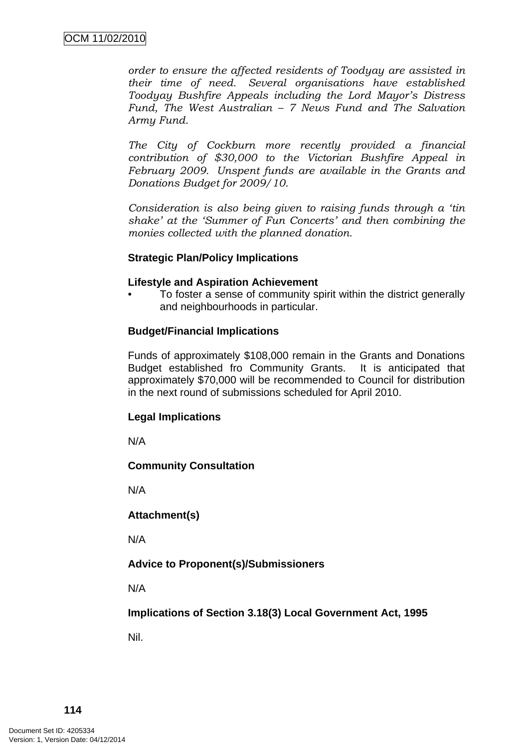*order to ensure the affected residents of Toodyay are assisted in their time of need. Several organisations have established Toodyay Bushfire Appeals including the Lord Mayor's Distress Fund, The West Australian – 7 News Fund and The Salvation Army Fund.* 

*The City of Cockburn more recently provided a financial contribution of \$30,000 to the Victorian Bushfire Appeal in February 2009. Unspent funds are available in the Grants and Donations Budget for 2009/10.* 

*Consideration is also being given to raising funds through a 'tin shake' at the 'Summer of Fun Concerts' and then combining the monies collected with the planned donation.*

### **Strategic Plan/Policy Implications**

#### **Lifestyle and Aspiration Achievement**

• To foster a sense of community spirit within the district generally and neighbourhoods in particular.

### **Budget/Financial Implications**

Funds of approximately \$108,000 remain in the Grants and Donations Budget established fro Community Grants. It is anticipated that approximately \$70,000 will be recommended to Council for distribution in the next round of submissions scheduled for April 2010.

### **Legal Implications**

N/A

### **Community Consultation**

N/A

### **Attachment(s)**

N/A

# **Advice to Proponent(s)/Submissioners**

N/A

**Implications of Section 3.18(3) Local Government Act, 1995**

Nil.